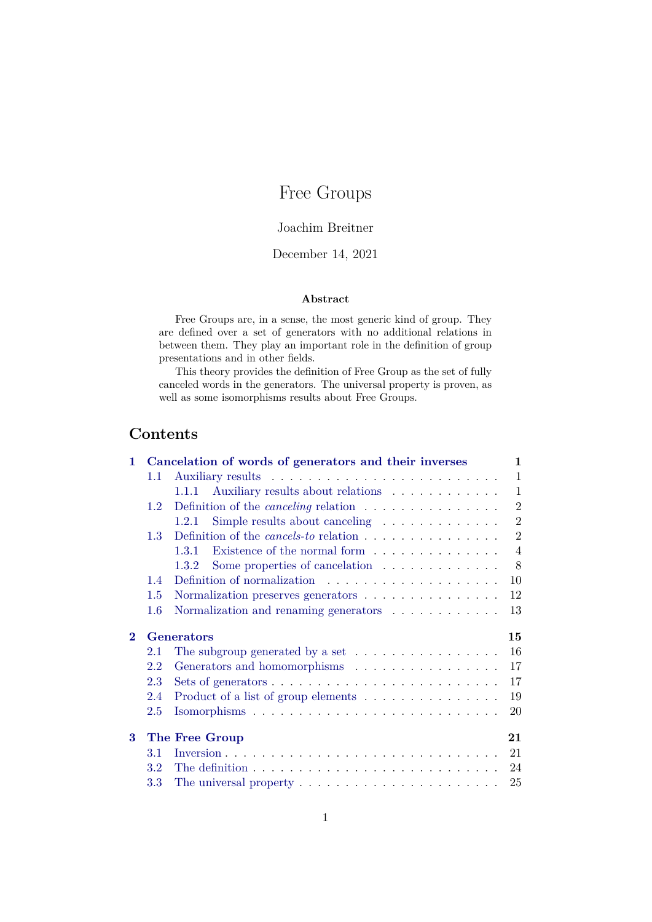# Free Groups

## Joachim Breitner

## December 14, 2021

#### **Abstract**

Free Groups are, in a sense, the most generic kind of group. They are defined over a set of generators with no additional relations in between them. They play an important role in the definition of group presentations and in other fields.

This theory provides the definition of Free Group as the set of fully canceled words in the generators. The universal property is proven, as well as some isomorphisms results about Free Groups.

# **Contents**

| $\mathbf{1}$                |               | Cancelation of words of generators and their inverses                             | $\mathbf{1}$   |
|-----------------------------|---------------|-----------------------------------------------------------------------------------|----------------|
|                             | 1.1           |                                                                                   | 1              |
|                             |               | Auxiliary results about relations<br>1.1.1                                        | 1              |
|                             | $1.2^{\circ}$ | Definition of the <i>canceling</i> relation $\ldots \ldots \ldots \ldots \ldots$  | $\overline{2}$ |
|                             |               | Simple results about canceling $\dots \dots \dots \dots$<br>1.2.1                 | $\overline{2}$ |
|                             | $1.3^{\circ}$ | Definition of the <i>cancels-to</i> relation $\ldots \ldots \ldots \ldots \ldots$ | $\overline{2}$ |
|                             |               | Existence of the normal form $\dots \dots \dots \dots$<br>1.3.1                   | $\overline{4}$ |
|                             |               | Some properties of cancelation<br>1.3.2                                           | 8              |
|                             | 1.4           |                                                                                   | 10             |
|                             | $1.5\,$       | Normalization preserves generators                                                | 12             |
|                             | 1.6           | Normalization and renaming generators                                             | 13             |
| $\mathcal{D}_{\mathcal{L}}$ |               | <b>Generators</b>                                                                 | 15             |
|                             | 2.1           | The subgroup generated by a set $\dots \dots \dots \dots \dots$                   |                |
|                             |               |                                                                                   | 16             |
|                             | 2.2           | Generators and homomorphisms                                                      | 17             |
|                             | 2.3           |                                                                                   | 17             |
|                             | 2.4           | Product of a list of group elements                                               | 19             |
|                             | 2.5           |                                                                                   | 20             |
| 3                           |               | The Free Group                                                                    | 21             |
|                             | 3.1           |                                                                                   | 21             |
|                             | 3.2           |                                                                                   | 24             |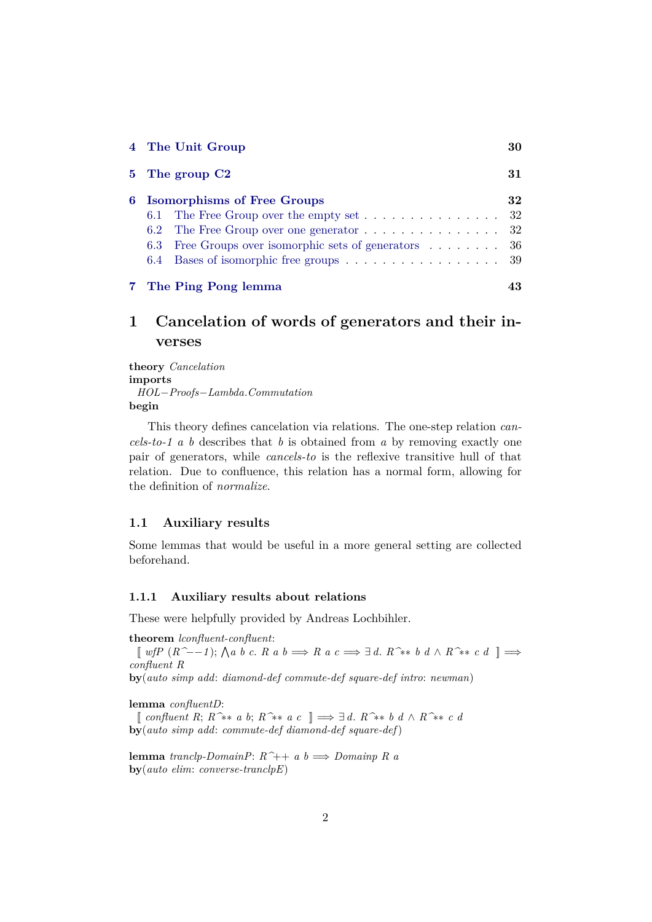|   | 4 The Unit Group                                                               | 30 |
|---|--------------------------------------------------------------------------------|----|
|   | 5 The group C <sub>2</sub>                                                     | 31 |
| 6 | <b>Isomorphisms of Free Groups</b>                                             | 32 |
|   | 6.1 The Free Group over the empty set $\dots \dots \dots \dots \dots \dots$ 32 |    |
|   |                                                                                |    |
|   | 6.3 Free Groups over isomorphic sets of generators 36                          |    |
|   | 6.4 Bases of isomorphic free groups 39                                         |    |
|   | 7 The Ping Pong lemma                                                          | 43 |

# <span id="page-1-0"></span>**1 Cancelation of words of generators and their inverses**

**theory** *Cancelation* **imports** *HOL*−*Proofs*−*Lambda*.*Commutation* **begin**

This theory defines cancelation via relations. The one-step relation *cancels-to-1 a b* describes that *b* is obtained from *a* by removing exactly one pair of generators, while *cancels-to* is the reflexive transitive hull of that relation. Due to confluence, this relation has a normal form, allowing for the definition of *normalize*.

## <span id="page-1-1"></span>**1.1 Auxiliary results**

Some lemmas that would be useful in a more general setting are collected beforehand.

#### <span id="page-1-2"></span>**1.1.1 Auxiliary results about relations**

These were helpfully provided by Andreas Lochbihler.

**theorem** *lconfluent-confluent*: [[ *wfP* (*R^*−−*1* ); V *a b c*. *R a b* =⇒ *R a c* =⇒ ∃ *d*. *R^*∗∗ *b d* ∧ *R^*∗∗ *c d* ]] =⇒ *confluent R*

**by**(*auto simp add*: *diamond-def commute-def square-def intro*: *newman*)

**lemma** *confluentD*:

[[ *confluent R*; *R^*∗∗ *a b*; *R^*∗∗ *a c* ]] =⇒ ∃ *d*. *R^*∗∗ *b d* ∧ *R^*∗∗ *c d* **by**(*auto simp add*: *commute-def diamond-def square-def*)

**lemma** *tranclp-DomainP*:  $R^+$  *A*  $\rightarrow$  *Domainp R a* **by**(*auto elim*: *converse-tranclpE*)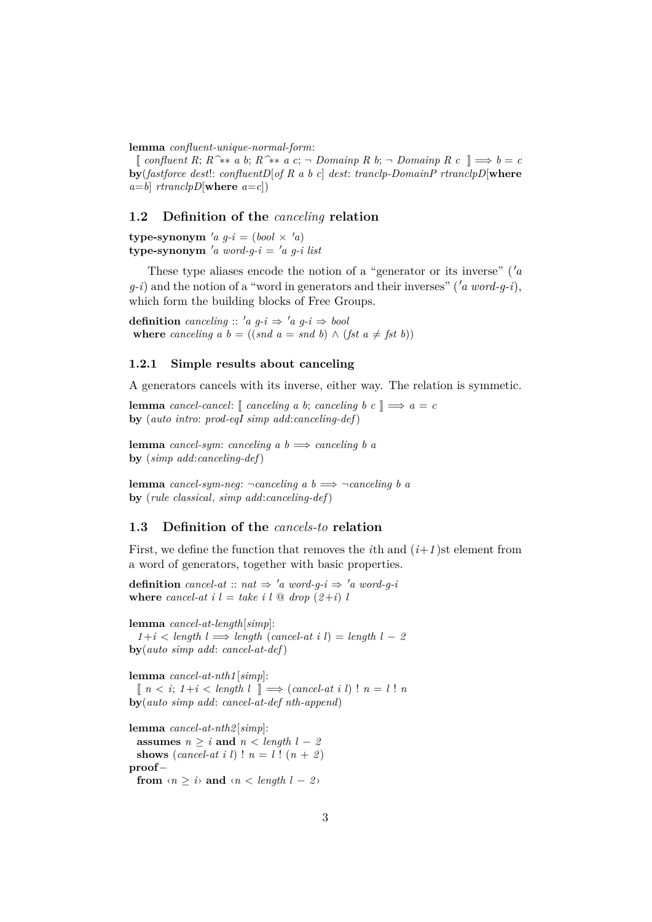**lemma** *confluent-unique-normal-form*:

[[ *confluent R*; *R^*∗∗ *a b*; *R^*∗∗ *a c*; ¬ *Domainp R b*; ¬ *Domainp R c* ]] =⇒ *b* = *c* **by**(*fastforce dest*!: *confluentD*[*of R a b c*] *dest*: *tranclp-DomainP rtranclpD*[**where**  $a=b$  *rtranclpD*[where  $a=c$ ])

#### <span id="page-2-0"></span>**1.2 Definition of the** *canceling* **relation**

**type-synonym**  $'a \text{ } a \text{-} i = (bool \times a)$ **type-synonym** 'a word-g-i = 'a g-i list

These type aliases encode the notion of a "generator or its inverse"  $(a \cdot a)$  $g-i$  and the notion of a "word in generators and their inverses" ( $'a$  word- $g-i$ ), which form the building blocks of Free Groups.

**definition** *canceling* ::  $'a \ q-i \Rightarrow 'a \ q-i \Rightarrow bool$ **where** *canceling*  $a \, b = ((\text{snd } a = \text{snd } b) \land (\text{fst } a \neq \text{fst } b))$ 

#### <span id="page-2-1"></span>**1.2.1 Simple results about canceling**

A generators cancels with its inverse, either way. The relation is symmetic.

**lemma** *cancel-cancel*:  $[$  *canceling a b*; *canceling b c*  $] \implies a = c$ **by** (*auto intro*: *prod-eqI simp add*:*canceling-def*)

**lemma** *cancel-sym*: *canceling a b*  $\implies$  *canceling b a* **by** (*simp add*:*canceling-def*)

**lemma** *cancel-sym-neg*:  $\neg$ *canceling a b*  $\implies \neg$ *canceling b a* **by** (*rule classical*, *simp add*:*canceling-def*)

## <span id="page-2-2"></span>**1.3 Definition of the** *cancels-to* **relation**

First, we define the function that removes the *i*th and  $(i+1)$ st element from a word of generators, together with basic properties.

**definition** *cancel-at* :: *nat*  $\Rightarrow$  '*a word-g-i*  $\Rightarrow$  '*a word-g-i* **where** *cancel-at*  $i \, l = take \, i \, l \, \textcircled{a} \, drop \, (2+i) \, l$ 

**lemma** *cancel-at-length*[*simp*]: *1*+*i* < *length*  $l$   $\implies$  *length* (*cancel-at i l*) = *length*  $l − 2$ **by**(*auto simp add*: *cancel-at-def*)

**lemma** *cancel-at-nth1* [*simp*]:  $[n < i; 1+i < length l] \implies (cancel{a}t i l) ! n = l! n$ **by**(*auto simp add*: *cancel-at-def nth-append*)

**lemma** *cancel-at-nth2* [*simp*]: **assumes**  $n > i$  **and**  $n <$  *length*  $l - 2$ **shows** (*cancel-at i l*) !  $n = l$  !  $(n + 2)$ **proof**− **from**  $\langle n \rangle$  *i*) **and**  $\langle n \rangle$  *length l* − 2*i*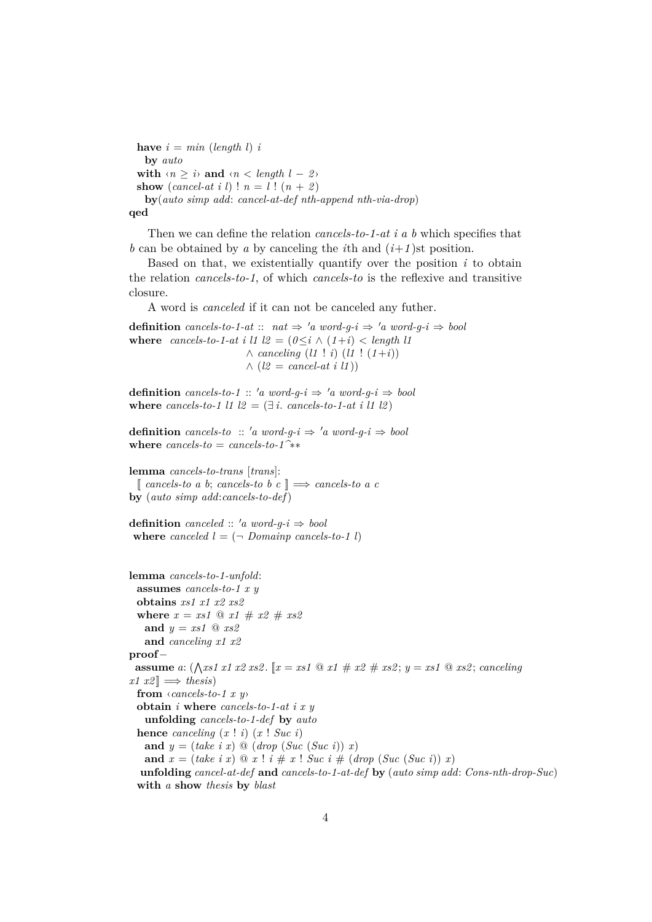**have**  $i = min$  (*length l*)  $i$ **by** *auto* **with**  $\langle n \geq i \rangle$  **and**  $\langle n \leq length \ l - 2 \rangle$ **show** (*cancel-at i l*) !  $n = l$  !  $(n + 2)$ **by**(*auto simp add*: *cancel-at-def nth-append nth-via-drop*) **qed**

Then we can define the relation *cancels-to-1-at i a b* which specifies that *b* can be obtained by *a* by canceling the *i*th and  $(i+1)$ st position.

Based on that, we existentially quantify over the position *i* to obtain the relation *cancels-to-1*, of which *cancels-to* is the reflexive and transitive closure.

A word is *canceled* if it can not be canceled any futher.

**definition** *cancels-to-1-at* :: *nat*  $\Rightarrow$  '*a word-g-i*  $\Rightarrow$  '*a word-g-i*  $\Rightarrow$  *bool* **where** *cancels-to-1-at i l1 l2* =  $(0 \leq i \land (1+i) < length$  l1 ∧ *canceling* (*l1* ! *i*) (*l1* ! (*1*+*i*))  $\wedge$  ( $l2 = cancel-at$  *i*  $l1$ ))

**definition** *cancels-to-1* :: 'a *word-q-i*  $\Rightarrow$  'a *word-q-i*  $\Rightarrow$  *bool* where *cancels-to-1 l1 l2* =  $(\exists i$ . *cancels-to-1-at i l1 l2*)

**definition** *cancels-to* :: 'a *word-g-i*  $\Rightarrow$  'a *word-g-i*  $\Rightarrow$  *bool* **where**  $cancels-to = cancels-to-1^***$ 

**lemma** *cancels-to-trans* [*trans*]:  $\lceil \text{ cancels-to a b}; \text{ cancels-to b c} \rceil \Longrightarrow \text{ cancels-to a c}$ **by** (*auto simp add*:*cancels-to-def*)

**definition** *canceled*  $:: 'a word-q-i \Rightarrow bool$ **where** *canceled*  $l = (\neg$  *Domainp cancels-to-1 l*)

```
lemma cancels-to-1-unfold:
  assumes cancels-to-1 x y
  obtains xs1 x1 x2 xs2
  where x = xs1 \text{ } @ x1 \# x2 \# xs2and y = xs1 @ xs2
    and canceling x1 x2
proof−
  assume a: (\text{1} \land xs1 \text{ x1 x2 x}). [x = xs1 \text{ @ } x1 \text{ # } x2 \text{ # } xs2; y = xs1 \text{ @ } xs2; cancelingx1 \ x2 \implies \text{thesis}from \langle \textit{cancels-to-1} x y \rangleobtain i where cancels-to-1-at i x y
    unfolding cancels-to-1-def by auto
  hence canceling (x ! i) (x ! Suc i)
    and y = (take \, i \, x) \, \textcircled{a} (drop \, (Suc \, (Suc \, i)) \, x)and x = (take \, i \, x) \, @ \, x ! \, i \# \, x ! \, Suc \, i \# (drop \, (Suc \, (Suc \, i)) \, x)unfolding cancel-at-def and cancels-to-1-at-def by (auto simp add: Cons-nth-drop-Suc)
  with a show thesis by blast
```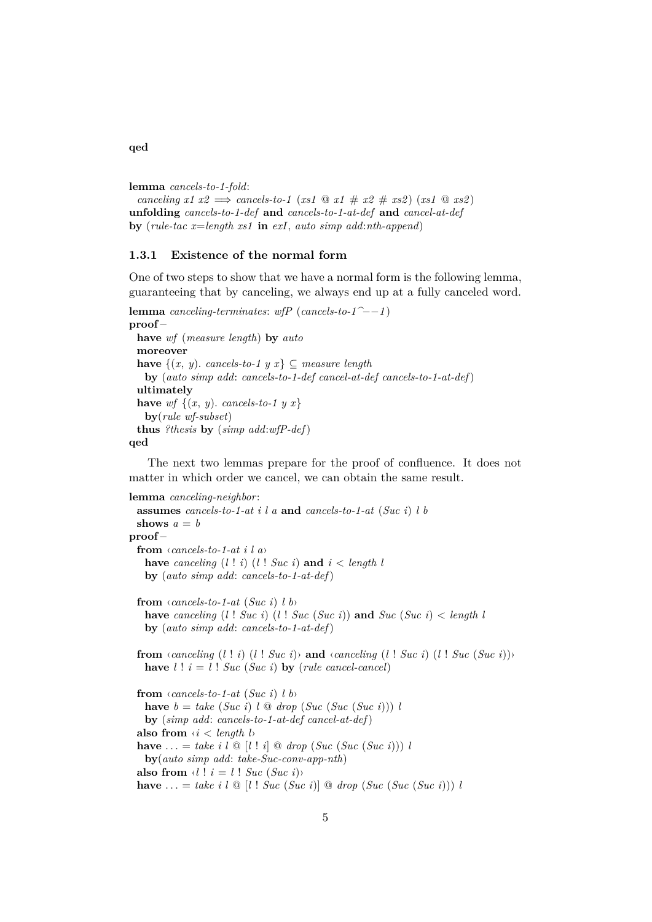**lemma** *cancels-to-1-fold*:

 $canceling x1 x2 \implies cancels-to-1 (xs1 \text{ @ } x1 \text{ # } x2 \text{ # } xs2) (xs1 \text{ @ } xs2)$ **unfolding** *cancels-to-1-def* **and** *cancels-to-1-at-def* **and** *cancel-at-def* **by** (*rule-tac x*=*length xs1* **in** *exI*, *auto simp add*:*nth-append*)

#### <span id="page-4-0"></span>**1.3.1 Existence of the normal form**

One of two steps to show that we have a normal form is the following lemma, guaranteeing that by canceling, we always end up at a fully canceled word.

```
lemma canceling-terminates: wfP (cancels-to-1^−−1 )
proof−
 have wf (measure length) by auto
 moreover
 have {(x, y). cancels-to-1 y x} ⊆ measure length
   by (auto simp add: cancels-to-1-def cancel-at-def cancels-to-1-at-def)
 ultimately
 have wf \{(x, y). cancels-to-1 y x}
   by(rule wf-subset)
 thus ?thesis by (simp add:wfP-def)
qed
```
The next two lemmas prepare for the proof of confluence. It does not matter in which order we cancel, we can obtain the same result.

```
lemma canceling-neighbor:
  assumes cancels-to-1-at i l a and cancels-to-1-at (Suc i) l b
  shows a = bproof−
  from ‹cancels-to-1-at i l a›
    have canceling (l! i) (l! Suc i) and i < length lby (auto simp add: cancels-to-1-at-def)
  from \langle \textit{cancels-to-1-at} \mid \textit{Suc} \textit{i} \mid \textit{l} \textit{b} \ranglehave canceling (l! Suc i) (l! Suc Suc i) and Suc Suc i) <math>l ength l
    by (auto simp add: cancels-to-1-at-def)
  from \{canceling (l | i) (l | Suc i) \} and \{canceling (l | Suc i) \} (l | Suc i))
    have l! i = l! Suc (Suc i) by (rule cancel-cancel)
  from \langle cancels-to-1-at \ (Suc \ i) \ l \ b \ranglehave b = \text{take } (Suc \text{ } i) \text{ } l \text{ } @ \text{ drop } (Suc \text{ } (Suc \text{ } i)) \text{ } lby (simp add: cancels-to-1-at-def cancel-at-def)
  also from \langle i \rangle length l
  have \ldots = take i l \Omega [l ! i] \Omega drop (Suc (Suc (Suc i))) l
    by(auto simp add: take-Suc-conv-app-nth)
  also from \langle l \, | \, i = l \, | \, Suc \, (Suc \, i) \ranglehave ... = take i l \Omega [l ! Suc (Suc i)] \Omega drop (Suc (Suc (Suc i))) l
```
**qed**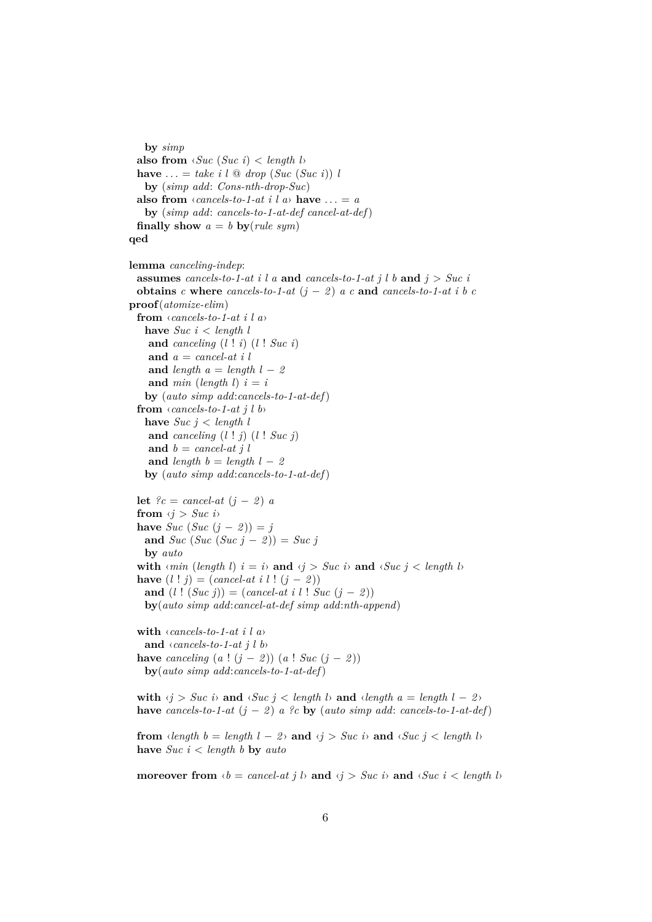**by** *simp* **also from**  $\langle \textit{Suc } (\textit{Suc } i) \rangle \langle \textit{length } l \rangle$ have  $\ldots =$  *take i l*  $\textcircled{a}$  *drop* (*Suc* (*Suc i*)) *l* **by** (*simp add*: *Cons-nth-drop-Suc*) also from  $\langle \textit{cancels-to-1-at} \, i \, l \, a \rangle$  have  $\ldots = a$ **by** (*simp add*: *cancels-to-1-at-def cancel-at-def*) **finally show**  $a = b$  **by**(*rule sym*) **qed lemma** *canceling-indep*: **assumes** *cancels-to-1-at i l a* **and** *cancels-to-1-at j l b* **and** *j* > *Suc i* **obtains** *c* where *cancels-to-1-at*  $(j - 2)$  *a c* **and** *cancels-to-1-at i b c* **proof**(*atomize-elim*) **from** ‹*cancels-to-1-at i l a*› **have** *Suc i* < *length l* **and** *canceling* (*l* ! *i*) (*l* ! *Suc i*) **and** *a* = *cancel-at i l* **and** *length*  $a = length l - 2$ and  $min$  (*length l*)  $i = i$ **by** (*auto simp add*:*cancels-to-1-at-def*) **from**  $\langle \textit{cancels-to-1-at} j l b \rangle$ **have** *Suc j* < *length l* **and** *canceling* (*l* ! *j*) (*l* ! *Suc j*) and  $b = \text{cancel-at } i \, l$ and *length*  $b = length l - 2$ **by** (*auto simp add*:*cancels-to-1-at-def*) **let**  $?c = \text{cancel-at}(j - 2) a$ **from**  $\langle i \rangle$  *Suc i* **have** *Suc* (*Suc* (*j* − *2*)) = *j* **and**  $Suc$  (*Suc* (*Suc*  $j - 2$ )) = *Suc*  $j$ **by** *auto* **with**  $\langle \textit{min} \ (\textit{length} \ l) \ i = i \rangle$  **and**  $\langle j \rangle$  *Suc i* $\rangle$  **and**  $\langle \textit{Suc} \ j \rangle$  *length li* **have**  $(l | j) = (cancellation | i | (j - 2))$ **and**  $(l!(Suc j)) = (cancel-at i l!(Suc (j - 2))$ **by**(*auto simp add*:*cancel-at-def simp add*:*nth-append*) **with** ‹*cancels-to-1-at i l a*› **and** ‹*cancels-to-1-at j l b*› **have** *canceling*  $(a:(j-2))(a:Suc(j-2))$ **by**(*auto simp add*:*cancels-to-1-at-def*) **with**  $\langle j \rangle$  *Suc i* and  $\langle \text{Suc } j \rangle$  *c length l* and  $\langle \text{length } a = \text{length } l - 2 \rangle$ **have** *cancels-to-1-at*  $(j - 2)$  *a ?c* **by** (*auto simp add: cancels-to-1-at-def*)

**from**  $\langle \text{length } b = \text{length } l - 2 \rangle$  and  $\langle j \rangle$  *Suc i* $\rangle$  and  $\langle \text{Suc } j \rangle$  *length li* **have**  $Suc$  *i* < *length b* **by**  $auto$ 

**moreover from**  $\langle b = \text{cancel-}at \ j \ l \rangle$  **and**  $\langle j \rangle$  *Suc i* and  $\langle \text{Suc } i \rangle$  *length li*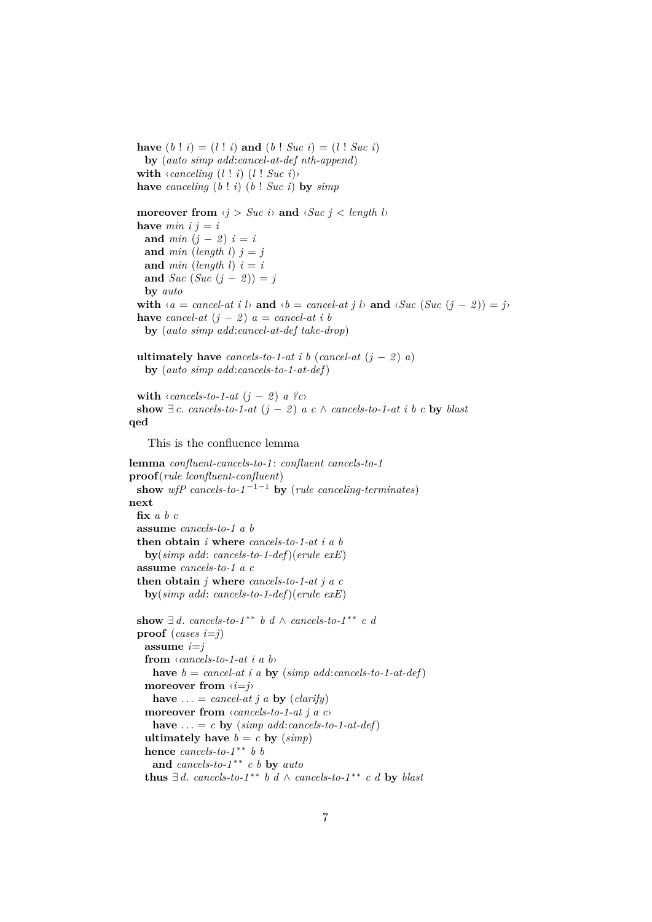**have**  $(b : i) = (l : i)$  and  $(b : Suc i) = (l : Suc i)$ **by** (*auto simp add*:*cancel-at-def nth-append*) **with**  $\langle \text{canceling } (l \mid i) (l \mid \text{Suc } i) \rangle$ **have** *canceling*  $(b : i)$   $(b : Suc i)$  **by**  $simp$ **moreover from**  $\langle j \rangle$  *Suc i* $\rangle$  **and**  $\langle \textit{Suc } j \rangle$  *length li* have  $min i j = i$ **and**  $min(i - 2)$   $i = i$ and  $min$  (*length l*)  $j = j$ and  $min$  (*length l*)  $i = i$ **and** *Suc*  $(Suc (j - 2)) = j$ **by** *auto* **with**  $\langle a = \text{cancel-}at \, i \, l \rangle$  **and**  $\langle b = \text{cancel-}at \, j \, l \rangle$  **and**  $\langle \text{Suc } (\text{Suc } (j - 2)) = j \rangle$ **have** *cancel-at*  $(j - 2)$   $a = \text{cancel-}at$  *i b* **by** (*auto simp add*:*cancel-at-def take-drop*) **ultimately have** *cancels-to-1-at i b* (*cancel-at*  $(j - 2)$  *a*) **by** (*auto simp add*:*cancels-to-1-at-def*) **with** ‹*cancels-to-1-at*  $(j − 2)$  *a*  $?c$ › **show**  $∃ c$ *. cancels-to-1-at*  $(j − 2) a c ∧ cancels-to-1-at i b c$  **by** *blast* **qed** This is the confluence lemma **lemma** *confluent-cancels-to-1* : *confluent cancels-to-1* **proof**(*rule lconfluent-confluent*) **show** *wfP* cancels-to-1<sup>-1-1</sup> **by** (*rule canceling-terminates*) **next fix** *a b c* **assume** *cancels-to-1 a b* **then obtain** *i* **where** *cancels-to-1-at i a b* **by**(*simp add*: *cancels-to-1-def*)(*erule exE*) **assume** *cancels-to-1 a c* **then obtain** *j* **where** *cancels-to-1-at j a c* **by**(*simp add*: *cancels-to-1-def*)(*erule exE*) **show**  $\exists d$ *. cancels-to-1*<sup><sup>\*\*</sup> *b d* ∧ *cancels-to-1*<sup>\*\*</sup> *c d*</sup> **proof** (*cases i=j*) **assume** *i*=*j* **from** ‹*cancels-to-1-at i a b*› **have**  $b = \text{cancel-}at \text{ }i \text{ }a \text{ } \text{ by } (\text{simp } \text{ } add \text{:} cancels-to-1-at-def)$ **moreover from** ‹*i*=*j*› have  $\ldots$  = *cancel-at j a* by (*clarify*) **moreover from** ‹*cancels-to-1-at j a c*› **have** ... = *c* **by** (*simp add:cancels-to-1-at-def*) **ultimately have**  $b = c$  **by**  $(simp)$ **hence** *cancels-to-1* ∗∗ *b b* **and** *cancels-to-1* ∗∗ *c b* **by** *auto* **thus**  $∃ d$ *, cancels-to-1<sup>\*\*</sup></sup> <i>b d* ∧ *cancels-to-1<sup>\*\*</sup> <i>c d* **by** *blast*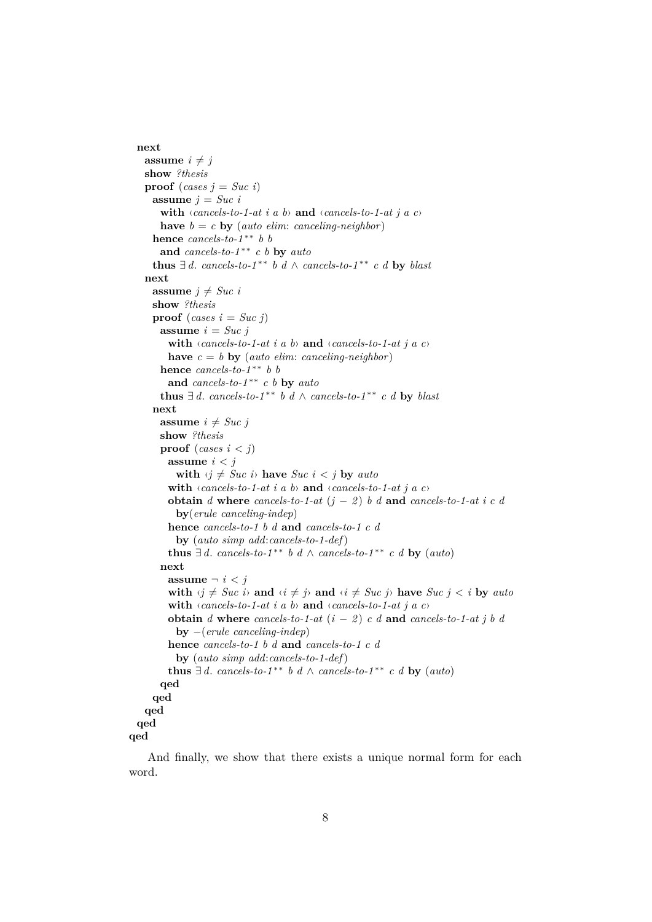```
next
   assume i \neq jshow ?thesis
   proof (cases i = Suc i)
     assume j = Suc i
       with \langle cancels-to-1-at \, i \, a \, b \rangle and \langle cancels-to-1-at \, j \, a \, c \ranglehave b = c by (auto elim: canceling-neighbor)
     hence cancels-to-1 ∗∗ b b
       and cancels-to-1 ∗∗ c b by auto
     thus ∃ d. cancels-to-1** b d ∧ cancels-to-1** c d by blastnext
     assume j \neq Suc i
     show ?thesis
     proof (cases i = Suc j)
       assume i = Suc j
         with \langle cancels-to-1-at \, i \, a \, b \rangle and \langle cancels-to-1-at \, i \, a \, c \ranglehave c = b by (auto elim: canceling-neighbor)
       hence cancels-to-1 ∗∗ b b
         and cancels-to-1 ∗∗ c b by auto
       thus ∃ d. cancels-to-1** b d ∧ cancels-to-1** c d by blast
     next
       assume i \neq Suc \, jshow ?thesis
       proof (cases i < j)
         assume i < j
           with \forall i \neq \text{Suc } i have Suc i < j by auto
         with \langle cancels-to-1-at \, i \, a \, b \rangle and \langle cancels-to-1-at \, j \, a \, c \rangleobtain d where cancels-to-1-at (j - 2) b d and cancels-to-1-at i c d
           by(erule canceling-indep)
         hence cancels-to-1 b d and cancels-to-1 c d
          by (auto simp add:cancels-to-1-def)
         thus ∃ d. cancels-to-1** b d ∧ cancels-to-1** c d by (auto)next
         assume \neg i < jwith \langle j \neq Suc \rangle i) and \langle i \neq j \rangle and \langle i \neq Suc \rangle have Suc \rangle i by auto
         with ‹cancels-to-1-at i a b› and ‹cancels-to-1-at j a c›
         obtain d where cancels-to-1-at (i - 2) c d and cancels-to-1-at j b d
           by −(erule canceling-indep)
         hence cancels-to-1 b d and cancels-to-1 c d
           by (auto simp add:cancels-to-1-def)
         thus ∃ d. cancels-to-1** b d ∧ cancels-to-1** c d by (auto)qed
     qed
   qed
 qed
qed
```
And finally, we show that there exists a unique normal form for each word.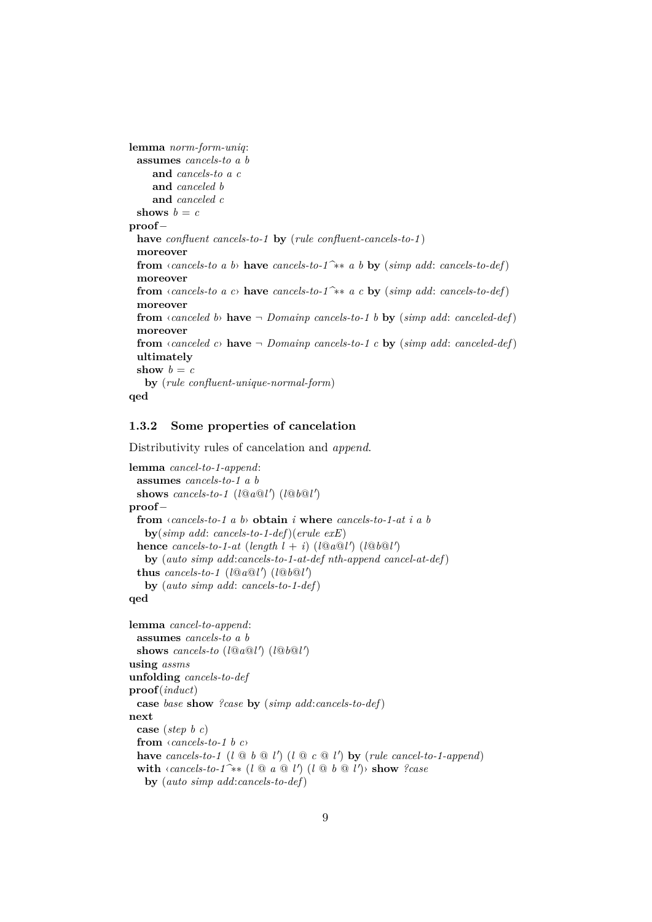```
lemma norm-form-uniq:
 assumes cancels-to a b
     and cancels-to a c
     and canceled b
     and canceled c
 shows b = cproof−
 have confluent cancels-to-1 by (rule confluent-cancels-to-1 )
 moreover
 from \langle cancels-to a b\rangle have cancels-to-1\hat{\rightarrow}∗∗ a b by (simp add: cancels-to-def)
 moreover
 from ‹cancels-to a c› have cancels-to-1^∗∗ a c by (simp add: cancels-to-def)
 moreover
 from \langle canceled b\rangle have \neg Domainp cancels-to-1 b by (simp add: canceled-def)
 moreover
 from \langle canceled c\rangle have \neg Domainp cancels-to-1 c by (simp add: canceled-def)
 ultimately
 show b = cby (rule confluent-unique-normal-form)
qed
```
## <span id="page-8-0"></span>**1.3.2 Some properties of cancelation**

Distributivity rules of cancelation and *append*.

```
lemma cancel-to-1-append:
  assumes cancels-to-1 a b
  shows cancels-to-1 (l@a@l') (l@b@l')
proof−
  from ‹cancels-to-1 a b› obtain i where cancels-to-1-at i a b
    by(simp add: cancels-to-1-def)(erule exE)
  hence cancels-to-1-at (length l + i) (l@a@l') (l@b@l')
    by (auto simp add:cancels-to-1-at-def nth-append cancel-at-def)
  thus cancels-to-1 (l@a@l') (l@b@l')
    by (auto simp add: cancels-to-1-def)
qed
lemma cancel-to-append:
  assumes cancels-to a b
  shows cancels-to (l@a@l') (l@b@l')using assms
unfolding cancels-to-def
proof(induct)
  case base show ?case by (simp add:cancels-to-def)
next
  case (step b c)
  from ‹cancels-to-1 b c›
  have cancels-to-1 (l \otimes b \otimes l') (l \otimes c \otimes l') by (rule \text{ }cancel-to-1-append)\textbf{with } \langle \textit{cancels-to-1}^* \rangle \times \{l \text{ } \text{ } \text{ } \text{ } a \text{ } \text{ } \text{ } \text{ } \text{ } l' \text{ } \text{ } \text{ } \text{ } \text{ } \text{ } \text{ } \text{ } b \text{ } \text{ } \text{ } \text{ } \text{ } \text{ } l' \text{ } \rangle \text{ } \text{ show } \langle \textit{case} \rangleby (auto simp add:cancels-to-def)
```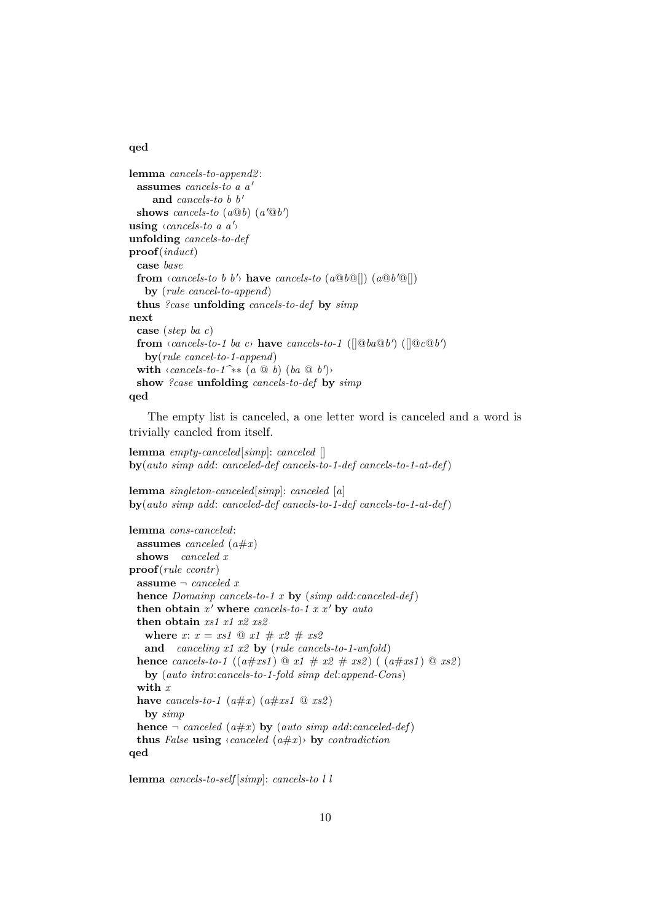#### **qed**

```
lemma cancels-to-append2 :
  assumes cancels-to a a'
      and cancels-to b b'shows cancels-to (a@b) (a@b')using \langle cancels-to \ a \ a' \rangleunfolding cancels-to-def
proof(induct)
  case base
  from \langle \text{cancels-to} \mid b \mid \rangle have \text{cancels-to} \left( \text{a@b@} \right) \left( \text{a@b@} \right)by (rule cancel-to-append)
  thus ?case unfolding cancels-to-def by simp
next
  case (step ba c)
  from \langle \text{cancels-to-1} \text{ ba } c \rangle have \text{cancels-to-1} (\langle [\text{ab} \text{aa} \text{ab}'] \rangle) (\langle [\text{aa} \text{ab}'])
    by(rule cancel-to-1-append)
  with ‹cancels-to-1<sup>2</sup>∗∗ (a @ b) (ba @ b<sup>′</sup>)
  show ?case unfolding cancels-to-def by simp
qed
```
The empty list is canceled, a one letter word is canceled and a word is trivially cancled from itself.

```
lemma empty-canceled[simp]: canceled []
by(auto simp add: canceled-def cancels-to-1-def cancels-to-1-at-def)
```

```
lemma singleton-canceled[simp]: canceled [a]
by(auto simp add: canceled-def cancels-to-1-def cancels-to-1-at-def)
```

```
lemma cons-canceled:
 assumes canceled (a#x)
 shows canceled x
proof(rule ccontr)
  assume ¬ canceled x
  hence Domainp cancels-to-1 x by (simp add:canceled-def)
  then obtain x' where cancels-to-1 x x' by auto
  then obtain xs1 x1 x2 xs2
   where x: x = xs1 \text{ } @ x1 \# x2 \# xs2and canceling x1 x2 by (rule cancels-to-1-unfold)
 hence cancels-to-1 ((a \# xs1) \textcircled{a} x1 \# x2 \# xs2) ((a \# xs1) \textcircled{a} xs2)
   by (auto intro:cancels-to-1-fold simp del:append-Cons)
  with x
 have cancels-to-1 (a \# x) (a \# xs1 \ @ \ x s2)by simp
 hence \neg canceled (a \# x) by (auto \, simple \, add: canceled\text{-}def))
 thus False using \langle canceled (a \# x) by contradiction
qed
```
**lemma** *cancels-to-self* [*simp*]: *cancels-to l l*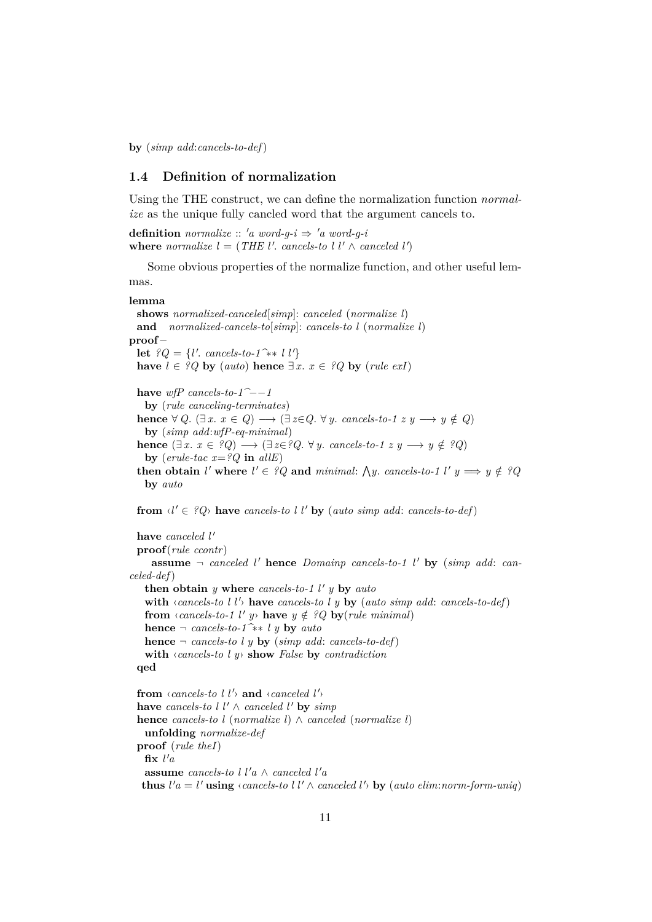**by** (*simp add*:*cancels-to-def*)

### <span id="page-10-0"></span>**1.4 Definition of normalization**

Using the THE construct, we can define the normalization function *normalize* as the unique fully cancled word that the argument cancels to.

**definition** *normalize* :: '*a word-g-i*  $\Rightarrow$  '*a word-g-i* where *normalize*  $l = (THE \, l'. \, cancels-to \, l \, l' \wedge \, canceled \, l')$ 

Some obvious properties of the normalize function, and other useful lemmas.

#### **lemma**

**shows** *normalized-canceled*[*simp*]: *canceled* (*normalize l*) **and** *normalized-cancels-to*[*simp*]: *cancels-to l* (*normalize l*) **proof**− **let**  $?Q = \{l'.\ cancels-to-1^*∗ l l'\}$ **have**  $l \in \{Q\}$  **by** (*auto*) **hence** ∃ *x*. *x* ∈  $\{Q\}$  **by** (*rule exI*) have  $wf$ <sup>*c*</sup> *cancels-to-1*<sup> $\hat{}$ </sup>−−*1* **by** (*rule canceling-terminates*) **hence** ∀ *Q*. ( $\exists x \cdot x \in Q$ ) → ( $\exists z \in Q$ . ∀ *y*. *cancels-to-1 z y* → *y* ∉ *Q*) **by** (*simp add*:*wfP-eq-minimal*) **hence**  $(∃x, x ∈ ?Q) → (∃z ∈ ?Q. ∀ y. cancels-to-1 z y → y ∉ ?Q)$ **by** (*erule-tac*  $x = ?Q$  **in**  $allE$ ) **then obtain** *l*' **where**  $l' \in {}^g Q$  and *minimal*:  $\bigwedge y$ . *cancels-to-1 l'*  $y \implies y \notin {}^g Q$ **by** *auto*

**from**  $\langle l' \in {}^{\circ}Q \rangle$  **have** *cancels-to l l'* by (*auto simp add: cancels-to-def*)

```
have canceled l'
 proof(rule ccontr)
     assume \lnot canceled l' hence Domainp cancels-to-1 l' by (simp add: can-
celed-def)
   then obtain y where cancels-to-1 l' y by autowith \langle cancels-to l l'\rangle have cancels-to l y by (auto simp add: cancels-to-def)
   from \langle \text{cancel-to-1 } l' y \rangle have y \notin {}^2Q by(rule minimal)
   hence ¬ cancels-to-1^∗∗ l y by auto
   hence \neg cancels-to l y by (simp add: cancels-to-def)
   with ‹cancels-to l y› show False by contradiction
 qed
  from \langle cancels-to l l<sup>'</sup>\rangle and \langle canceled l'\ranglehave cancels-to l l' \land canceled l' by simp
 hence cancels-to l (normalize l) ∧ canceled (normalize l)
   unfolding normalize-def
 proof (rule theI)
   \mathbf{fix}\ l'aassume cancels-to l l'a \wedge canceled l'a
   thus l'a = l'using ‹cancels-to l l' \land canceled l' by (auto elim:norm-form-uniq)
```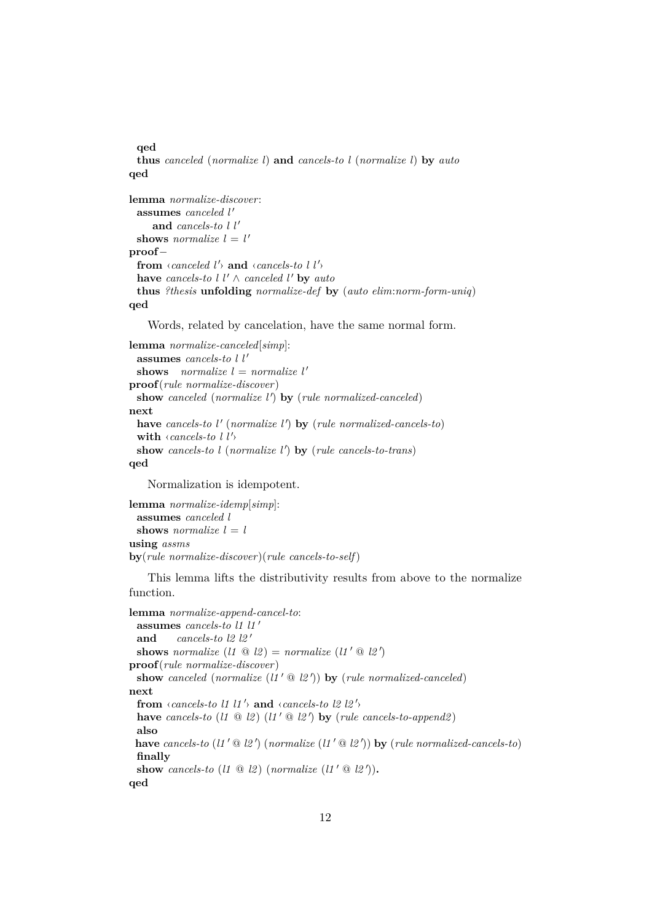```
qed
 thus canceled (normalize l) and cancels-to l (normalize l) by auto
qed
lemma normalize-discover:
 assumes canceled l'
     and \emph{cancels-to} l l'
  shows normalize l = l'proof−
  from \langle canceled l' and \langle cancels-to l l'have cancels-to l l' \wedge canceled l' by auto
 thus ?thesis unfolding normalize-def by (auto elim:norm-form-uniq)
qed
```
Words, related by cancelation, have the same normal form.

```
lemma normalize-canceled[simp]:
 assumes cancels-to l l'
 shows normalize l = normalize l'proof(rule normalize-discover)
  show canceled (normalize l') by (rule normalized-canceled)
next
  have cancels-to l' (normalize l') by (rule normalized-cancels-to)
  with \langle \textit{cancels-to} \ l \ l' \rangleshow cancels-to l (normalize l') by (rule cancels-to-trans)
qed
```
Normalization is idempotent.

```
lemma normalize-idemp[simp]:
 assumes canceled l
 shows normalize l = lusing assms
by(rule normalize-discover)(rule cancels-to-self)
```
This lemma lifts the distributivity results from above to the normalize function.

```
lemma normalize-append-cancel-to:
 assumes cancels-to l1 l1'
  and \qquad cancels-to 12 12'
  shows normalize (l1 \tQ l2) = normalize (l1' \tQ l2')proof(rule normalize-discover)
  show canceled (normalize (l1' \tQ l2')) by (rule normalized-canceled)
next
  from \langle cancels-to \; l1 \; l1' \rangle and \langle cancels-to \; l2 \; l2' \ranglehave cancels-to (l1 \tQ l2) (l1' \tQ l2') by (rule \tancels-to-append2)also
 have cancels-to (l1<sup>'</sup> \textcircled{2} l2<sup>'</sup>) (normalize (l1<sup>'</sup> \textcircled{2}l2<sup>'</sup>)) by (rule normalized-cancels-to)
  finally
  show cancels-to (l1 \tQ l2) (normalize (l1' \tQ l2')).
qed
```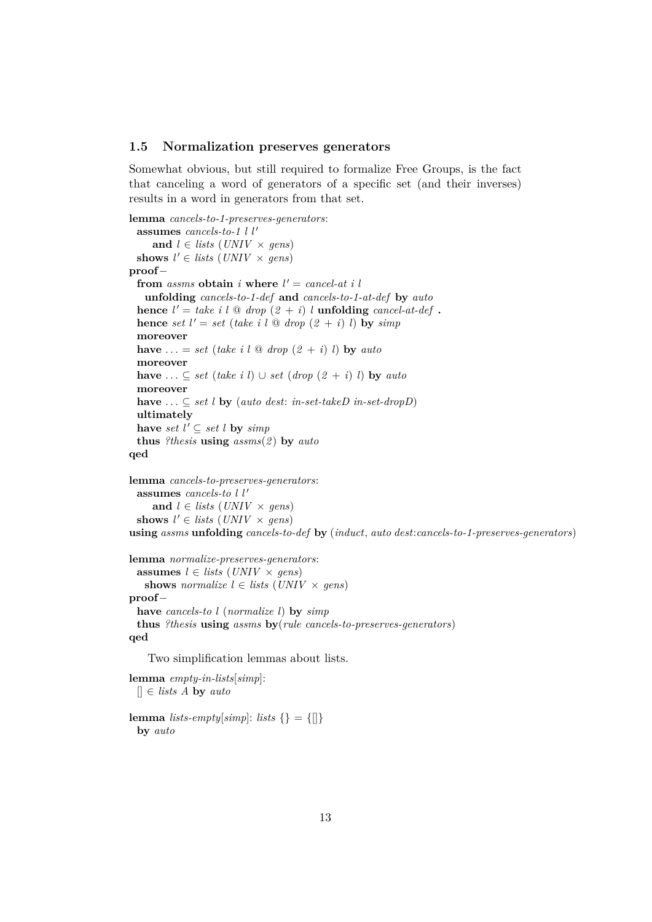#### <span id="page-12-0"></span>**1.5 Normalization preserves generators**

Somewhat obvious, but still required to formalize Free Groups, is the fact that canceling a word of generators of a specific set (and their inverses) results in a word in generators from that set.

```
lemma cancels-to-1-preserves-generators:
  assumes cancels-to-1 l l'
      and l \in lists (UNIV × gens)
  shows l' \in lists (UNIV \times gens)
proof−
  from assms obtain i where l' = \text{cancel-}at i
    unfolding cancels-to-1-def and cancels-to-1-at-def by auto
  hence l' = take \, i \, l \, \textcircled{a} \, drop \, (2 + i) \, l \, uniformly \, and \, conclude that the function <math>l' = \text{a} \, k \, e \, i \, l \, \textcircled{b} \, drop \, (2 + i) \, l \, uniformly \, and \, the function <math>l' = \text{a} \, k \, e \, i \, l \, \textcircled{b} \, drop \, (2 + i) \, l \, uniformly \, and \, the function <math>l' = \text{a} \, k \, e \, i \, l \, \textcircled{c} \, drop \, (2 + i) \, l \, uniformly \, and \, the function <math>hence set l' = set (take i l \textcircled{a} drop (2 + i) l) by simp
  moreover
  have ... = set (take i l \omega drop (2 + i) l) by auto
  moreover
  have ... ⊆ set (take i l) ∪ set (drop (2 + i) l) by auto
  moreover
  have \dots ⊂ set l by (auto dest: in-set-takeD in-set-dropD)
  ultimately
  have set l' \subseteq set l by simpthus ?thesis using assms(2 ) by auto
qed
lemma cancels-to-preserves-generators:
  assumes cancels-to l l'
      and l \in lists (UNIV × gens)
  shows l' \in lists (UNIV \times gens)
using assms unfolding cancels-to-def by (induct, auto dest:cancels-to-1-preserves-generators)
lemma normalize-preserves-generators:
  assumes l \in lists (UNIV \times gens)
    shows normalize l \in lists (UNIV × gens)
proof−
  have cancels-to l (normalize l) by simp
  thus ?thesis using assms by(rule cancels-to-preserves-generators)
qed
     Two simplification lemmas about lists.
lemma empty-in-lists[simp]:
  [\in lists A by auto
```

```
lemma lists-empty[simp]: lists \{\} = \{\[\}by auto
```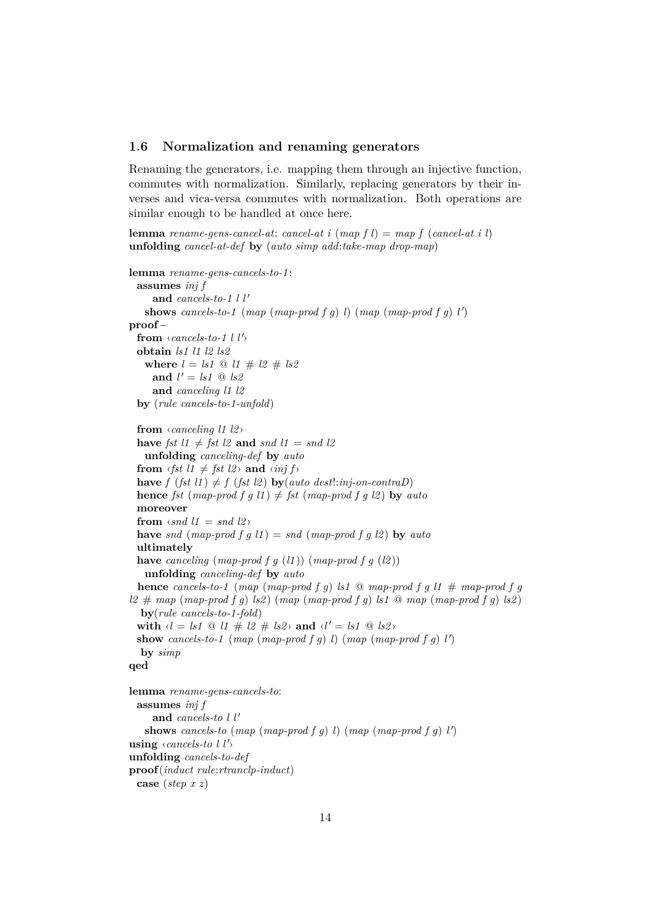#### <span id="page-13-0"></span>**1.6 Normalization and renaming generators**

Renaming the generators, i.e. mapping them through an injective function, commutes with normalization. Similarly, replacing generators by their inverses and vica-versa commutes with normalization. Both operations are similar enough to be handled at once here.

**lemma** *rename-gens-cancel-at*: *cancel-at i* (*map f l*) = *map f* (*cancel-at i l*) **unfolding** *cancel-at-def* **by** (*auto simp add*:*take-map drop-map*)

```
lemma rename-gens-cancels-to-1 :
 assumes inj f
     and cancels-to-1 l l'
    shows cancels-to-1 (map (map-prod f g) l) (map (map-prod f g) l')
proof−
  from \langle \textit{cancels-to-1} \mid l' \rangleobtain ls1 l1 l2 ls2
   where l = ls1 @ l1 \# l2 \# ls2and l' = ls1 @ ls2and canceling l1 l2
  by (rule cancels-to-1-unfold)
 from ‹canceling l1 l2 ›
  have fst l1 \neq fst l2 and snd l1 = snd l2
   unfolding canceling-def by auto
  from \langle fst \, \mathit{l1} \neq \mathit{fst} \, \mathit{l2} \rangle and \langle \mathit{inj} \, \mathit{f} \ranglehave f (fst l1) \neq f (fst l2) by(auto dest!:inj-on-contraD)
  hence fst (map-prod f g l1) \neq fst (map-prod f g l2) by auto
 moreover
 from \langle snd l1 = snd l2\ranglehave snd (map-prod f g l) = snd (map-prod f g l2) by autoultimately
 have canceling (map-prod f g (l1)) (map-prod f g (l2))
   unfolding canceling-def by auto
  hence cancels-to-1 (map (map-prod f g) ls1 @ map-prod f g l1 \# map-prod f g
l2 # map (map-prod f g) ls2 ) (map (map-prod f g) ls1 @ map (map-prod f g) ls2 )
  by(rule cancels-to-1-fold)
  with \langle l = ls1 \otimes ll \neq ls2 \neq ls2 \rangle and \langle l' = ls1 \otimes ls2 \rangleshow cancels-to-1 (map (map-prod f g) l) (map (map-prod f g) l')
  by simp
qed
lemma rename-gens-cancels-to:
 assumes inj f
     and cancels-to l l'
    shows cancels-to (map \ (map\ product\ f\ g\ )\ l) (map \ (map\ product\ f\ g\ )\ l')using \langle \textit{cancels-to} \mid l' \rangleunfolding cancels-to-def
proof(induct rule:rtranclp-induct)
```

```
case (step x z)
```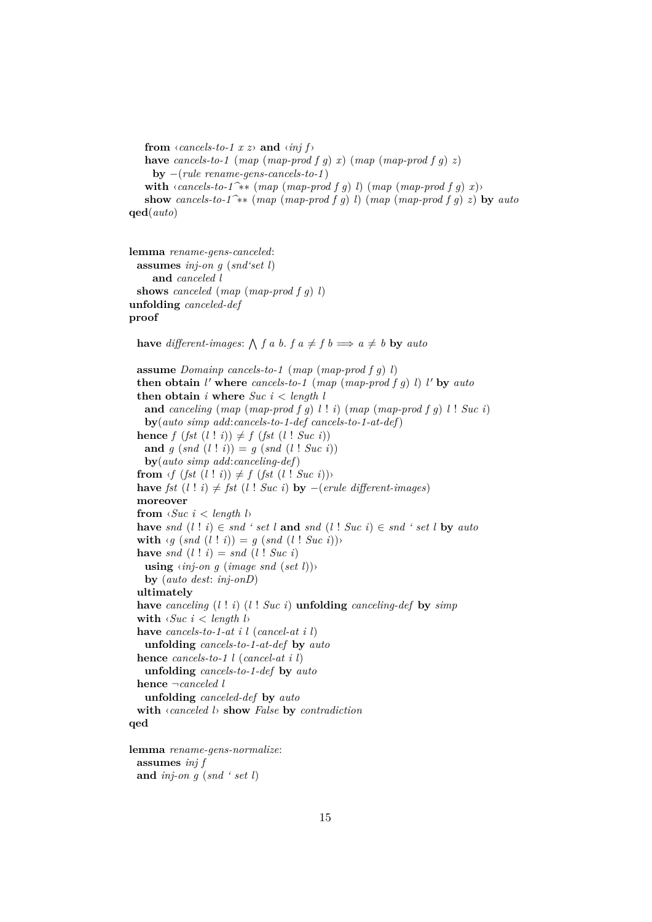**from**  $\langle \text{cancels-to-1 } x \rangle$  and  $\langle \text{inj } f \rangle$ **have** *cancels-to-1* (*map* (*map-prod f g*) *x*) (*map* (*map-prod f g*) *z*) **by** −(*rule rename-gens-cancels-to-1* ) **with**  $\langle$  *cancels-to-1*<sup> $\hat{\cdot}$ \* ( $map \pmod{f q}$ ) (*map* ( $map$  ( $map \pmod{f q}$ ) *x*)</sup> **show** *cancels-to-1^*∗∗ (*map* (*map-prod f g*) *l*) (*map* (*map-prod f g*) *z*) **by** *auto* **qed**(*auto*)

```
lemma rename-gens-canceled:
 assumes inj-on g (snd'set l)
    and canceled l
 shows canceled (map (map-prod f g) l)
unfolding canceled-def
proof
```
#### **have** different-images:  $\bigwedge f$  a b.  $f$  a  $\neq f$  b  $\implies$  a  $\neq$  b **by** auto

**assume** *Domainp cancels-to-1* (*map* (*map-prod f g*) *l*) **then obtain** *l'* where *cancels-to-1* (*map* (*map-prod f g*) *l*) *l'* by *auto* **then obtain** *i* **where** *Suc i* < *length l* **and** *canceling*  $(map \ (map\ p\ q\ q\ q\ q\ l\ l\ i)$   $(map \ (map\ p\ r\ o\ d\ f\ g\ q\ l\ l\ s\ u\ c\ i)$ **by**(*auto simp add*:*cancels-to-1-def cancels-to-1-at-def*) **hence**  $f(fst(l : i)) \neq f(fst(l : Suc i))$ **and**  $g (snd (l : i)) = g (snd (l : Suc i))$ **by**(*auto simp add*:*canceling-def*) **from**  $\langle f (fst (l! i)) \neq f (fst (l! Suc i)) \rangle$ **have** *fst* (*l* ! *i*)  $\neq$  *fst* (*l* ! *Suc i*) **by** −(*erule different-images*) **moreover from**  $\langle Suc \rangle i \langle \rangle$  *length l* **have** *snd*  $(l! i) ∈$  *snd*  $' set$  *l* **and** *snd*  $(l! Suc i) ∈$  *snd*  $' set$  *l* **by** *auto* with  $\langle g \rangle$  (*snd* (*l*! *i*)) = *g* (*snd* (*l*! *Suc i*)) **have** *snd*  $(l \mid i) = \text{snd } (l \mid \text{Suc } i)$ **using**  $\langle inj-on \ g \ (image \ snd \ (set \ l) \rangle$ **by** (*auto dest*: *inj-onD*) **ultimately have** *canceling* (*l* ! *i*) (*l* ! *Suc i*) **unfolding** *canceling-def* **by** *simp* **with**  $\langle Suc \rangle i \langle \rangle$  *length l* **have** *cancels-to-1-at i l* (*cancel-at i l*) **unfolding** *cancels-to-1-at-def* **by** *auto* **hence** *cancels-to-1 l* (*cancel-at i l*) **unfolding** *cancels-to-1-def* **by** *auto* **hence** ¬*canceled l* **unfolding** *canceled-def* **by** *auto* **with** ‹*canceled l*› **show** *False* **by** *contradiction* **qed lemma** *rename-gens-normalize*:

**assumes** *inj f* **and** *inj-on g* (*snd ' set l*)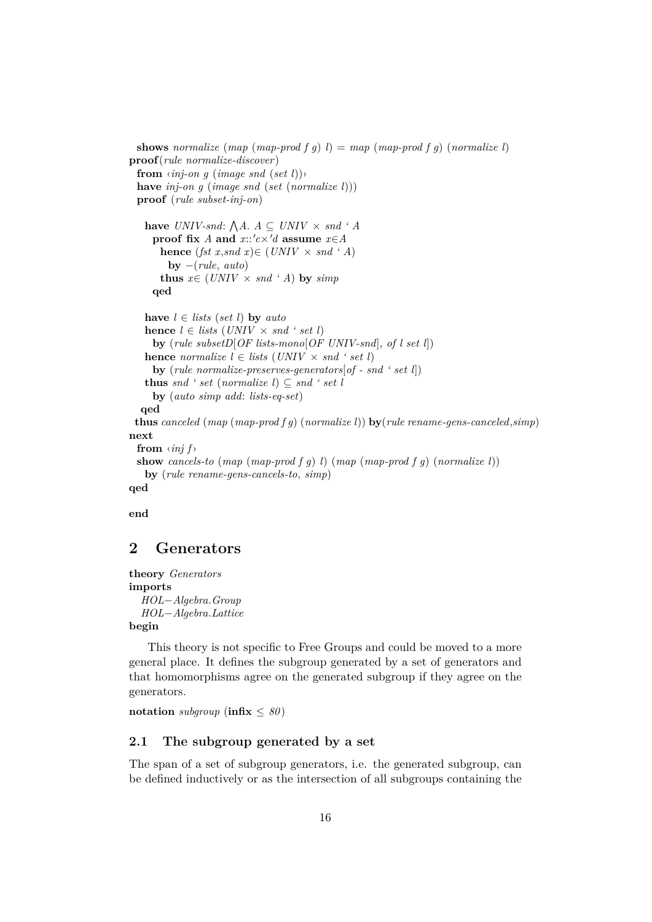```
shows normalize (map (map-prod f g) l) = map (map-prod f g) (normalize l)
proof(rule normalize-discover)
 from \langle inj-on \ g \ (image \ snd \ (set l) \ranglehave inj-on g (image snd (set (normalize l)))
 proof (rule subset-inj-on)
   have UNIV-snd: \bigwedge A. A \subseteq UNIV \times snd ' A
     proof fix A and x::'c \times d assume x \in Ahence (fst x,snd x)∈ (UNIV × snd ' A)
        by −(rule, auto)
      thus x \in (UNIV \times snd \cdot A) by simpqed
   have l \in lists (set l) by auto
   hence l \in lists (UNIV \times snd ' set l)
     by (rule subsetD[OF lists-mono[OF UNIV-snd], of l set l])
   hence normalize l \in lists (UNIV × snd ' set l)
     by (rule normalize-preserves-generators[of - snd ' set l])
   thus snd \cdot set (normalize l) \subseteq snd \cdot set lby (auto simp add: lists-eq-set)
  qed
 thus canceled (map (map-prod f g) (normalize l)) by(rule rename-gens-canceled,simp)
next
 from ‹inj f›
 show cancels-to (map (map-prod f g) l) (map (map-prod f g) (normalize l))
   by (rule rename-gens-cancels-to, simp)
qed
```
**end**

# <span id="page-15-0"></span>**2 Generators**

**theory** *Generators* **imports** *HOL*−*Algebra*.*Group HOL*−*Algebra*.*Lattice*

**begin**

This theory is not specific to Free Groups and could be moved to a more general place. It defines the subgroup generated by a set of generators and that homomorphisms agree on the generated subgroup if they agree on the generators.

**notation** *subgroup* ( $\text{infix} \leq 80$ )

## <span id="page-15-1"></span>**2.1 The subgroup generated by a set**

The span of a set of subgroup generators, i.e. the generated subgroup, can be defined inductively or as the intersection of all subgroups containing the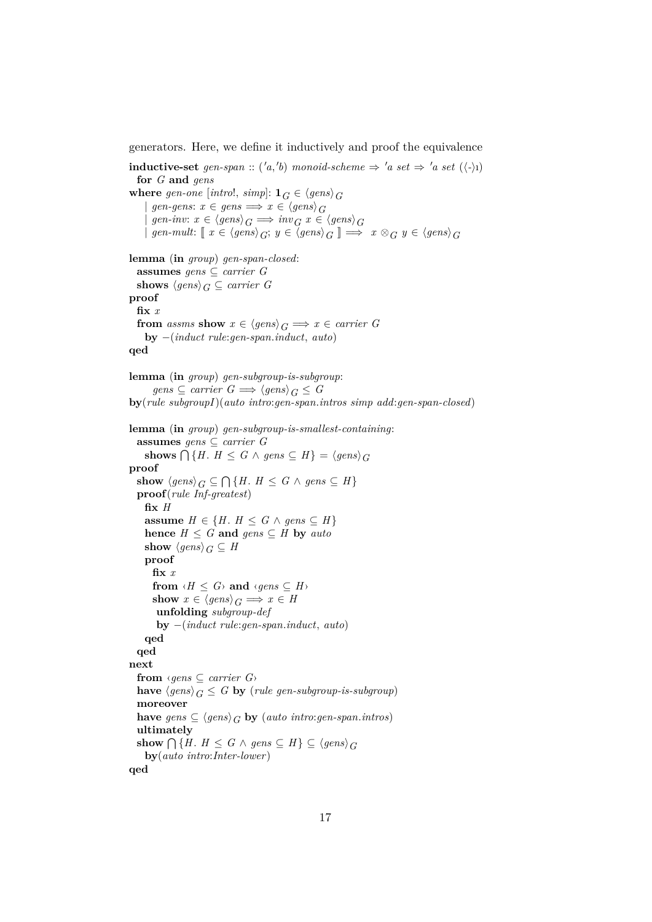generators. Here, we define it inductively and proof the equivalence **inductive-set** gen-span :: ('a,'b) monoid-scheme  $\Rightarrow$  'a set  $\Rightarrow$  'a set ( $\langle \cdot \rangle$ ) **for** *G* **and** *gens* **where** *gen-one* [*intro*!, *simp*]:  $\mathbf{1}_G \in \langle \text{gens} \rangle_G$  $gen\text{-}gens: x \in genes \implies x \in \langle genes \rangle_G$  $gen\text{-}inv: x \in \langle \text{gens} \rangle_G \Longrightarrow inv_G x \in \langle \text{gens} \rangle_G$  $\begin{bmatrix} \text{gen-mult:} \parallel x \in \langle \text{gens} \rangle_G; \text{ } y \in \langle \text{gens} \rangle_G \rrbracket \implies x \otimes_G y \in \langle \text{gens} \rangle_G$ **lemma** (**in** *group*) *gen-span-closed*: **assumes** *gens* ⊆ *carrier G* **shows**  $\langle \text{gens} \rangle_G \subseteq \text{carrier } G$ **proof fix** *x* **from** *assms* **show**  $x \in \langle \text{gens} \rangle_G \implies x \in \text{ carrier } G$ **by** −(*induct rule*:*gen-span*.*induct*, *auto*) **qed lemma** (**in** *group*) *gen-subgroup-is-subgroup*:  $gens \subseteq carrier \ G \Longrightarrow \langle qens \rangle_G \leq G$ **by**(*rule subgroupI*)(*auto intro*:*gen-span*.*intros simp add*:*gen-span-closed*) **lemma** (**in** *group*) *gen-subgroup-is-smallest-containing*: **assumes** *gens* ⊆ *carrier G* **shows**  $\bigcap$  {*H*. *H* ≤ *G* ∧ *gens* ⊆ *H*} =  $\langle$ *gens* $\rangle$ <sub>*G*</sub> **proof show**  $\langle \text{gens} \rangle_G \subseteq \bigcap \{H : H \leq G \land \text{gens} \subseteq H\}$ **proof**(*rule Inf-greatest*) **fix** *H* **assume** *H* ∈ {*H*. *H* ≤ *G* ∧ *gens* ⊆ *H*} **hence**  $H \leq G$  **and**  $gens \subseteq H$  **by**  $auto$ **show**  $\langle \text{gens} \rangle_G \subseteq H$ **proof fix** *x* **from**  $\langle H \leq G \rangle$  **and**  $\langle \text{gens} \subseteq H \rangle$ **show**  $x \in \langle \text{gens} \rangle_G \Longrightarrow x \in H$ **unfolding** *subgroup-def* **by** −(*induct rule*:*gen-span*.*induct*, *auto*) **qed qed next from**  $\langle \text{gens} \subseteq \text{carrier } G \rangle$ **have**  $\langle \text{gens} \rangle_G \leq G$  **by** (*rule gen-subgroup-is-subgroup*) **moreover have** *gens* ⊆  $\langle \text{gens} \rangle$  *G* **by** (*auto intro:gen-span.intros*) **ultimately show**  $\bigcap$  {*H*. *H* ≤ *G* ∧ *gens* ⊆ *H*} ⊆  $\langle \text{gens} \rangle$ <sub>*G*</sub> **by**(*auto intro*:*Inter-lower*) **qed**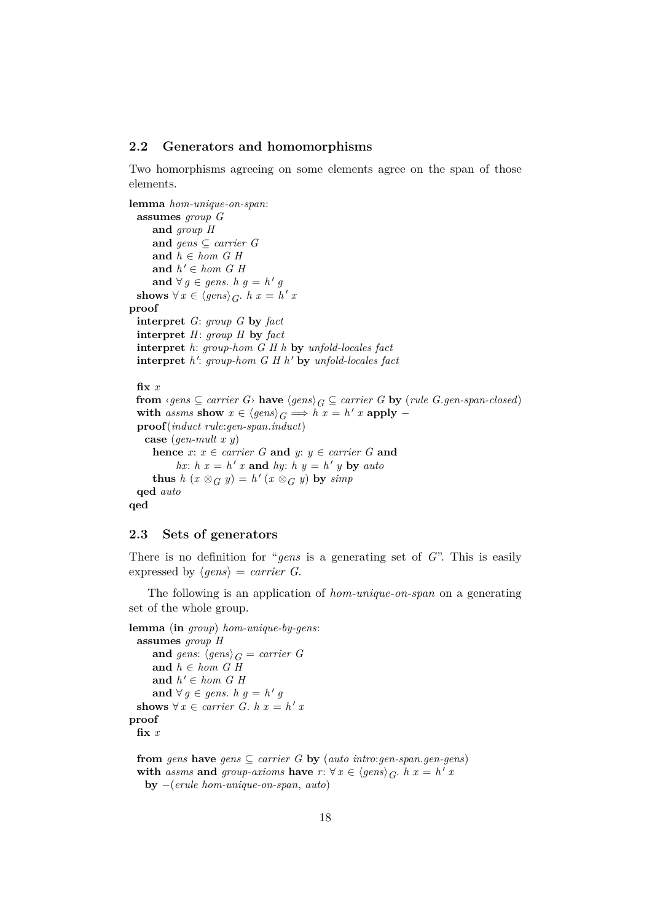## <span id="page-17-0"></span>**2.2 Generators and homomorphisms**

Two homorphisms agreeing on some elements agree on the span of those elements.

```
lemma hom-unique-on-span:
  assumes group G
     and group H
     and gens ⊆ carrier G
     and h ∈ hom G H
      and h' \in hom \ G \ Hand ∀ g ∈ gens. h g = h<sup>'</sup> g
  shows \forall x \in \langle \text{gens} \rangle_G. h x = h' x
proof
  interpret G: group G by fact
  interpret H: group H by fact
  interpret h: group-hom G H h by unfold-locales fact
  \textbf{interpret} h': group-hom G H h' by unfold-locales fact
  fix x
 from \langle \text{gens } \subseteq \text{ carrier } G \rangle have \langle \text{gens } \rangle_G \subseteq \text{ carrier } G by (rule G.gen-span-closed)
  with assms show x \in \langle \text{gens} \rangle_G \implies h \, \overline{x} = h' \, x apply –
  proof(induct rule:gen-span.induct)
   case (gen-mult x y)
      hence x: x \in carrier \ G and y: y \in carrier \ G and
            hx: h x = h' x and hy: h y = h' y by auto
      thus h(x \otimes_G y) = h'(x \otimes_G y) by simpqed auto
qed
```
## <span id="page-17-1"></span>**2.3 Sets of generators**

There is no definition for "*gens* is a generating set of *G*". This is easily expressed by  $\langle qens \rangle = carrier G$ .

The following is an application of *hom-unique-on-span* on a generating set of the whole group.

```
lemma (in group) hom-unique-by-gens:
  assumes group H
     and gens: \langle \text{gens} \rangle_G = \text{carrier } Gand h ∈ hom G H
      and h' \in hom \ G \ Hand ∀ g ∈ gens. h g = h<sup>'</sup> g
  shows \forall x \in carrier \ G. \ h \ x = h' \ xproof
```

```
fix x
```
**from** *gens* **have** *gens*  $\subseteq$  *carrier G* **by** (*auto intro:gen-span.gen-gens*) with *assms* and *group-axioms* have  $r: \forall x \in \langle \text{gens} \rangle_G$ . *h*  $x = h'$ . **by** −(*erule hom-unique-on-span*, *auto*)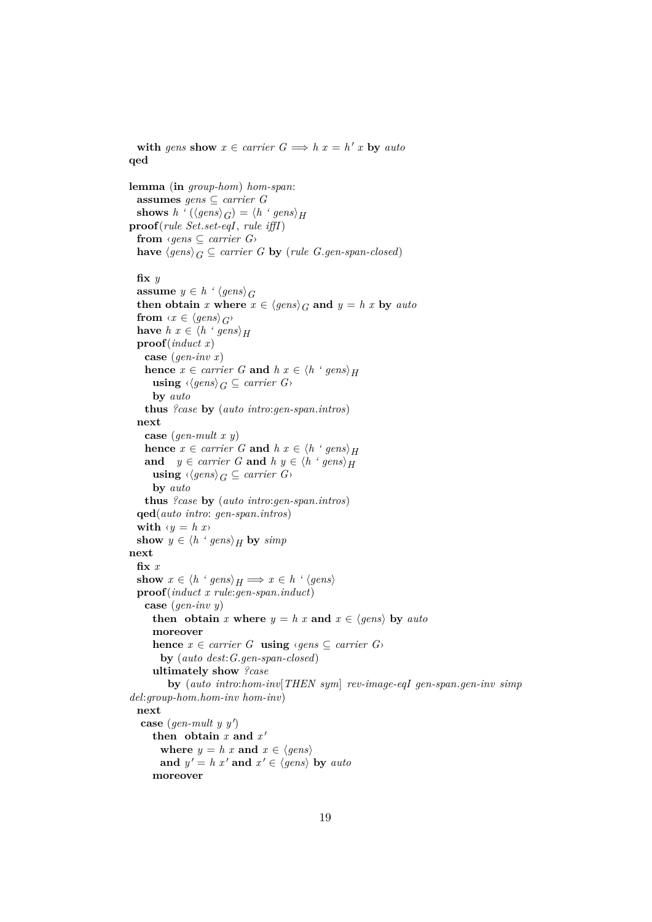**qed lemma** (**in** *group-hom*) *hom-span*: **assumes** *gens* ⊆ *carrier G* **shows**  $h'(\langle \text{gens} \rangle_G) = \langle h' \text{gens} \rangle_H$ **proof**(*rule Set*.*set-eqI*, *rule iffI*) **from** ‹*gens* ⊆ *carrier G*› **have**  $\langle \text{gens} \rangle_G \subseteq \text{carrier } G$  **by** (*rule G.gen-span-closed*) **fix** *y* **assume**  $y \in h \land \langle \text{gens} \rangle_G$ **then obtain** *x* where  $x \in \langle \text{gens} \rangle_G$  and  $y = h \cdot x$  by *auto* **from**  $\langle x \in \langle \text{gens} \rangle_G \rangle$ **have**  $h x \in \langle h \cdot \text{gens} \rangle_H$ **proof**(*induct x*) **case** (*gen-inv x*) **hence**  $x \in carrier \ G$  **and**  $h \ x \in \langle h \land gens \rangle_H$ **using**  $\langle \langle \text{gens} \rangle_G \subseteq \text{carrier } G \rangle$ **by** *auto* **thus** *?case* **by** (*auto intro*:*gen-span*.*intros*) **next case** (*gen-mult x y*) **hence**  $x \in carrier \ G$  **and**  $h \ x \in \langle h \land gens \rangle_H$ **and**  $y \in carrier \ G$  **and**  $h \ y \in \langle h \cdot gens \rangle_H$ **using**  $\langle \langle \text{gens} \rangle_G \subseteq \text{carrier } G \rangle$ **by** *auto* **thus** *?case* **by** (*auto intro*:*gen-span*.*intros*) **qed**(*auto intro*: *gen-span*.*intros*) **with**  $\langle y|h \rangle$ **show**  $y \in \langle h \cdot gens \rangle_H$  **by** *simp* **next fix** *x* show  $x \in \langle h \, 'gens \rangle_H \Longrightarrow x \in h \, ' \langle \text{gens} \rangle$ **proof**(*induct x rule*:*gen-span*.*induct*) **case** (*gen-inv y*) **then obtain** *x* **where**  $y = h x$  **and**  $x \in \langle \text{gens} \rangle$  **by**  $\text{auto}$ **moreover hence**  $x \in carrier \ G$  **using**  $\langle genes \subseteq carrier \ G \rangle$ **by** (*auto dest*:*G*.*gen-span-closed*) **ultimately show** *?case* **by** (*auto intro*:*hom-inv*[*THEN sym*] *rev-image-eqI gen-span*.*gen-inv simp del*:*group-hom*.*hom-inv hom-inv*) **next case** (*gen-mult y y'*) then obtain  $x$  and  $x'$ **where**  $y = h x$  **and**  $x \in \langle qens \rangle$ and  $y' = h x'$  and  $x' \in \langle \text{gens} \rangle$  by *auto* **moreover**

**with** gens **show**  $x \in carrier \ G \Longrightarrow h \ x = h' \ x$  **by**  $auto$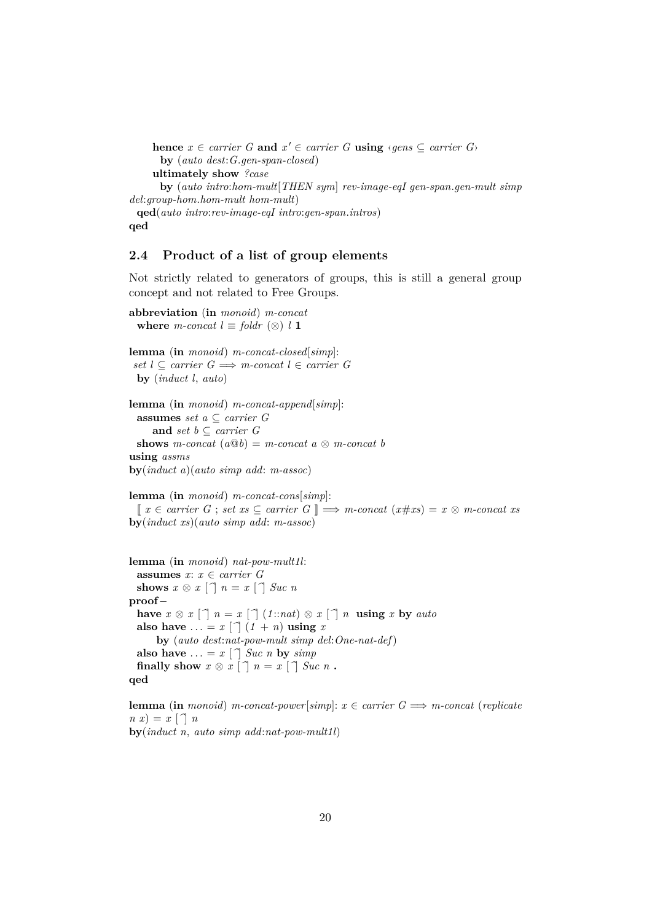```
hence x \in carrier \ G and x' \in carrier \ G using ‹gens ⊆ carrier G›
      by (auto dest:G.gen-span-closed)
    ultimately show ?case
      by (auto intro:hom-mult[THEN sym] rev-image-eqI gen-span.gen-mult simp
del:group-hom.hom-mult hom-mult)
 qed(auto intro:rev-image-eqI intro:gen-span.intros)
qed
```
### <span id="page-19-0"></span>**2.4 Product of a list of group elements**

Not strictly related to generators of groups, this is still a general group concept and not related to Free Groups.

**abbreviation** (**in** *monoid*) *m-concat* **where** *m-concat*  $l \equiv$  *foldr* (⊗)  $l \mathbf{1}$ 

**lemma** (**in** *monoid*) *m-concat-closed*[*simp*]:  $set$  *l* ⊆ *carrier*  $G$   $\implies$  *m*-concat *l* ∈ *carrier*  $G$ **by** (*induct l*, *auto*)

**lemma** (**in** *monoid*) *m-concat-append*[*simp*]: **assumes** *set a* ⊆ *carrier G* **and** *set*  $b \subseteq carrier \ G$ **shows** *m*-concat  $(a@b) = m$ -concat  $a \otimes m$ -concat  $b$ **using** *assms* **by**(*induct a*)(*auto simp add*: *m-assoc*)

**lemma** (**in** *monoid*) *m-concat-cons*[*simp*]: [[ *x* ∈ *carrier G* ; *set xs* ⊆ *carrier G* ]] =⇒ *m-concat* (*x*#*xs*) = *x* ⊗ *m-concat xs* **by**(*induct xs*)(*auto simp add*: *m-assoc*)

```
lemma (in monoid) nat-pow-mult1l:
  assumes x: x \in carrier \ Gshows x \otimes x \bigcap n = x \bigcap Suc n
proof−
  have x \otimes x [\uparrow] n = x [\uparrow] (1:nat) \otimes x [\uparrow] n using x by autoalso have ... = x \upharpoonright \uparrow (1 + n) using xby (auto dest:nat-pow-mult simp del:One-nat-def)
  also have \ldots = x \mid \hat{ } \mid Suc n by simp
  finally show x \otimes x \cap n = x \cap Suc n .
qed
```
**lemma** (**in** *monoid*) *m*-concat-power[simp]:  $x \in carrier \ G \Longrightarrow m\text{-concat}$  (replicate  $n(x) = x \upharpoonright n$ **by**(*induct n*, *auto simp add*:*nat-pow-mult1l*)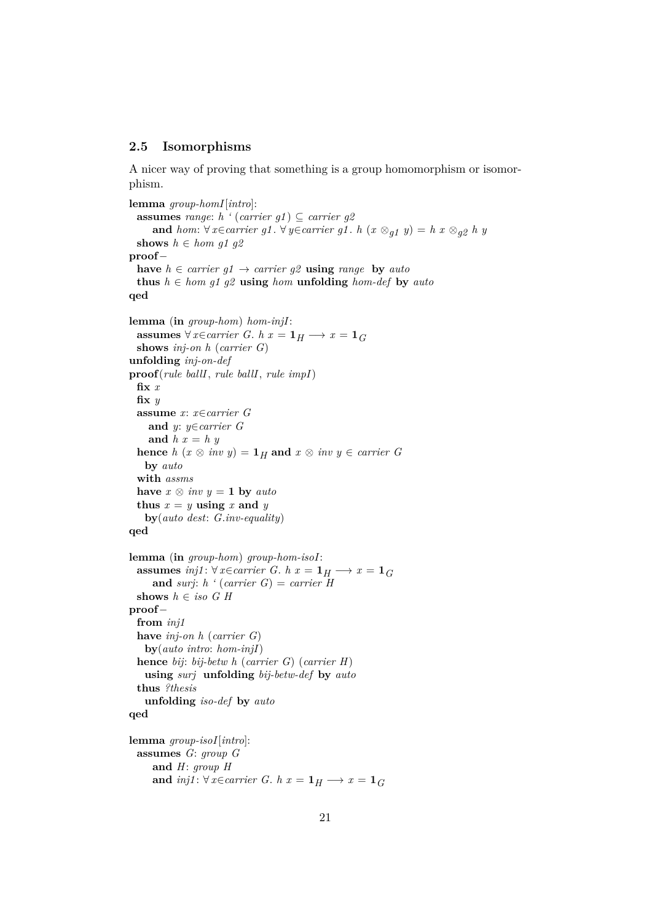#### <span id="page-20-0"></span>**2.5 Isomorphisms**

A nicer way of proving that something is a group homomorphism or isomorphism.

```
lemma group-homI[intro]:
 assumes range: h ' (carrier g1) \subseteq carrier g2
     and hom: ∀ x∈carrier g1. ∀ y∈carrier g1. h (x ⊗<sub><i>g1</sub> y) = h x ⊗<sub><i>g2</sub> h y</sub>
 shows h \in hom \{q1\}proof−
 have h \in \text{carrier } g1 \to \text{carrier } g2 using range by auto
 thus h \in hom g1 g2 using hom unfolding hom-def by auto
qed
lemma (in group-hom) hom-injI:
 assumes ∀ x∈carrier G. h x = 1H → x = 1G
 shows inj-on h (carrier G)
unfolding inj-on-def
proof(rule ballI, rule ballI, rule impI)
 fix x
 fix y
 assume x: x∈carrier G
    and y: y∈carrier G
    and h x = h y
 hence h(x \otimes inv y) = \mathbf{1}_H and x \otimes inv y \in carrier Gby auto
 with assms
 have x \otimes inv y = 1 by autothus x = y using x and yby(auto dest: G.inv-equality)
qed
lemma (in group-hom) group-hom-isoI:
 assumes inj1: \forall x \in carrier \ G. \ h \ x = \mathbf{1}_H \longrightarrow x = \mathbf{1}_Gand surj: h ' (carrier G) = carrier H
 shows h \in iso \ G \ Hproof−
 from inj1
 have inj-on h (carrier G)
   by(auto intro: hom-injI)
 hence bij: bij-betw h (carrier G) (carrier H)
   using surj unfolding bij-betw-def by auto
 thus ?thesis
   unfolding iso-def by auto
qed
lemma group-isoI[intro]:
 assumes G: group G
     and H: group H
     and inj1: ∀ x∈carrier G. h x = 1H → x = 1G
```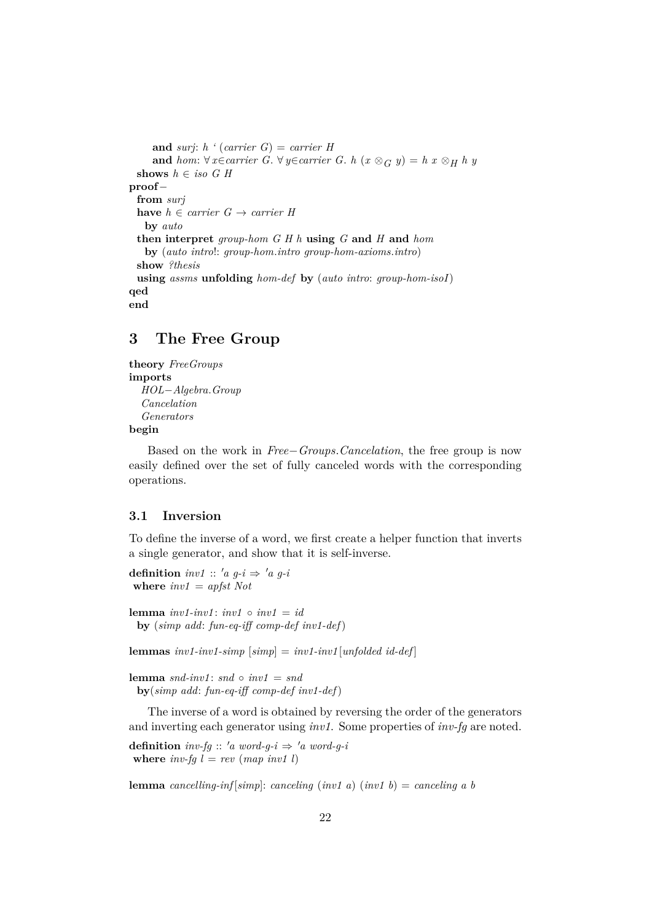```
and surj: h ' (carrier G) = carrier H
    and hom: ∀ x∈carrier G. ∀ y∈carrier G. h (x ⊗ G y) = h x ⊗ H h y
 shows h ∈ iso G H
proof−
 from surj
 have h \in carrier \ G \rightarrow carrier \ Hby auto
 then interpret group-hom G H h using G and H and hom
   by (auto intro!: group-hom.intro group-hom-axioms.intro)
 show ?thesis
 using assms unfolding hom-def by (auto intro: group-hom-isoI)
qed
end
```
# <span id="page-21-0"></span>**3 The Free Group**

```
theory FreeGroups
imports
  HOL−Algebra.Group
  Cancelation
  Generators
begin
```
Based on the work in *Free*−*Groups*.*Cancelation*, the free group is now easily defined over the set of fully canceled words with the corresponding operations.

### <span id="page-21-1"></span>**3.1 Inversion**

To define the inverse of a word, we first create a helper function that inverts a single generator, and show that it is self-inverse.

**definition** *inv1* ::  $'a \t q-i \Rightarrow 'a \t q-i$ **where** *inv1* = *apfst Not*

**lemma**  $inv1$ - $inv1$ :  $inv1 \circ inv1 = id$ **by** (*simp add*: *fun-eq-iff comp-def inv1-def*)

**lemmas** *inv1-inv1-simp* [*simp*] = *inv1-inv1* [*unfolded id-def* ]

**lemma**  $snd\text{-}inv1$ :  $snd \circ inv1 = snd$ **by**(*simp add*: *fun-eq-iff comp-def inv1-def*)

The inverse of a word is obtained by reversing the order of the generators and inverting each generator using *inv1*. Some properties of *inv-fg* are noted.

**definition**  $inv-fg :: 'a word-g-i \Rightarrow 'a word-g-i$ **where**  $inv-fg$   $l = rev$  (map  $inv1$  l)

**lemma** *cancelling-inf* [*simp*]: *canceling* (*inv1 a*) (*inv1 b*) = *canceling a b*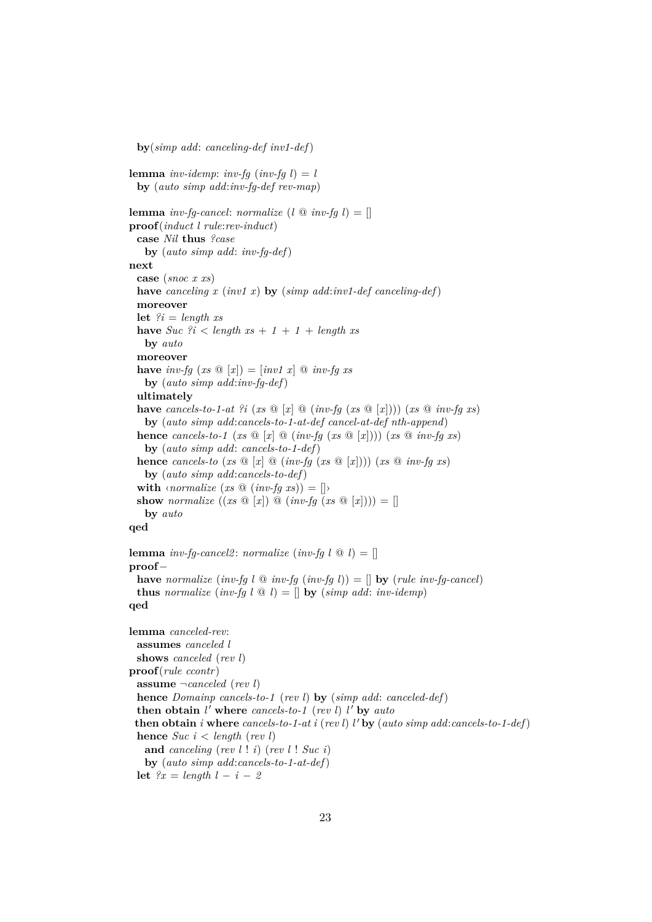**by**(*simp add*: *canceling-def inv1-def*) **lemma** *inv-idemp*: *inv-fg* (*inv-fg*  $l$ ) = *l* **by** (*auto simp add*:*inv-fg-def rev-map*) **lemma** *inv-fg-cancel: normalize*  $(l \otimes inv\text{-}fg l) = []$ **proof**(*induct l rule*:*rev-induct*) **case** *Nil* **thus** *?case* **by** (*auto simp add*: *inv-fg-def*) **next case** (*snoc x xs*) **have** *canceling x* (*inv1 x*) **by** (*simp add*:*inv1-def canceling-def*) **moreover let**  $?i = length xs$ **have** *Suc*  $?i < length xs + 1 + 1 + length xs$ **by** *auto* **moreover have**  $inv-fg$   $(xs \otimes [x]) = [inv1 \ x] \otimes inv-fg$  xs **by** (*auto simp add*:*inv-fg-def*) **ultimately have** *cancels-to-1-at* ?*i* (*xs*  $\mathcal{Q}$  [*x*]  $\mathcal{Q}$  (*inv-fg* (*xs*  $\mathcal{Q}$  [*x*]))) (*xs*  $\mathcal{Q}$  *inv-fg xs*) **by** (*auto simp add*:*cancels-to-1-at-def cancel-at-def nth-append*) **hence** *cancels-to-1* (*xs*  $\mathcal{Q}$  [*x*]  $\mathcal{Q}$  (*inv-fg* (*xs*  $\mathcal{Q}$  [*x*]))) (*xs*  $\mathcal{Q}$  *inv-fg xs*) **by** (*auto simp add*: *cancels-to-1-def*) **hence** *cancels-to* (*xs* @ [*x*] @ (*inv-fg* (*xs* @ [*x*]))) (*xs* @ *inv-fg xs*) **by** (*auto simp add*:*cancels-to-def*) **with**  $\langle normalize(xs \oplus (inv-fq xs))] = ||\rangle$ **show** normalize  $((xs \mathbb{Q}[x]) \mathbb{Q}(inv-fq(x\mathbb{Q}[x])) = []$ **by** *auto* **qed lemma** *inv-fg-cancel2*: *normalize* (*inv-fg*  $l \textcircled{a} l$ ) = [] **proof**− **have** *normalize* (*inv-fg*  $l \text{ } @$  *inv-fg* (*inv-fg*  $l$ )) =  $\parallel$  **by** (*rule inv-fg-cancel*) **thus** *normalize* (*inv-fg*  $l \text{ } @$   $l$ ) =  $\parallel$  **by** (*simp add: inv-idemp*) **qed lemma** *canceled-rev*: **assumes** *canceled l* **shows** *canceled* (*rev l*) **proof**(*rule ccontr*) **assume** ¬*canceled* (*rev l*) **hence** *Domainp cancels-to-1* (*rev l*) **by** (*simp add*: *canceled-def*) **then obtain**  $l'$  where *cancels-to-1* (*rev l*)  $l'$  by *auto* 

**then obtain** *i* **where** *cancels-to-1-at i* (*rev l*) *l* <sup>0</sup> **by** (*auto simp add*:*cancels-to-1-def*) **hence** *Suc i* < *length* (*rev l*) **and** *canceling* (*rev l* ! *i*) (*rev l* ! *Suc i*)

**by** (*auto simp add*:*cancels-to-1-at-def*) **let**  $?x = length l - i - 2$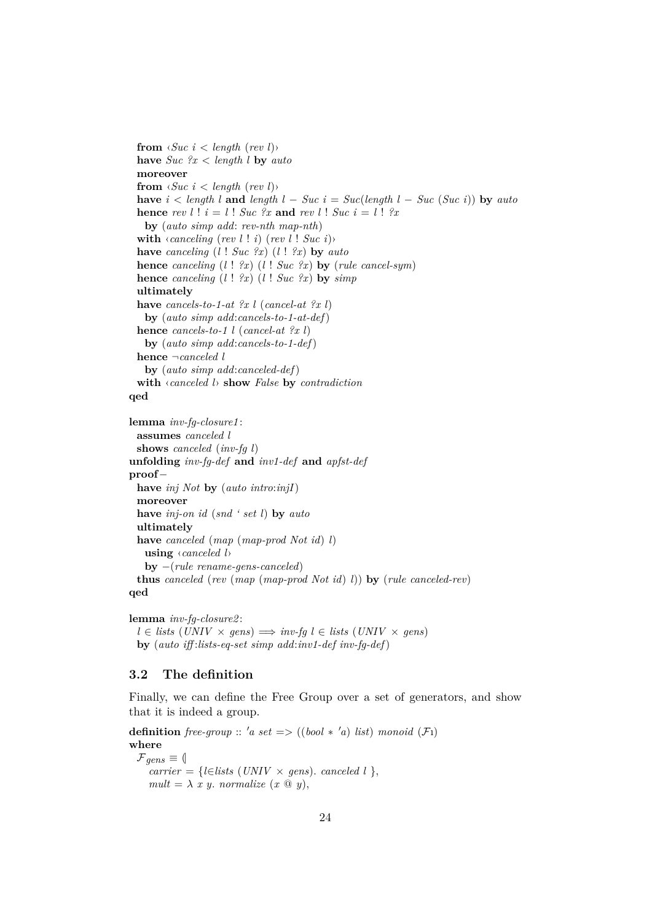```
from \langle \textit{Suc } i \rangle \langle \textit{length } (\textit{rev } l) \ranglehave Suc ?x < length l by auto
  moreover
  from \langle \textit{Suc } i \rangle \langle \textit{length } (\textit{rev } l) \ranglehave i < length l and length l - Suc i = Suc(length l - Suc(Suc i)) by auto
  hence rev \, l \, ! \, i = l \, ! \, Suc \, ?x and rev \, l \, ! \, Suc \, i = l \, ! \, ?xby (auto simp add: rev-nth map-nth)
  with \langle \text{cancellation} \, (rev \, l \, ! \, i) \, (rev \, l \, ! \, Suc \, i) \ranglehave canceling (l ! Suc ?x) (l ! ?x) by auto
  hence canceling (l! ?x) (l! Suc ?x) by (\text{rule cancel-sym})hence canceling (l! ?x) (l! Suc ?x) by simpultimately
  have cancels-to-1-at ?x l (cancel-at ?x l)
    by (auto simp add:cancels-to-1-at-def)
  hence cancels-to-1 l (cancel-at ?x l)
    by (auto simp add:cancels-to-1-def)
  hence ¬canceled l
    by (auto simp add:canceled-def)
  with ‹canceled l› show False by contradiction
qed
```

```
lemma inv-fg-closure1 :
 assumes canceled l
 shows canceled (inv-fg l)
unfolding inv-fg-def and inv1-def and apfst-def
proof−
 have inj Not by (auto intro:injI)
 moreover
 have inj-on id (snd ' set l) by auto
 ultimately
 have canceled (map (map-prod Not id) l)
   using ‹canceled l›
   by −(rule rename-gens-canceled)
 thus canceled (rev (map (map-prod Not id) l)) by (rule canceled-rev)
qed
```

```
lemma inv-fg-closure2 :
 l ∈ lists (UNIV × gens) \implies inv-fg l ∈ lists (UNIV × gens)
 by (auto iff :lists-eq-set simp add:inv1-def inv-fg-def)
```
## <span id="page-23-0"></span>**3.2 The definition**

Finally, we can define the Free Group over a set of generators, and show that it is indeed a group.

**definition** *free-group* :: 'a set => ((*bool* \* 'a) *list*) *monoid* ( $\mathcal{F}$ 1) **where**  $\mathcal{F}_{gens} \equiv \emptyset$  $\alpha$ *carrier* = {*l*∈*lists* (*UNIV* × *gens*). *canceled l* },  $mult = \lambda x y$ *. normalize*  $(x \otimes y)$ *,*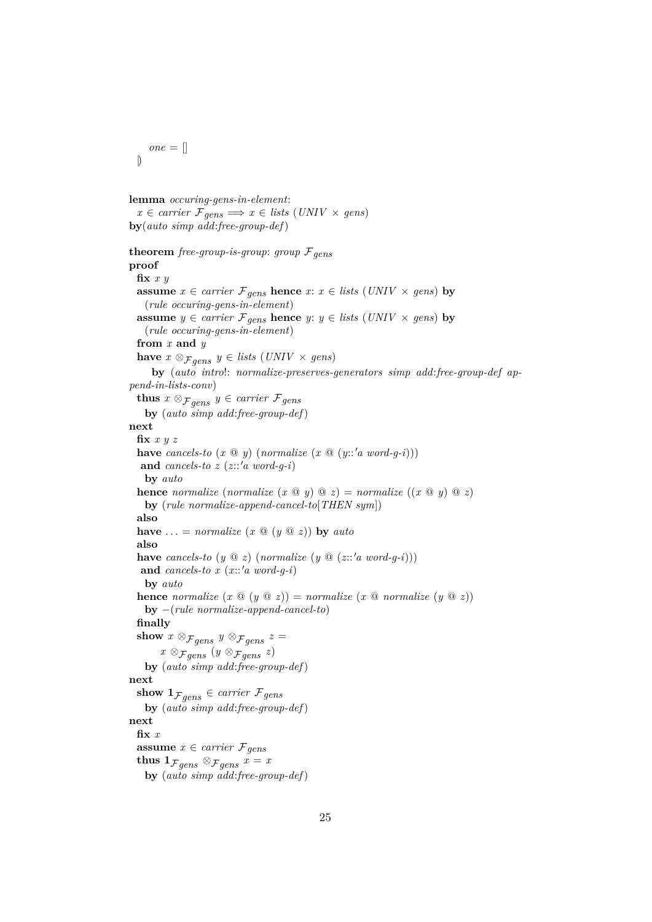```
one = []
```
|)

```
lemma occuring-gens-in-element:
  x \in carrier \mathcal{F}_{gens} \Longrightarrow x \in lists \ (UNIV \times gens)by(auto simp add:free-group-def)
theorem free-group-is-group: group \mathcal{F}_{gens}proof
 fix x y
  assume x \in carrier \mathcal{F}_{gens} hence x: x \in lists \ (UNIV \times gens) by
   (rule occuring-gens-in-element)
  assume y \in carrier \mathcal{F}_{gens} hence y: y \in lists \ (UNIV \times gens) by
    (rule occuring-gens-in-element)
  from x and y
  have x \otimes_{\mathcal{F}^{qens}} y \in \text{lists} (\text{UNIV} \times \text{gens})by (auto intro!: normalize-preserves-generators simp add:free-group-def ap-
pend-in-lists-conv)
  thus x \otimes_{\mathcal{F}^{qens}} y \in carrier \mathcal{F}_{gens}by (auto simp add:free-group-def)
next
  fix x y z
 have cancels-to (x \otimes y) (normalize (x \otimes (y::'a word-g-i)))
  and cancels-to z (z::'a word-g-i)
    by auto
  hence normalize (normalize (x \oplus y) \oplus z) = normalize ((x \oplus y) \oplus z)
    by (rule normalize-append-cancel-to[THEN sym])
  also
  have ... = normalize (x \oplus (y \oplus z)) by auto
  also
  have cancels-to (y \t Q z) (normalize (y \t Q (z::'a word-q-i)))
  and cancels-to x (x::'a word-g-i)
    by auto
  hence normalize (x \oplus (y \oplus z)) = normalize(x \oplus normalize(y \oplus z))by −(rule normalize-append-cancel-to)
  finally
  show x \otimes_{\mathcal{F}^{qens}} y \otimes_{\mathcal{F}^{qens}} z =x ⊗\mathcal{F}_{gens} (y ⊗\mathcal{F}_{gens} z)
    by (auto simp add:free-group-def)
next
 show 1_{\mathcal{F}_{gens}} \in carrier \mathcal{F}_{gens}by (auto simp add:free-group-def)
next
  fix x
  assume x \in carrier \mathcal{F}_{gens}thus 1_{F \text{gens}} \otimes_{F \text{gens}} x = xby (auto simp add:free-group-def)
```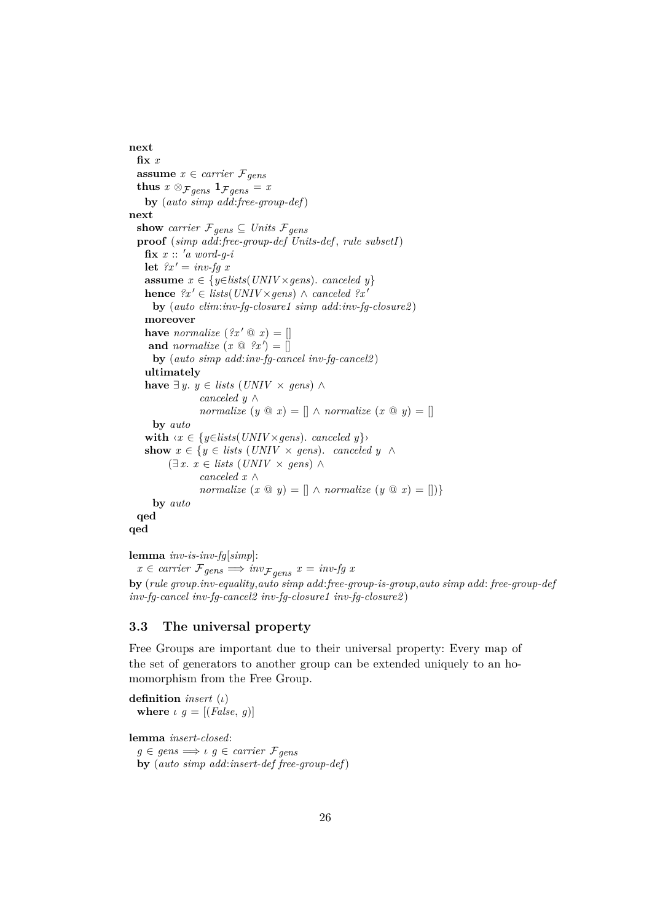**next fix** *x* **assume**  $x \in carrier \mathcal{F}{}_{gens}$ **thus**  $x \otimes_{\mathcal{F}gens} \mathbf{1}_{\mathcal{F}gens} = x$ **by** (*auto simp add*:*free-group-def*) **next** show *carrier*  $\mathcal{F}_{gens} \subseteq$  *Units*  $\mathcal{F}_{gens}$ **proof** (*simp add*:*free-group-def Units-def* , *rule subsetI*)  $\mathbf{fix}$   $x :: 'a$  word-g-i **let**  $\mathscr{L}x' = inv-fq x$ **assume** *x* ∈ {*y*∈*lists*(*UNIV*×*gens*). *canceled y*} **hence**  $?x' ∈ lists(UNIV×gens) ∧ canceled ?x'$ **by** (*auto elim*:*inv-fg-closure1 simp add*:*inv-fg-closure2* ) **moreover have** *normalize*  $($ *l* $x' \t Q x) = []$ **and** *normalize*  $(x \otimes \hat{y}) = [$ **by** (*auto simp add*:*inv-fg-cancel inv-fg-cancel2* ) **ultimately have**  $\exists y$ . *y* ∈ *lists* (*UNIV* × *gens*) ∧ *canceled y* ∧ *normalize*  $(y \otimes x) = [ \lambda \text{ normalize } (x \otimes y) = [ \lambda \text{ normalize } (x \otimes y)]$ **by** *auto* **with**  $\langle x \in \{y \in \text{lists}(\text{UNIV} \times \text{gens})\rangle$ . *canceled*  $y\}$ **show**  $x \in \{y \in \text{lists } (\text{UNIV} \times \text{gens})\}.$  *canceled y* ∧ (∃ *x*. *x* ∈ *lists* (*UNIV* × *gens*) ∧ *canceled x* ∧ *normalize*  $(x \otimes y) = [ \mid \wedge \text{ normalize } (y \otimes x) = [ \mid \mid \}$ **by** *auto* **qed qed**

```
lemma inv-is-inv-fg[simp]:
```
 $x \in carrier \mathcal{F}_{gens} \Longrightarrow inv_{\mathcal{F}_{gens}} x = inv_{\mathcal{F}_{g}} x$ **by** (*rule group*.*inv-equality*,*auto simp add*:*free-group-is-group*,*auto simp add*: *free-group-def inv-fg-cancel inv-fg-cancel2 inv-fg-closure1 inv-fg-closure2* )

#### <span id="page-25-0"></span>**3.3 The universal property**

Free Groups are important due to their universal property: Every map of the set of generators to another group can be extended uniquely to an homomorphism from the Free Group.

**definition** *insert* (ι) **where**  $\iota$   $g = [(False, g)]$ **lemma** *insert-closed*:  $g \in \text{gens} \Longrightarrow \iota \ g \in \text{carrier } \mathcal{F}_{\text{gens}}$ 

**by** (*auto simp add*:*insert-def free-group-def*)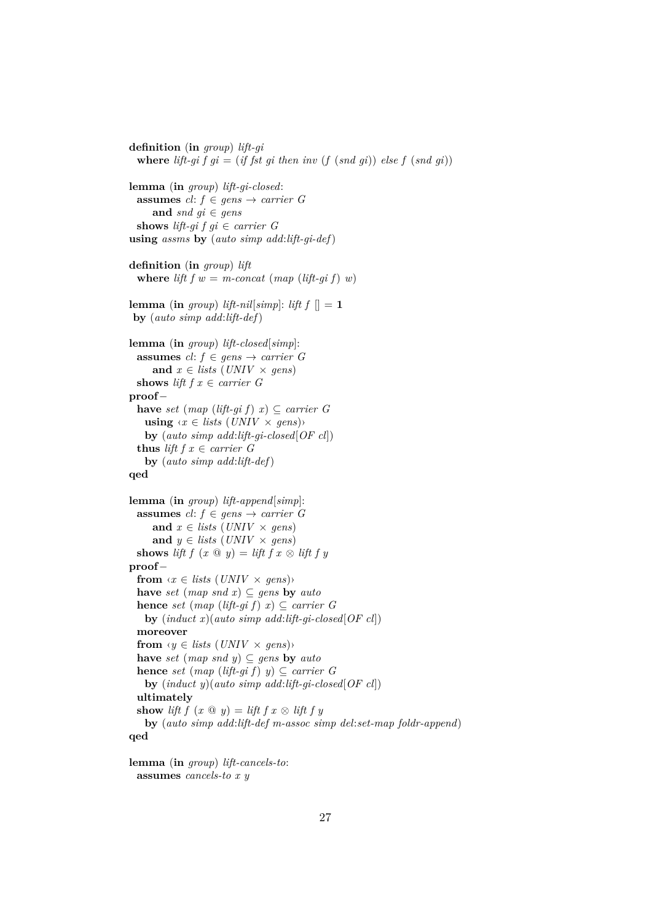**definition** (**in** *group*) *lift-gi* where  $\text{lift-gi } f \text{ gi} = (\text{if } \text{fst } \text{gi } \text{ then } \text{inv } (f \text{ (snd } \text{gi})) \text{ else } f \text{ (snd } \text{gi})$ **lemma** (**in** *group*) *lift-gi-closed*: **assumes**  $cl: f \in qens \rightarrow carrier \ G$ **and** *snd gi* ∈ *gens* **shows** *lift-qi*  $f$  *qi*  $\in$  *carrier G* **using** *assms* **by** (*auto simp add*:*lift-gi-def*) **definition** (**in** *group*) *lift* **where** *lift*  $f w = m\text{-}concat \ (map \ (lift\text{-}gi \ f) \ w)$ **lemma** (**in** *group*) *lift-nil*[*simp*]: *lift f*  $\vert\vert = 1$ **by** (*auto simp add*:*lift-def*) **lemma** (**in** *group*) *lift-closed*[*simp*]: **assumes**  $cl: f \in \text{gens} \rightarrow \text{carrier } G$ and  $x \in \text{lists (UNIV} \times \text{gens)}$ **shows** *lift*  $f x \in carrier \ G$ **proof**− **have** *set* (*map* (*lift-gi f*) *x*) ⊆ *carrier G* **using**  $\langle x \in \text{lists} \left( \text{UNIV} \times \text{gens} \right) \rangle$ **by** (*auto simp add*:*lift-gi-closed*[*OF cl*]) **thus** *lift*  $f x \in carrier \ G$ **by** (*auto simp add*:*lift-def*) **qed lemma** (**in** *group*) *lift-append*[*simp*]: **assumes**  $cl: f \in qens \rightarrow carrier \ G$ and  $x \in \text{lists}$  (*UNIV* × *gens*) **and**  $y \in \text{lists (UNIV} \times \text{gens)}$ **shows** *lift*  $f(x \oplus y) = \text{lift } f(x \otimes \text{ lift } f(y)$ **proof**− **from**  $\langle x \in \text{lists} \ ( \text{UNIV} \times \text{gens} \rangle \rangle$ **have** *set* (*map snd x*)  $\subseteq$  *gens* **by** *auto* **hence** *set* (*map* (*lift-gi f*) *x*) ⊆ *carrier G* **by** (*induct x*)(*auto simp add*:*lift-gi-closed*[*OF cl*]) **moreover from**  $\langle y \in \text{lists} \ ( \text{UNIV} \times \text{qens} ) \rangle$ **have** *set* (*map snd y*)  $\subseteq$  *gens* **by** *auto* **hence** *set* (*map* (*lift-gif*) *y*) ⊆ *carrier G* **by** (*induct y*)(*auto simp add*:*lift-gi-closed*[*OF cl*]) **ultimately show** *lift*  $f(x \oplus y) = \text{lift } f(x) \otimes \text{ lift } f(y)$ **by** (*auto simp add*:*lift-def m-assoc simp del*:*set-map foldr-append*) **qed**

**lemma** (**in** *group*) *lift-cancels-to*: **assumes** *cancels-to x y*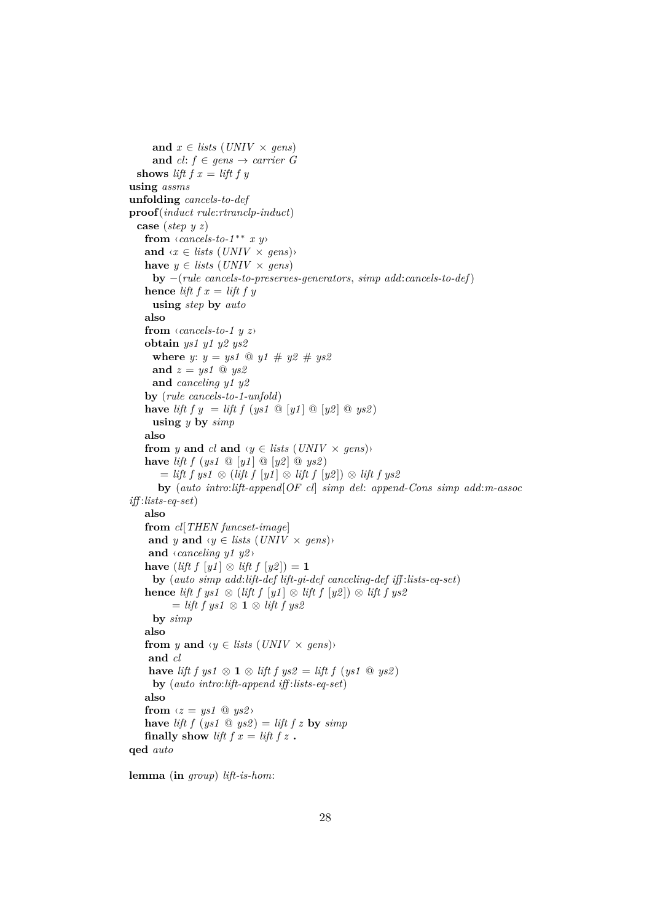**and**  $x \in \text{lists (UNIV} \times \text{gens)}$ **and**  $cl: f \in \text{gens} \rightarrow \text{carrier } G$ **shows** *lift*  $f x = l$ *ift*  $f y$ **using** *assms* **unfolding** *cancels-to-def* **proof**(*induct rule*:*rtranclp-induct*) **case** (*step y z*) **from**  $\langle \textit{cancels-to-1}^{\ast \ast} \ x \ y \rangle$ **and**  $\langle x \in \text{lists} \ ( \text{UNIV} \times \text{gens} ) \rangle$ **have**  $y \in \text{lists}$  (*UNIV*  $\times$  *gens*) **by** −(*rule cancels-to-preserves-generators*, *simp add*:*cancels-to-def*) **hence** *lift*  $f x = l$ *ift*  $f y$ **using** *step* **by** *auto* **also from**  $\langle \textit{cancels-to-1} | y z \rangle$ **obtain** *ys1 y1 y2 ys2* **where** *y*:  $y = ys1 \text{ @ } y1 \text{ # } y2 \text{ # } ys2$ and  $z = ys1$  @  $ys2$ **and** *canceling y1 y2* **by** (*rule cancels-to-1-unfold*) **have** *lift f*  $y = \text{lift } f \text{ (} y \text{ s1 } \text{ @ } [y1] \text{ @ } [y2] \text{ @ } y \text{ s2})$ **using** *y* **by** *simp* **also from** *y* **and** *cl* **and**  $\langle y \in \text{lists } (\text{UNIV} \times \text{gens}) \rangle$ **have** *lift f* ( $ys1 \text{ } @ [y1] \text{ } @ [y2] \text{ } @ ys2)$ = *lift f ys1* ⊗ (*lift f* [*y1* ] ⊗ *lift f* [*y2* ]) ⊗ *lift f ys2* **by** (*auto intro*:*lift-append*[*OF cl*] *simp del*: *append-Cons simp add*:*m-assoc iff* :*lists-eq-set*) **also from** *cl*[*THEN funcset-image*] **and** *y* **and**  $\langle y \in \text{lists } (\text{UNIV} \times \text{gens}) \rangle$ **and** ‹*canceling y1 y2* › **have** (*lift f*  $[y1] \otimes \text{lift } f[y2]$ ) = 1 **by** (*auto simp add*:*lift-def lift-gi-def canceling-def iff* :*lists-eq-set*) **hence** *lift f ys1* ⊗ (*lift f*  $[y1]$  ⊗ *lift f*  $[y2]$ ) ⊗ *lift f ys2* = *lift f ys1* ⊗ 1 ⊗ *lift f ys2* **by** *simp* **also from** *y* **and**  $\langle y \in \text{lists } (\text{UNIV} \times \text{gens}) \rangle$ **and** *cl* **have** *lift f ys1* ⊗ **1** ⊗ *lift f ys2* = *lift f (ys1* ◎ *ys2*) **by** (*auto intro*:*lift-append iff* :*lists-eq-set*) **also from**  $\langle z = ys1 \text{ } \textcircled{u} \text{ } ys2 \rangle$ **have** *lift f* (*ys1*  $\omega$  *ys2*) = *lift f z* **by** *simp* **finally show** *lift*  $f x = l$ *ift*  $f z$ . **qed** *auto*

**lemma** (**in** *group*) *lift-is-hom*: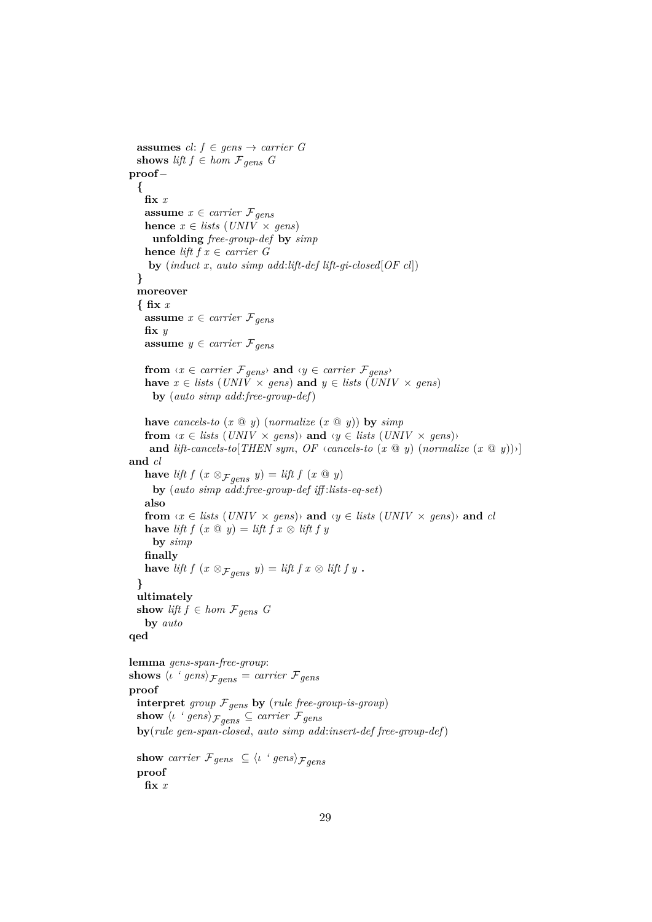```
assumes cl: f \in \text{gens} \rightarrow \text{carrier } Gshows lift f \in hom \mathcal{F}_{gens} Gproof−
  {
    fix x
    assume x \in carrier \mathcal{F}_{gens}hence x \in \text{lists} (UNIV \times gens)
       unfolding free-group-def by simp
    hence lift f x \in carrier \ Gby (induct x, auto simp add:lift-def lift-gi-closed[OF cl])
  }
  moreover
  { fix x
    assume x \in carrier \mathcal{F}_{gens}fix y
    assume y \in carrier \mathcal{F}_{gens}from \langle x \in \text{carrier } \mathcal{F}_{gens} \rangle and \langle y \in \text{carrier } \mathcal{F}_{gens} \ranglehave x \in \text{lists (UNIV} \times \text{gens)} and y \in \text{lists (UNIV} \times \text{gens)}by (auto simp add:free-group-def)
    have cancels-to (x \t Q y) (normalize (x \t Q y)) by simp
    from \langle x \in \text{lists } (\text{UNIV} \times \text{gens}) \rangle and \langle y \in \text{lists } (\text{UNIV} \times \text{gens}) \rangleand lift-cancels-to<sup>[</sup>THEN sym, OF \langle cancels-to (x \t Q y) (normalize (x \t Q y))\rangle]
and cl
    have lift f (x \otimes_{\mathcal{F}gens} y) = \text{lift } f(x \otimes y)by (auto simp add:free-group-def iff :lists-eq-set)
    also
    from \langle x \in \text{lists } (\text{UNIV} \times \text{gens}) \rangle and \langle y \in \text{lists } (\text{UNIV} \times \text{gens}) \rangle and cl
    have lift f(x \oplus y) = \text{lift } f(x) \otimes \text{lift } f(y)by simp
    finally
    have lift f (x \otimes_{\mathcal{F}gens} y) = \text{lift } f x \otimes \text{ lift } f y.
  }
  ultimately
  show lift f \in hom \mathcal{F}_{gens} G
    by auto
qed
lemma gens-span-free-group:
shows \langle \iota \, 'gens \rangle_{F \, dens} = carrier \, F \, genesproof
  interpret group \mathcal{F}_{gens} by (rule free-group-is-group)
  show \langle \iota ' gens\rangle_{\mathcal{F}gens} \subseteq carrier \mathcal{F}gensby(rule gen-span-closed, auto simp add:insert-def free-group-def)
  show carrier \mathcal{F}_{gens} \subseteq \langle \iota ' gens) \mathcal{F}_{gens}proof
    fix x
```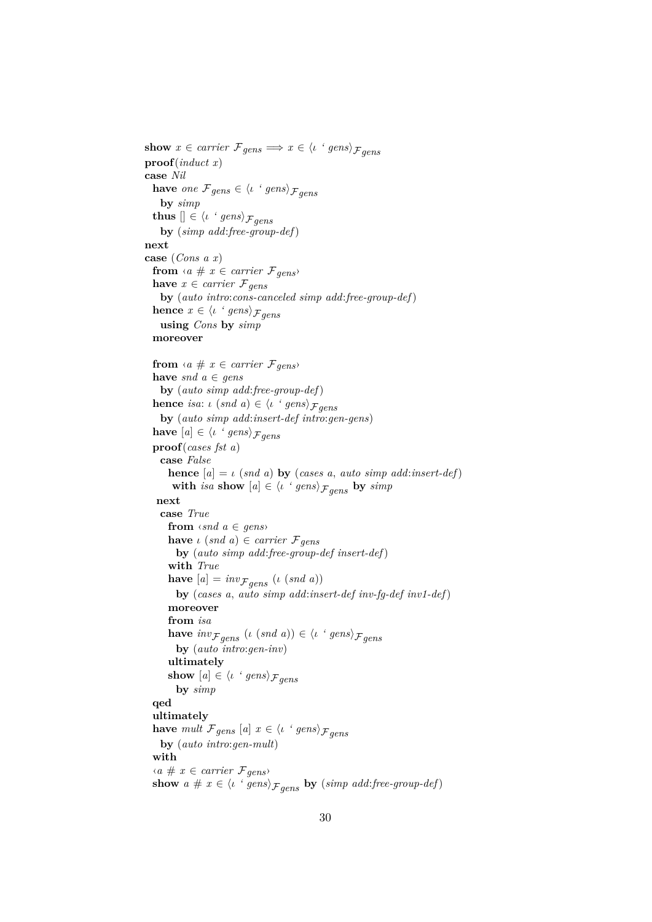**show**  $x \in carrier \mathcal{F}{}_{gens} \Longrightarrow x \in \langle \iota \land gens \rangle_{\mathcal{F}{}_{gens}}$ **proof**(*induct x*) **case** *Nil* **have** *one*  $\mathcal{F}_{gens} \in \langle \iota \, \land \, \mathit{gens} \rangle_{\mathcal{F}_{gens}}$ **by** *simp* **thus**  $[\ ] \in \langle \iota \, \land \, \text{gens} \rangle_{\mathcal{F} \text{gens}}$ **by** (*simp add*:*free-group-def*) **next case** (*Cons a x*) **from**  $\langle a \# x \in carrier \mathcal{F}_{gens} \rangle$ **have**  $x \in carrier \mathcal{F}_{gens}$ **by** (*auto intro*:*cons-canceled simp add*:*free-group-def*) **hence**  $x \in \langle \iota \, 'gens \rangle_{\mathcal{F}gens}$ **using** *Cons* **by** *simp* **moreover from**  $\langle a \# x \in carrier \mathcal{F}_{gens} \rangle$ **have** *snd*  $a \in q$ *ens* **by** (*auto simp add*:*free-group-def*) **hence** *isa*:  $\iota$  (*snd a*)  $\in$   $\langle \iota$  *' gens*)  $\mathcal{F}_{gens}$ **by** (*auto simp add*:*insert-def intro*:*gen-gens*) **have**  $[a] \in \langle \iota \, 'gens \rangle_{\mathcal{F}gens}$ **proof**(*cases fst a*) **case** *False* **hence**  $[a] = \iota$  (*snd a*) **by** (*cases a, auto simp add:insert-def*) **with** *isa* **show**  $[a] \in \langle \iota \, 'gens \rangle_{F \, qens}$  **by**  $simp$ **next case** *True* **from**  $\langle$ *snd*  $a \in \text{gens}$ **have**  $\iota$  (*snd a*)  $\in$  *carrier*  $\mathcal{F}_{gens}$ **by** (*auto simp add*:*free-group-def insert-def*) **with** *True* **have**  $[a] = inv_{\mathcal{F}gens} ( \iota (snd \ a) )$ **by** (*cases a*, *auto simp add*:*insert-def inv-fg-def inv1-def*) **moreover from** *isa* **have**  $inv_{\mathcal{F}gens}$  (*ι* (*snd a*))  $\in$  {*ι ' gens*} $_{\mathcal{F}gens}$ **by** (*auto intro*:*gen-inv*) **ultimately show**  $[a] \in \langle \iota \, 'gens \rangle_{\mathcal{F}_{gens}}$ **by** *simp* **qed ultimately have** *mult*  $\mathcal{F}_{gens}$  [*a*]  $x \in \langle \iota \, \land \, \mathcal{F}_{gens} \rangle_{\mathcal{F}gens}$ **by** (*auto intro*:*gen-mult*) **with**  $\langle a \# x \in carrier \; \mathcal{F}_{gens} \rangle$ **show**  $a \# x \in \langle \iota \, 'gens \rangle_{\mathcal{F}gens}$  **by** (*simp add:free-group-def*)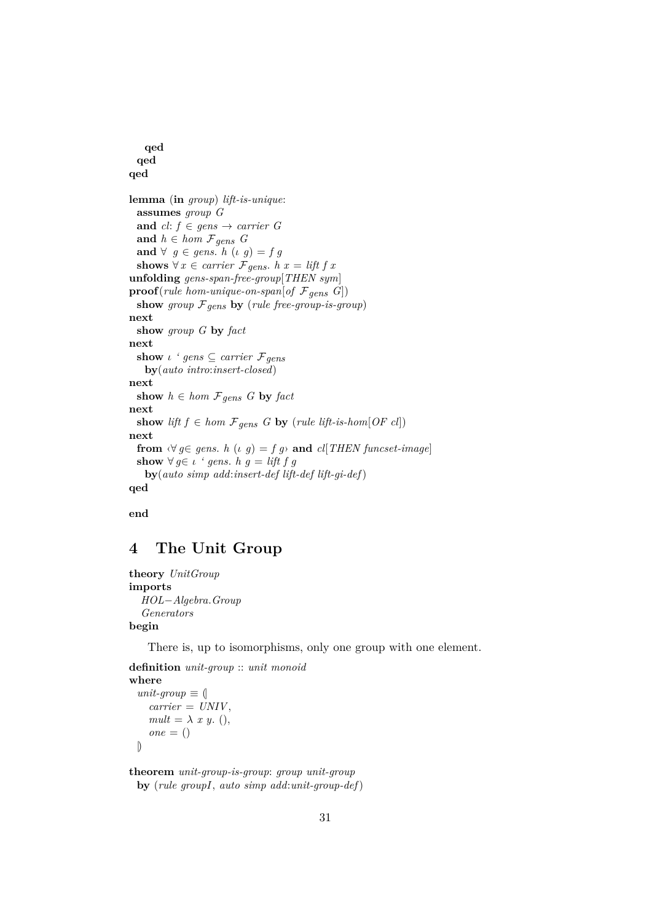```
qed
  qed
qed
lemma (in group) lift-is-unique:
  assumes group G
 and cl: f \in qens \rightarrow carrier \ Gand h \in hom \mathcal{F}_{gens} G
 and \forall g \in gens. h (\iota g) = f gshows ∀ x ∈ carrier \mathcal{F}_{gens}. h x = lift f x
unfolding gens-span-free-group[THEN sym]
\mathbf{proof}(\textit{rule hom-unique-on-span[} of \mathcal{F} \textit{gens } G])show group \mathcal{F}_{gens} by (rule free-group-is-group)
next
  show group G by fact
next
  show \iota ' gens \subseteq carrier \mathcal{F}_{gens}by(auto intro:insert-closed)
next
  show h \in hom \mathcal{F}_{gens} G by factnext
  show lift f \in hom \mathcal{F}_{gens} G by (rule lift-is-hom[OF \; cl])
next
  from \forall g \in gens. h (\iota g) = f g \land \textbf{and} \text{ } cl[THEN funcset-image]show \forall g \in \iota ' gens. h g = \text{lift } f gby(auto simp add:insert-def lift-def lift-gi-def)
qed
```
**end**

# <span id="page-30-0"></span>**4 The Unit Group**

```
theory UnitGroup
imports
  HOL−Algebra.Group
  Generators
begin
```
There is, up to isomorphisms, only one group with one element.

```
definition unit-group :: unit monoid
where
  unit-group \equiv (carrier = UNIV ,
    mult = \lambda x y. (),
    one = ()|)
```
**theorem** *unit-group-is-group*: *group unit-group* **by** (*rule groupI*, *auto simp add*:*unit-group-def*)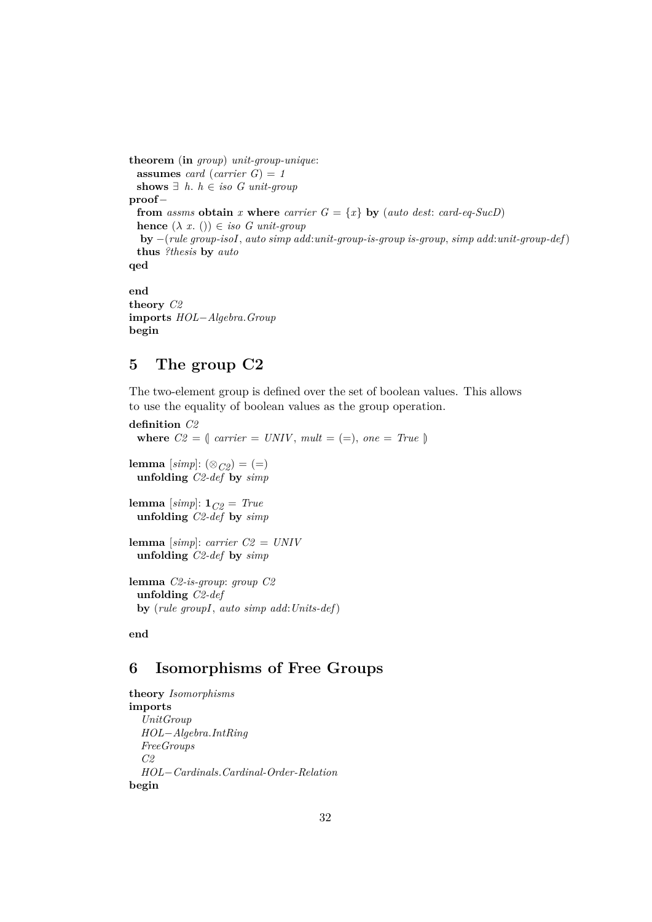**theorem** (**in** *group*) *unit-group-unique*: **assumes** *card* (*carrier G*) = 1 **shows**  $∃$  *h*. *h* ∈ *iso G unit-group* **proof**− **from** *assms* **obtain** *x* **where** *carrier*  $G = \{x\}$  **by** (*auto dest: card-eq-SucD*) **hence**  $(\lambda x.)(\lambda) \in iso \ G \ unit-group$ **by** −(*rule group-isoI*, *auto simp add*:*unit-group-is-group is-group*, *simp add*:*unit-group-def*) **thus** *?thesis* **by** *auto* **qed end**

**theory** *C2* **imports** *HOL*−*Algebra*.*Group* **begin**

# <span id="page-31-0"></span>**5 The group C2**

The two-element group is defined over the set of boolean values. This allows to use the equality of boolean values as the group operation.

```
definition C2
 where C2 = \int \text{carrier} = \text{UNIV}, \text{mult} = (=), \text{ one} = \text{True} \uparrowlemma [simp]: (\otimes_{C2}) = (=)unfolding C2-def by simp
lemma [simp]: 1C2 = Trueunfolding C2-def by simp
lemma [simp]: carrier C2 = UNIV
 unfolding C2-def by simp
lemma C2-is-group: group C2
 unfolding C2-def
 by (rule groupI, auto simp add:Units-def)
end
```
# <span id="page-31-1"></span>**6 Isomorphisms of Free Groups**

```
theory Isomorphisms
imports
  UnitGroup
  HOL−Algebra.IntRing
  FreeGroups
  C2
  HOL−Cardinals.Cardinal-Order-Relation
begin
```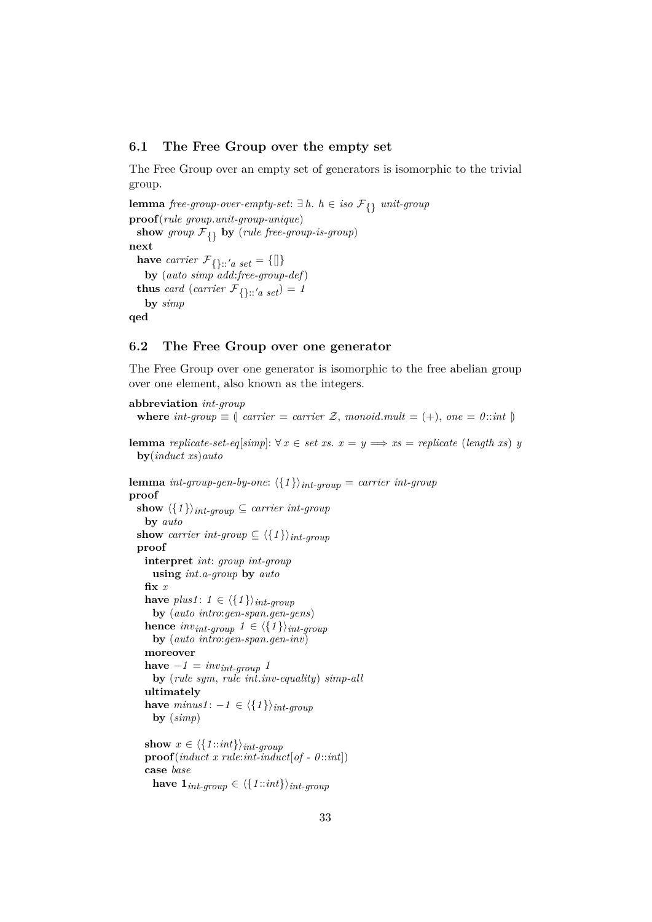#### <span id="page-32-0"></span>**6.1 The Free Group over the empty set**

The Free Group over an empty set of generators is isomorphic to the trivial group.

```
lemma free-group-over-empty-set: ∃ h. h ∈ iso F{} unit-group
proof(rule group.unit-group-unique)
 show group \mathcal{F}_{\{\}} by (rule free-group-is-group)
next
  have carrier \mathcal{F}_{\{\}::'a\ set} = \{\mathbb{I}\}\by (auto simp add:free-group-def)
  thus card (carrier \mathcal{F}_{\{\}::'a \; set}) = 1
   by simp
qed
```
#### <span id="page-32-1"></span>**6.2 The Free Group over one generator**

The Free Group over one generator is isomorphic to the free abelian group over one element, also known as the integers.

```
abbreviation int-group
  where int-group \equiv \int carrier = carrier \mathcal{Z}, monoid.mult = (+), one = 0::int \parallellemma replicate-set-eq[simp]: \forall x \in set xs. x = y \Longrightarrow xs = replicate (length xs) yby(induct xs)auto
lemma int-group-gen-by-one: \langle \{1\} \rangle_{int-qroup} = carrier\ int-qroupproof
  show \langle {1} \rangle_{int-group} \subseteq carrier\ int-groupby auto
  show carrier int-group \subseteq \langle \{1\} \rangleint-group
  proof
    interpret int: group int-group
      using int.a-group by auto
    fix x
   have plus1: 1 \in \langle \{1\} \rangleint-group
     by (auto intro:gen-span.gen-gens)
    hence inv_{int-group} 1 \in \langle \{1\} \rangle_{int-group}by (auto intro:gen-span.gen-inv)
    moreover
   have -1 = inv_{int-qroup} 1by (rule sym, rule int.inv-equality) simp-all
    ultimately
   have minus1: −1 ∈ \langle \{1\} \rangle_{int-group}by (simp)
    show x \in \langle \{1 : int \} \rangle_{int-qroup}proof(induct x rule:int-induct[of - 0 ::int])
    case base
     have \mathbf{1}_{int-group} ∈ \langle \{1::int\} \rangle_{int-group}
```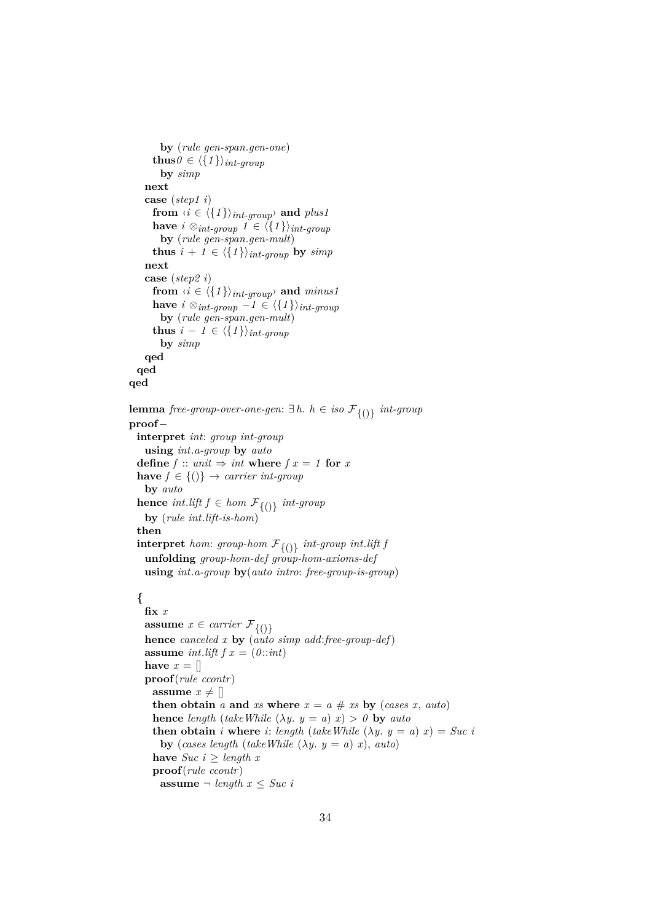**by** (*rule gen-span*.*gen-one*) **thus** $0 \in \langle \{1\} \rangle$ *int-group* **by** *simp* **next case** (*step1 i*) **from**  $\langle i \in \langle \{1\} \rangle_{int-qroup}$  **and**  $plus1$ **have**  $i \otimes_{int-group} 1 \in \langle \{1\} \rangle_{int-group}$ **by** (*rule gen-span*.*gen-mult*) **thus**  $i + 1 \in \langle \{1\} \rangle$ <sub>int-group</sub> by *simp* **next case** (*step2 i*) **from**  $\langle i \in \langle \{1\} \rangle_{int-group}$  **and**  $minus1$ **have**  $i \otimes_{int-qroup}$  −1 ∈  $\langle \{1\} \rangle_{int-qroup}$ **by** (*rule gen-span*.*gen-mult*) **thus**  $i - 1 \in \langle \{1\} \rangle$ *int-group* **by** *simp* **qed qed qed lemma** *free-group-over-one-gen*: ∃ *h*. *h* ∈ *iso* F{()} *int-group* **proof**− **interpret** *int*: *group int-group* **using** *int*.*a-group* **by** *auto* **define**  $f :: unit \Rightarrow int$  **where**  $f x = 1$  **for**  $x = 1$ **have**  $f \in \{()\}$   $\rightarrow$  *carrier int-group* **by** *auto* **hence**  $int$ *lift*  $f \in hom \mathcal{F}_{\{()\}}$   $int-group$ **by** (*rule int*.*lift-is-hom*) **then interpret** *hom*: *group-hom*  $\mathcal{F}_{\{(0)\}}$  *int-group int.lift j* **unfolding** *group-hom-def group-hom-axioms-def* **using** *int*.*a-group* **by**(*auto intro*: *free-group-is-group*) **{ fix** *x* **assume**  $x \in carrier \mathcal{F}_{\{()\}}$ **hence** *canceled x* **by** (*auto simp add*:*free-group-def*) **assume** *int.lift*  $f x = (0$  ::*int*) have  $x = \lceil \rceil$ **proof**(*rule ccontr*) **assume**  $x \neq 0$ **then obtain** *a* **and** *xs* **where**  $x = a \# xs$  **by** (*cases x, auto*) **hence** *length* (*takeWhile*  $(\lambda y, y = a)$  *x*) > 0 **by** *auto* **then obtain** *i* where *i*: *length* (*takeWhile*  $(\lambda y. y = a) x$ ) = *Suc i* **by** (*cases length* (*takeWhile* ( $\lambda y$ .  $y = a$ ) *x*), *auto*) **have**  $Suc\ i \ge length\ x$ **proof**(*rule ccontr*) **assume**  $\neg$  *length*  $x \leq S$ *uc i*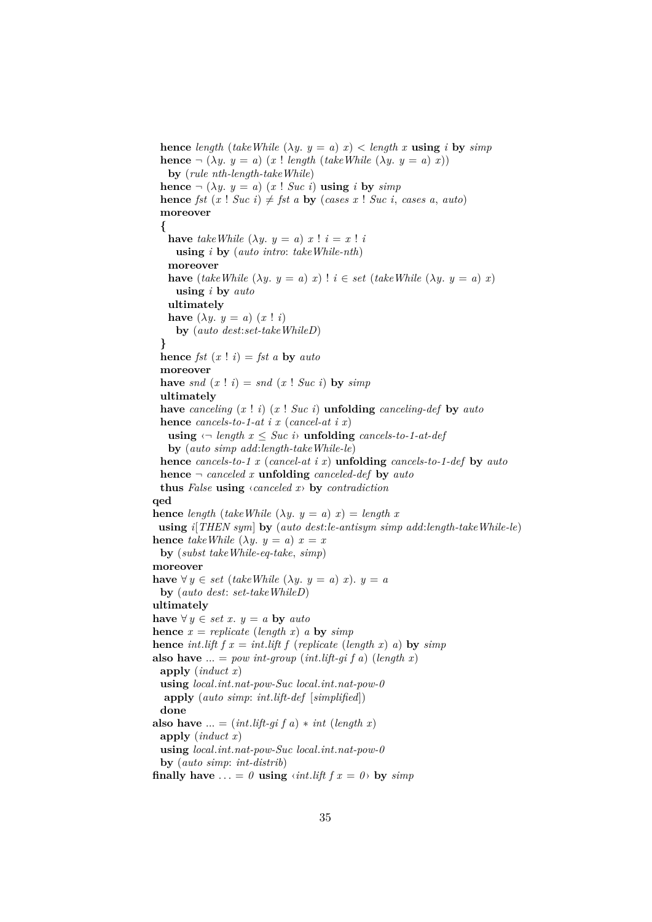**hence** *length* (*takeWhile*  $(\lambda y, y = a)$  *x*) < *length x* **using** *i* **by** *simp* **hence**  $\neg (\lambda y. y = a) (x! length (take While (\lambda y. y = a) x))$ **by** (*rule nth-length-takeWhile*) **hence**  $\neg (\lambda y, y = a)$   $(x | \textit{Suc } i)$  **using** *i* by *simp* **hence** *fst*  $(x | Suc i) \neq \text{fst } a$  **by** (*cases x* ! *Suc i*, *cases a*, *auto*) **moreover { have** *takeWhile*  $(\lambda y, y = a) x$ !  $i = x$ ! *i* **using** *i* **by** (*auto intro*: *takeWhile-nth*) **moreover have** (*takeWhile*  $(\lambda y, y = a)$  *x*) ! *i* ∈ *set* (*takeWhile*  $(\lambda y, y = a)$  *x*) **using** *i* **by** *auto* **ultimately have**  $(\lambda y, y = a)$   $(x : i)$ **by** (*auto dest*:*set-takeWhileD*) **} hence** *fst*  $(x | i) = f$ *st*  $a$  **by**  $auto$ **moreover** have *snd*  $(x! i) = \text{snd} (x! \text{Suc } i)$  by  $\text{simp}$ **ultimately have** *canceling* (*x* ! *i*) (*x* ! *Suc i*) **unfolding** *canceling-def* **by** *auto* **hence** *cancels-to-1-at i x* (*cancel-at i x*) **using**  $\langle \neg \text{ length } x \leq \textit{Suc } i \rangle$  **unfolding** *cancels-to-1-at-def* **by** (*auto simp add*:*length-takeWhile-le*) **hence** *cancels-to-1 x* (*cancel-at i x*) **unfolding** *cancels-to-1-def* **by** *auto* **hence** ¬ *canceled x* **unfolding** *canceled-def* **by** *auto* **thus** *False* **using** ‹*canceled x*› **by** *contradiction* **qed hence** *length* (*takeWhile*  $(\lambda y. y = a) x$ ) = *length* x **using** *i*[*THEN sym*] **by** (*auto dest*:*le-antisym simp add*:*length-takeWhile-le*) **hence** *takeWhile*  $(\lambda y. y = a) x = x$ **by** (*subst takeWhile-eq-take*, *simp*) **moreover have**  $\forall y \in set$  (*takeWhile* ( $\lambda y$ . *y* = *a*) *x*). *y* = *a* **by** (*auto dest*: *set-takeWhileD*) **ultimately have** ∀ *y* ∈ *set x*.  $y = a$  **by** *auto* **hence**  $x = \text{replicate (length } x)$  **a by**  $\text{simp}$ **hence** *int.lift*  $f x = int$ *.lift*  $f (replace (length x) a)$ **by**  $simp$ also have  $\ldots = pow int-group (int.lift-gi f a) (length x)$ **apply** (*induct x*) **using** *local*.*int*.*nat-pow-Suc local*.*int*.*nat-pow-0* **apply** (*auto simp*: *int*.*lift-def* [*simplified*]) **done** also have  $\ldots = (int.$ *lift-gi f a*) \* *int* (*length x*) **apply** (*induct x*) **using** *local*.*int*.*nat-pow-Suc local*.*int*.*nat-pow-0* **by** (*auto simp*: *int-distrib*) **finally have** ... =  $\theta$  **using**  $\langle \text{int.} \text{lift} \, f \, x = \theta \rangle$  by  $\text{simp}$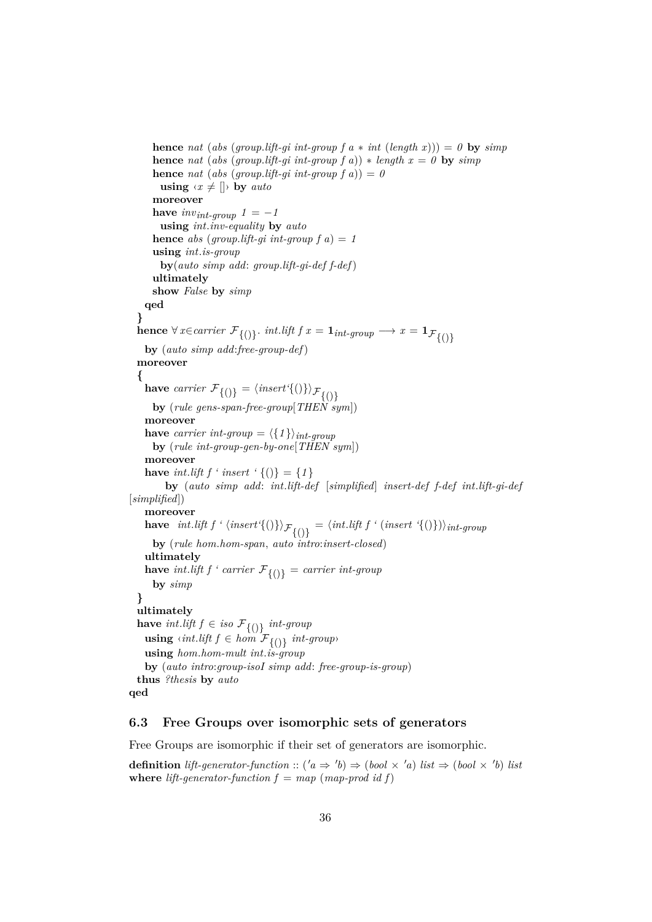```
hence nat (abs (group.lift-gi int-group f a * int (length x))) = 0 by simp
      hence nat (abs (group.lift-gi int-group f(a)) * length x = 0 by simp
      hence nat (abs (group.lift-gi int-group f(a)) = 0
       using \langle x \neq \mathbb{I} \rangle by auto
      moreover
      have inv_{int-qroup} 1 = -1using int.inv-equality by auto
      hence abs (group.lift-gi int-group f(a) = 1using int.is-group
       by(auto simp add: group.lift-gi-def f-def)
      ultimately
     show False by simp
   qed
  }
  \textbf{hence } \forall x \in carrier \; \mathcal{F}_{\{()\}}. int.lift f x = \mathbf{1}_{int-group} \longrightarrow x = \mathbf{1}_{\mathcal{F}_{\{()\}}}by (auto simp add:free-group-def)
  moreover
  {
   have carrier \mathcal{F}_{\{(0)\}} = \langle insert^{\{(\)}\} \rangle \mathcal{F}_{\{(0)\}}by (rule gens-span-free-group[THEN sym])
   moreover
   have carrier int-group = \langle \{1\} \rangle_{int-qroup}by (rule int-group-gen-by-one[THEN sym])
   moreover
   have int.lift f ' insert ' \{(0)\} = \{1\}by (auto simp add: int.lift-def [simplified] insert-def f-def int.lift-gi-def
[simplified])
   moreover
    have int.lift f' \langle insert'(\{\})rangle\}_{\mathcal{F}_{\{\{\}}\}} = \langle int.lift f' \langle insert'(\{\})rangle\}_{int-groupby (rule hom.hom-span, auto intro:insert-closed)
   ultimately
   have int.lift f ' carrier \mathcal{F}_{\{(1)\}} = carrier int-group
      by simp
  }
  ultimately
  have intlift f \in iso \mathcal{F}_{\{()\}} int-groupusing ⋅int.lift f ∈ hom \mathcal{F}_{\{()}\} int-group
   using hom.hom-mult int.is-group
   by (auto intro:group-isoI simp add: free-group-is-group)
  thus ?thesis by auto
qed
```
#### <span id="page-35-0"></span>**6.3 Free Groups over isomorphic sets of generators**

Free Groups are isomorphic if their set of generators are isomorphic.

**definition** lift-generator-function ::  $(a \Rightarrow 'b) \Rightarrow (bool \times 'a)$  list  $\Rightarrow (bool \times 'b)$  list **where** *lift-generator-function*  $f = map (map-productid f)$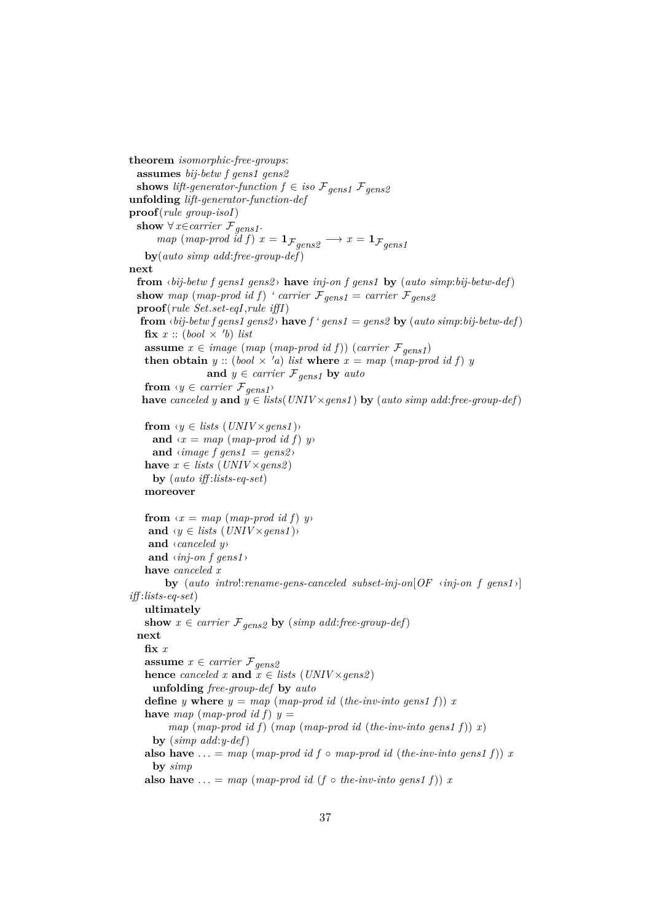**theorem** *isomorphic-free-groups*: **assumes** *bij-betw f gens1 gens2* **shows** *lift-generator-function*  $f \in iso \mathcal{F}_{gens1} \mathcal{F}_{gens2}$ **unfolding** *lift-generator-function-def* **proof**(*rule group-isoI*) show  $∀x∈ carrier$   $\mathcal{F}_{gens1}$ . *map* (*map-prod id f*)  $x = \mathbf{1}_{\mathcal{F}_{gens2}} \longrightarrow x = \mathbf{1}_{\mathcal{F}_{gens1}}$ **by**(*auto simp add*:*free-group-def*) **next from** ‹*bij-betw f gens1 gens2* › **have** *inj-on f gens1* **by** (*auto simp*:*bij-betw-def*) **show** map (map-prod id f) ' carrier  $\mathcal{F}_{gens1} =$  carrier  $\mathcal{F}_{gens2}$ **proof**(*rule Set*.*set-eqI*,*rule iffI*) **from**  $\langle bij-betw f \text{ } gens1 \text{ } gens2 \rangle$  **have**  $f' \text{ } gens1 = gens2$  **by**  $(\text{auto simp:} bij-betw-def)$  $\textbf{fix } x :: (bool \times 'b)$  *list* **assume**  $x \in image \ (map \ (map\ product\ id\ f)) \ (carrier \ \mathcal{F}_{gens1})$ **then obtain**  $y$  :: (*bool*  $\times$  'a) *list* **where**  $x = map$  (*map-prod id f*)  $y$ **and**  $y \in carrier \mathcal{F}_{gens1}$  **by** *auto* **from**  $\forall y \in carrier \mathcal{F}_{gens1}$ **have** *canceled y* and  $\ddot{y} \in$  *lists*(*UNIV*×*gens1*) **by** (*auto simp add:free-group-def*) from  $\langle y \in \text{lists} \ ( \text{UNIV} \times \text{qens1} ) \rangle$ **and**  $\langle x = \text{map} \ (\text{map-prod} \ id \ f) \ \psi \rangle$ and  $\langle image f \text{ }gens1 = \text{ }gens2 \rangle$ **have**  $x \in \text{lists} \left( \text{UNIV} \times \text{gens2} \right)$ **by** (*auto iff* :*lists-eq-set*) **moreover from**  $\langle x = map (map-product id f) \rangle$ and  $\langle y \in \text{lists} \ ( \text{UNIV} \times \text{gens1} ) \rangle$ **and** ‹*canceled y*› **and** ‹*inj-on f gens1* › **have** *canceled x* **by** (*auto intro*!:*rename-gens-canceled subset-inj-on*[*OF* ‹*inj-on f gens1* ›] *iff* :*lists-eq-set*) **ultimately show**  $x \in carrier \mathcal{F}_{gens2}$  **by** (*simp add:free-group-def*) **next fix** *x* **assume**  $x \in carrier \mathcal{F}_{gens2}$ **hence** *canceled*  $x$  **and**  $x \in \text{lists (UNIV} \times \text{gens2})$ **unfolding** *free-group-def* **by** *auto* **define** *y* **where**  $y = map (map-product id (the-inv-into gens1 f)) x$ **have** map (map-prod id f)  $y =$ *map* (*map-prod id f*) (*map* (*map-prod id* (*the-inv-into gens1 f*)) *x*) **by** (*simp add*:*y-def*) **also have**  $\ldots = \text{map}$  (*map-prod id f* ◦ *map-prod id (the-inv-into gens1 f)) x* **by** *simp* **also have**  $\ldots = \text{map}$  (map-prod id (*f* ◦ *the-inv-into gens1 f*)) *x*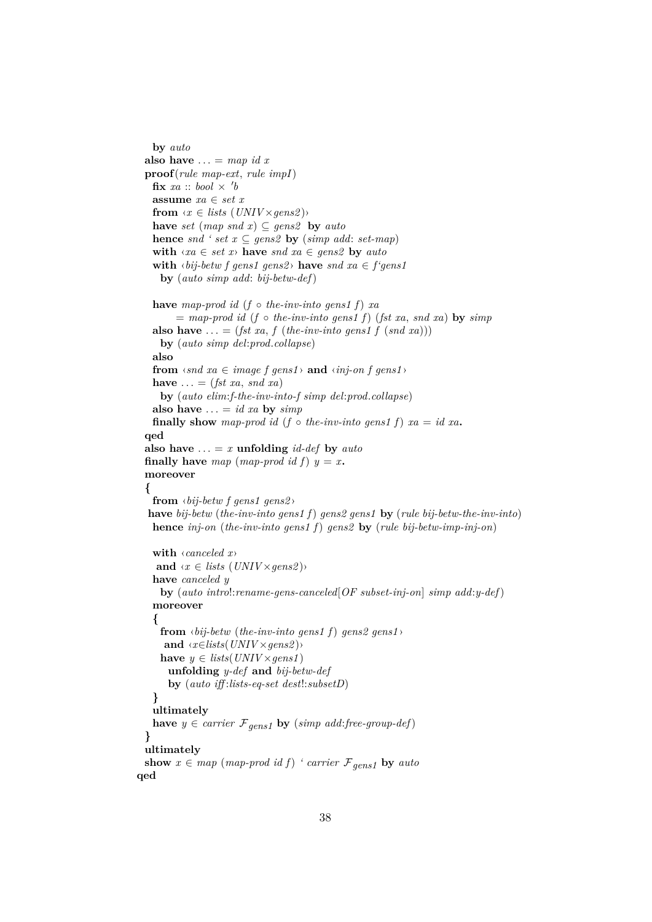```
by auto
 also have \ldots = map id x
 proof(rule map-ext, rule impI)
    fix xa :: bool \times 'bassume xa \in set xfrom \langle x \in \text{lists} \ ( \text{UNIV} \times \text{gens2} ) \ranglehave set (map snd x) \subseteq gens2 by auto
   hence snd ' set x \subseteq \text{gens2} by (simp add: set-map)
   with \langle xa \in set x \rangle have snd xa \in gens2 by autowith \langle bij\text{-}betw f \text{ } gens1 \text{ } gens2 \rangle have \text{ }snd \text{ } xa \in f \text{ } gens1by (auto simp add: bij-betw-def)
   have map-prod id (f ◦ the-inv-into gens1 f) xa
         = map-prod id (f \circ the-inv-into gens1 f) (fst xa, snd xa) by simp
   also have \dots = (fst \; xa, f \; (the \text{-}inv \text{-} into \; genus \; f \; (snd \; xa))by (auto simp del:prod.collapse)
   also
   from \langlesnd xa \in image f gens1\rangle and \langleinj-on f gens1\ranglehave \ldots = (fst \; xa, \; snd \; xa)by (auto elim:f-the-inv-into-f simp del:prod.collapse)
   also have \dots = id xa by simp
   finally show map-prod id (f \circ the-inv-into gens1 f) xa = id xa.
 qed
 also have \dots = x unfolding id-def by auto
 finally have map (map-prod id f) y = x.
 moreover
  {
   from ‹bij-betw f gens1 gens2 ›
  have bij-betw (the-inv-into gens1 f) gens2 gens1 by (rule bij-betw-the-inv-into)
   hence inj-on (the-inv-into gens1 f) gens2 by (rule bij-betw-imp-inj-on)
   with ‹canceled x›
    and \langle x \in \text{lists} \left( \text{UNIV} \times \text{gens2} \right) \ranglehave canceled y
     by (auto intro!:rename-gens-canceled[OF subset-inj-on] simp add:y-def)
   moreover
   {
     from ‹bij-betw (the-inv-into gens1 f) gens2 gens1 ›
      and \langle x \in \text{lists}(\text{UNIV} \times \text{gens2}) \ranglehave y \in lists(UNIV×gens1)
       unfolding y-def and bij-betw-def
       by (auto iff :lists-eq-set dest!:subsetD)
   }
   ultimately
   have y \in carrier \mathcal{F}_{gens1} by (simp add:free-group-def)
 }
 ultimately
 show x \in map (map-prod id f) ' carrier \mathcal{F}_{gens1} by auto
qed
```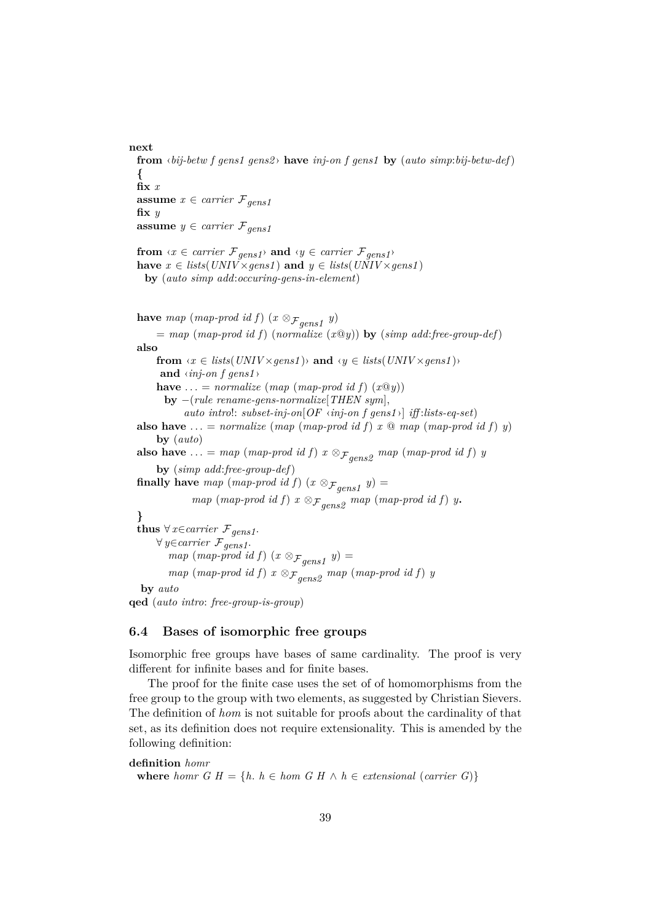**next from** ‹*bij-betw f gens1 gens2* › **have** *inj-on f gens1* **by** (*auto simp*:*bij-betw-def*) **{ fix** *x* **assume**  $x \in carrier \mathcal{F}_{gens1}$ **fix** *y* **assume**  $y \in carrier \mathcal{F}_{gens1}$ 

**from**  $\forall x \in carrier \mathcal{F}_{gens1}$  and  $\forall y \in carrier \mathcal{F}_{gens1}$ **have**  $x \in \text{lists}(\text{UNIV} \times \text{gens1})$  and  $y \in \text{lists}(\text{UNIV} \times \text{gens1})$ **by** (*auto simp add*:*occuring-gens-in-element*)

**have** *map* (*map-prod id f*) ( $x \otimes_{\mathcal{F}} g_{ens1}$  *y*)

 $=$  *map* (*map-prod id f*) (*normalize* (*xQy*)) **by** (*simp add:free-group-def*) **also from**  $\langle x \in \text{lists}(\text{UNIV} \times \text{gens1}) \rangle$  and  $\langle y \in \text{lists}(\text{UNIV} \times \text{gens1}) \rangle$ **and** ‹*inj-on f gens1* › **have** ... = *normalize* (*map* (*map-prod id f*) ( $x@y$ )) **by** −(*rule rename-gens-normalize*[*THEN sym*], *auto intro*!: *subset-inj-on*[*OF* ‹*inj-on f gens1* ›] *iff* :*lists-eq-set*) **also have** ... = *normalize* (*map* (*map-prod id f*) *x*  $\Omega$  *map* (*map-prod id f*) *y*) **by** (*auto*) **also have** ... = *map* (*map-prod id f*)  $x \otimes_{\mathcal{F}_{gens2}} map$  (*map-prod id f*) *y* **by** (*simp add*:*free-group-def*) **finally have**  $map (map-product id f) (x \otimes_{\mathcal{F}} g_{ens1} y) =$ *map* (*map-prod id f*)  $x \otimes_{\mathcal{F}_{gens2}}$  *map* (*map-prod id f*) *y*. **} thus** ∀ *x*∈*carrier*  $\mathcal{F}_{gens1}$ . ∀ *y*∈*carrier* F*gens1*. *map* (*map-prod id f*) ( $x \otimes_{\mathcal{F}} g_{ens1}$   $y$ ) = *map* (*map-prod id f*)  $x \otimes f_{gens2}$  *map* (*map-prod id f*) *y* 

**by** *auto*

**qed** (*auto intro*: *free-group-is-group*)

## <span id="page-38-0"></span>**6.4 Bases of isomorphic free groups**

Isomorphic free groups have bases of same cardinality. The proof is very different for infinite bases and for finite bases.

The proof for the finite case uses the set of of homomorphisms from the free group to the group with two elements, as suggested by Christian Sievers. The definition of *hom* is not suitable for proofs about the cardinality of that set, as its definition does not require extensionality. This is amended by the following definition:

### **definition** *homr*

**where** *homr* G  $H = \{h, h \in hom \ G \ H \land h \in extensional \ (carrier \ G)\}$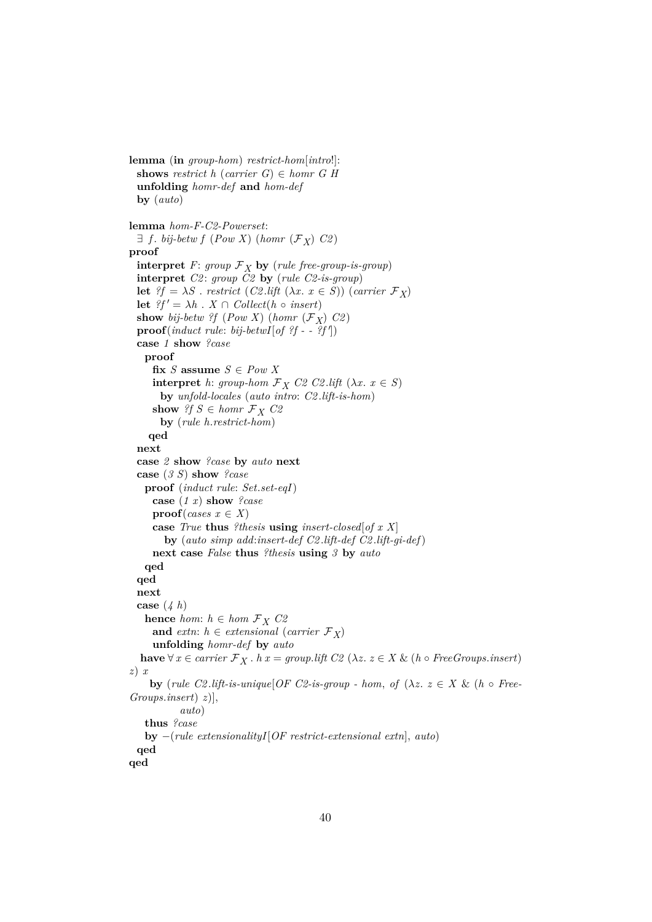**shows** *restrict*  $h$  (*carrier G*)  $\in$  *homr G H* **unfolding** *homr-def* **and** *hom-def* **by** (*auto*) **lemma** *hom-F-C2-Powerset*:  $\exists$  *f*. *bij-betw f* (*Pow X*) (*homr* ( $\mathcal{F}_X$ ) *C2*) **proof interpret** *F*: *group*  $\mathcal{F}_X$  **by** (*rule free-group-is-group*) **interpret** *C2* : *group C2* **by** (*rule C2-is-group*) **let**  $?f = \lambda S$ . *restrict* (*C2*.*lift* ( $\lambda x$ . *x*  $\in$  *S*)) (*carrier*  $\mathcal{F}_X$ ) **let**  $?f' = \lambda h \cdot X \cap Collect(h \circ insert)$ **show** bij-betw ?f (*Pow X*) (*homr*  $(\mathcal{F}_X)$   $C2$ )  $\mathbf{proof}(\text{induct rule: bij-betwI[of ?f - - ?f'])$ **case** *1* **show** *?case* **proof** fix *S* assume  $S \in Pow X$ **interpret** *h*: *group-hom*  $\mathcal{F}_X$  *C2 C2* .*lift* ( $\lambda x$ .  $x \in S$ ) **by** *unfold-locales* (*auto intro*: *C2* .*lift-is-hom*) **show**  $?f S \in homr \mathcal{F}_X C2$ **by** (*rule h*.*restrict-hom*) **qed next case** *2* **show** *?case* **by** *auto* **next case** (*3 S*) **show** *?case* **proof** (*induct rule*: *Set*.*set-eqI*) **case** (*1 x*) **show** *?case* **proof**(*cases*  $x \in X$ ) **case** *True* **thus** *?thesis* **using** *insert-closed*[*of x X*] **by** (*auto simp add*:*insert-def C2* .*lift-def C2* .*lift-gi-def*) **next case** *False* **thus** *?thesis* **using** *3* **by** *auto* **qed qed next case** (*4 h*) **hence** *hom*:  $h \in hom \mathcal{F}_X C2$ **and** *extn*:  $h \in$  *extensional* (*carrier*  $\mathcal{F}_X$ ) **unfolding** *homr-def* **by** *auto* **have** ∀ *x* ∈ *carrier*  $\mathcal{F}_X$ . *h x* = *group*.*lift*  $C2$  ( $\lambda z$ . *z* ∈ *X* & (*h* ◦ *FreeGroups.insert*) *z*) *x* **by** (*rule C2.lift-is-unique*[*OF C2-is-group - hom, of*  $(\lambda z. z \in X \& (h \circ Free -$ *Groups*.*insert*) *z*)], *auto*) **thus** *?case* **by** −(*rule extensionalityI*[*OF restrict-extensional extn*], *auto*) **qed qed**

**lemma** (**in** *group-hom*) *restrict-hom*[*intro*!]: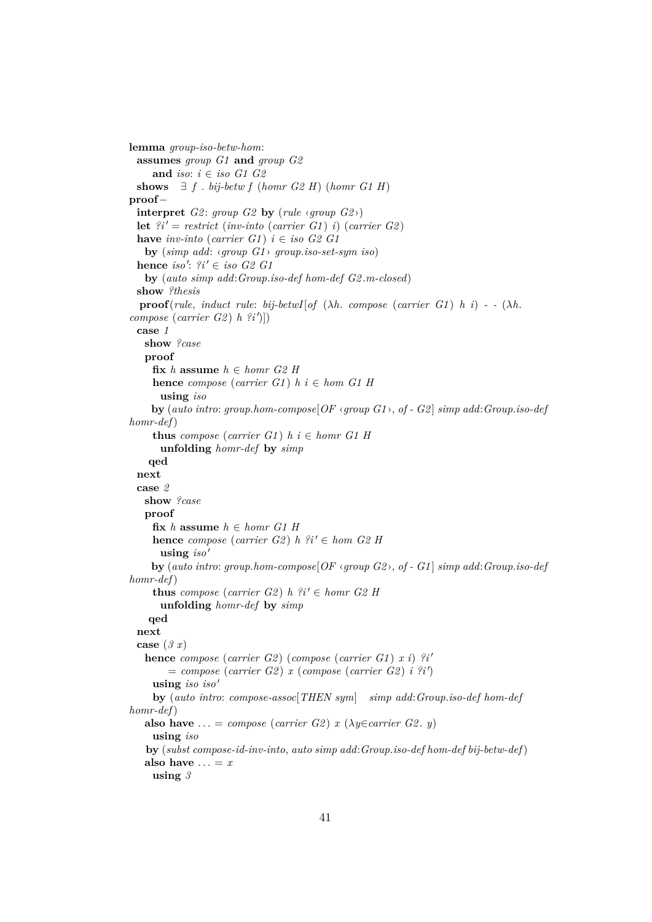```
lemma group-iso-betw-hom:
 assumes group G1 and group G2
    and iso: i ∈ iso G1 G2
 shows ∃ f . bij-betw f (homr G2 H) (homr G1 H)
proof−
 interpret G2: group G2 by (rule \langle qrow\rangle G2\rangle)
 let ?i' = restrict (inv-into (carrier G1) i (carrier G2)have inv-into (carrier G1) i \in iso G2 G1
   by (simp add: ‹group G1 › group.iso-set-sym iso)
 hence iso': ?i' \in iso G2 G1
   by (auto simp add:Group.iso-def hom-def G2 .m-closed)
 show ?thesis
  proof(rule, induct rule: bij-betwI[of (\lambda h. compose (carrier G1) h i) - - (\lambda h.
compose (carrier G2) h ?i<sup>'</sup>)])
 case 1
   show ?case
   proof
    fix h assume h \in homr G2 H
    hence compose (carrier G1) h i \in hom G1 Husing iso
    by (auto intro: group.hom-compose[OF ‹group G1 ›, of - G2 ] simp add:Group.iso-def
homr-def)
    thus compose (carrier G1) h i \in homr G1 Hunfolding homr-def by simp
    qed
 next
 case 2
   show ?case
   proof
    fix h assume h \in homr G1 H
    hence compose (carrier G2) h ?i' \in hom G2 H
      using iso'
    by (auto intro: group.hom-compose[OF ‹group G2 ›, of - G1 ] simp add:Group.iso-def
homr-def)
    thus compose (carrier G2) h ?i' \in homr G2 H
      unfolding homr-def by simp
    qed
 next
 case (3 x)
   hence compose (carrier G2) (compose (carrier G1) x i) ?i'
        = compose (carrier G2) x (compose (carrier G2) i ?i')
    using iso iso
    by (auto intro: compose-assoc[THEN sym] simp add:Group.iso-def hom-def
homr-def)
   also have ... = compose (carrier G2) x (\lambda y \in carrier G2. y)
    using iso
   by (subst compose-id-inv-into, auto simp add:Group.iso-def hom-def bij-betw-def)
   also have \ldots = xusing 3
```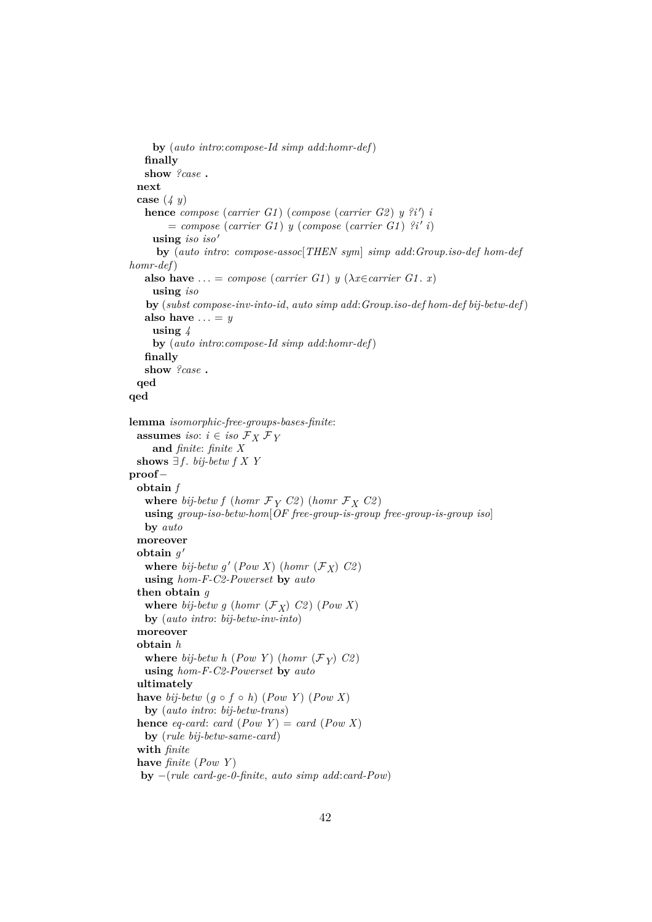```
by (auto intro:compose-Id simp add:homr-def)
   finally
   show ?case .
 next
 case (4 y)
   hence compose (carrier G1 ) (compose (carrier G2 ) y ?i 0
) i
        = compose (carrier G1) y (compose (carrier G1) ?i' i)
     using iso iso'
     by (auto intro: compose-assoc[THEN sym] simp add:Group.iso-def hom-def
homr-def)
   also have ... = compose (carrier G1) y (\lambda x \in carrier \, Gl. \, x)
    using iso
   by (subst compose-inv-into-id, auto simp add:Group.iso-def hom-def bij-betw-def)
   also have \ldots = yusing 4
     by (auto intro:compose-Id simp add:homr-def)
   finally
   show ?case .
 qed
qed
lemma isomorphic-free-groups-bases-finite:
 assumes iso: i \in iso \mathcal{F}_X \mathcal{F}_Yand finite: finite X
 shows ∃f. bij-betw f X Y
proof−
 obtain f
   where bij-betw f (homr \mathcal{F}_Y C2) (homr \mathcal{F}_X C2)
   using group-iso-betw-hom[OF free-group-is-group free-group-is-group iso]
   by auto
 moreover
  obtain g'where bij-betw g' (Pow X) (homr (\mathcal{F}_X) C2)
   using hom-F-C2-Powerset by auto
 then obtain g
   where bij-betw g (homr (\mathcal{F}_X) C2) (Pow X)
   by (auto intro: bij-betw-inv-into)
 moreover
 obtain h
   where bij-betw h (Pow Y) (homr (\mathcal{F}_Y) C2)
   using hom-F-C2-Powerset by auto
 ultimately
 have bij-betw (g \circ f \circ h) (Pow Y) (Pow X)by (auto intro: bij-betw-trans)
 hence eq-card: card (Pow Y) = card (Pow X)by (rule bij-betw-same-card)
 with finite
 have finite (Pow Y )
  by −(rule card-ge-0-finite, auto simp add:card-Pow)
```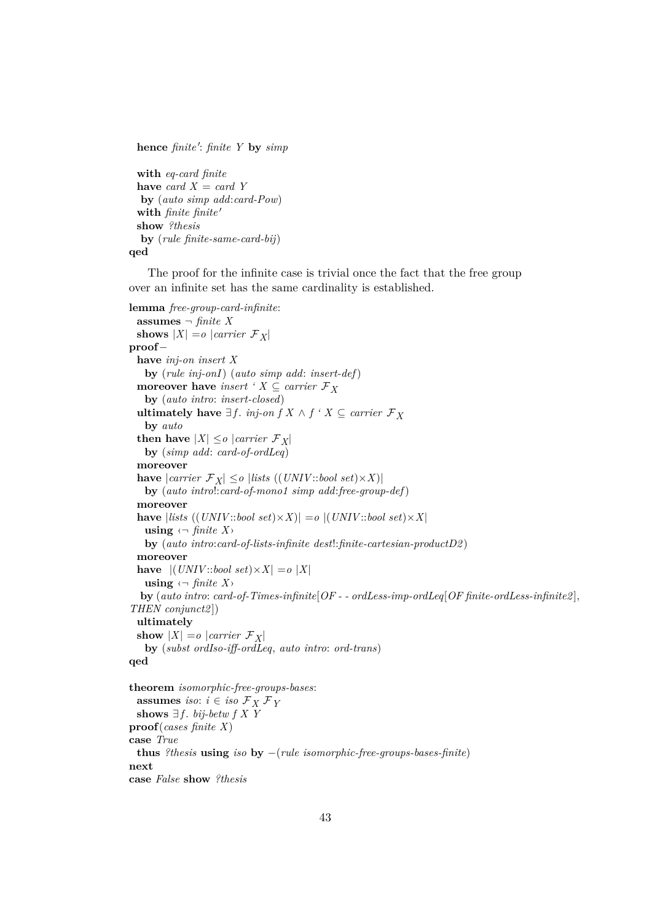hence finite': finite Y by  $simp$ 

**with** *eq-card finite* **have** *card*  $X = \text{card } Y$ **by** (*auto simp add*:*card-Pow*) with *finite finite'* **show** *?thesis* **by** (*rule finite-same-card-bij*) **qed**

The proof for the infinite case is trivial once the fact that the free group over an infinite set has the same cardinality is established.

```
lemma free-group-card-infinite:
 assumes ¬ finite X
 shows |X| = o |carrier \mathcal{F}_X|
proof−
 have inj-on insert X
   by (rule inj-onI) (auto simp add: insert-def)
  moreover have insert ' X \subseteq carrier \mathcal{F}_Xby (auto intro: insert-closed)
  ultimately have \exists f. inj-on f X ∧ f ' X ⊆ carrier \mathcal{F}_Xby auto
  then have |X| \leq o \left| carrier \mathcal{F}_Xby (simp add: card-of-ordLeq)
 moreover
 have |carrier \mathcal{F}_X| \leq o |lists ((UNIV::bool set) \times X)|by (auto intro!:card-of-mono1 simp add:free-group-def)
 moreover
 have |lists ((UNIV::bool set) \times X)| = o ((UNIV::bool set) \times X|using \langle \neg \text{ finite } X \rangleby (auto intro:card-of-lists-infinite dest!:finite-cartesian-productD2 )
 moreover
 have |(UNIV::bool set) \times X| = o |X|using \langle \neg \text{ finite } X \rangleby (auto intro: card-of-Times-infinite[OF - - ordLess-imp-ordLeq[OF finite-ordLess-infinite2 ],
THEN conjunct2 ])
 ultimately
 show |X| = o | carrier \mathcal{F}_X|
   by (subst ordIso-iff-ordLeq, auto intro: ord-trans)
qed
theorem isomorphic-free-groups-bases:
 assumes iso: i \in iso \mathcal{F}_X \mathcal{F}_Yshows ∃f. bij-betw f X Y
proof(cases finite X)
case True
 thus ?thesis using iso by −(rule isomorphic-free-groups-bases-finite)
next
case False show ?thesis
```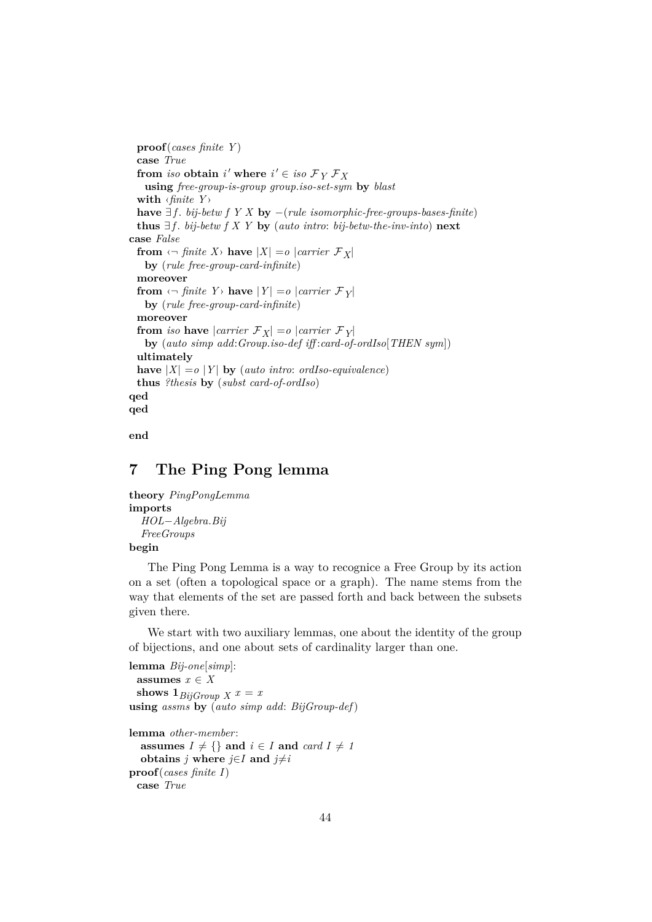**proof**(*cases finite Y* ) **case** *True* from *iso* obtain *i*' where  $i' \in iso \mathcal{F}_Y \mathcal{F}_X$ **using** *free-group-is-group group*.*iso-set-sym* **by** *blast* **with** ‹*finite Y* › **have**  $∃f$ . *bij-betw f Y X* **by**  $-(rule isomorphic-free-groups-bases-finite)$ **thus**  $∃ f$ . *bij-betw*  $f X Y$  **by** (*auto intro*: *bij-betw-the-inv-into*) **next case** *False* **from**  $\langle \neg \text{ finite } X \rangle$  **have**  $|X| = o \left| \text{ carrier } \mathcal{F}_X \right|$ **by** (*rule free-group-card-infinite*) **moreover from**  $\langle \neg \text{ finite } Y \rangle$  **have**  $|Y| = o \left| \text{ carrier } \mathcal{F}_Y \right|$ **by** (*rule free-group-card-infinite*) **moreover from** *iso* **have**  $|carrier \mathcal{F}_X| = o |carrier \mathcal{F}_Y|$ **by** (*auto simp add*:*Group*.*iso-def iff* :*card-of-ordIso*[*THEN sym*]) **ultimately have**  $|X| = o |Y|$  **by** (*auto intro: ordIso-equivalence*) **thus** *?thesis* **by** (*subst card-of-ordIso*) **qed qed**

**end**

# <span id="page-43-0"></span>**7 The Ping Pong lemma**

```
theory PingPongLemma
imports
  HOL−Algebra.Bij
  FreeGroups
begin
```
**proof**(*cases finite I*) **case** *True*

The Ping Pong Lemma is a way to recognice a Free Group by its action on a set (often a topological space or a graph). The name stems from the way that elements of the set are passed forth and back between the subsets given there.

We start with two auxiliary lemmas, one about the identity of the group of bijections, and one about sets of cardinality larger than one.

```
lemma Bij-one[simp]:
 assumes x \in Xshows \mathbf{1}_{BijGroup} X \, x = xusing assms by (auto simp add: BijGroup-def)
lemma other-member:
  assumes I \neq \{\} and i \in I and card I \neq Iobtains j where j \in I and j \neq i
```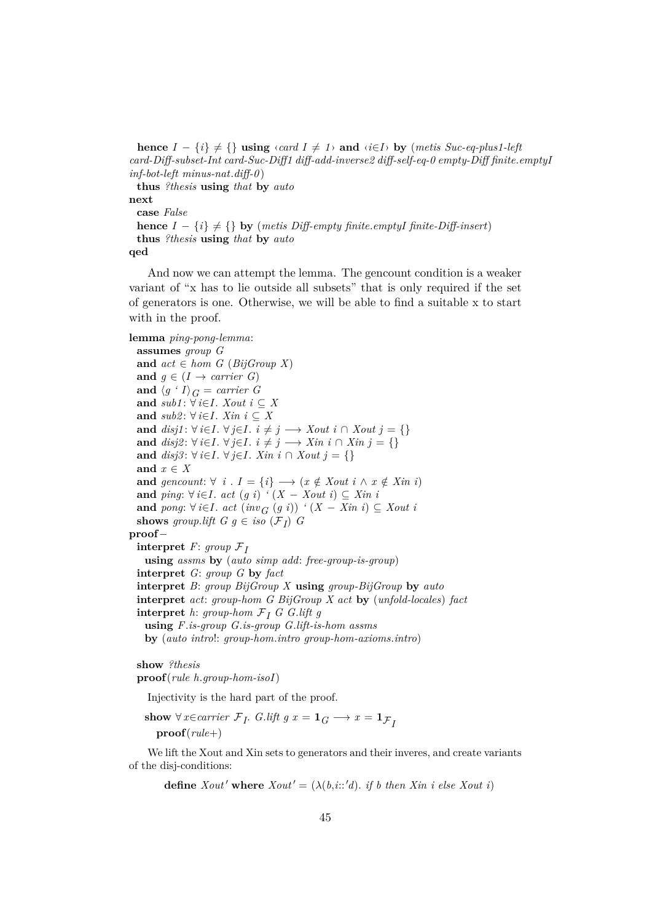**hence**  $I - \{i\} \neq \{\}$  using  $\{card\ I \neq I\}$  and  $\{i \in I\}$  by (*metis Suc-eq-plus1-left card-Diff-subset-Int card-Suc-Diff1 diff-add-inverse2 diff-self-eq-0 empty-Diff finite*.*emptyI inf-bot-left minus-nat*.*diff-0* ) **thus** *?thesis* **using** *that* **by** *auto* **next case** *False* **hence**  $I - \{i\} \neq \{\}$  by (*metis Diff-empty finite.emptyI finite-Diff-insert*) **thus** *?thesis* **using** *that* **by** *auto*

**qed**

And now we can attempt the lemma. The gencount condition is a weaker variant of "x has to lie outside all subsets" that is only required if the set of generators is one. Otherwise, we will be able to find a suitable x to start with in the proof.

**lemma** *ping-pong-lemma*: **assumes** *group G* **and**  $act ∈ hom G (BijGroup X)$ **and**  $g \in (I \rightarrow carrier \ G)$ **and**  $\langle g \cdot I \rangle_G =$  *carrier G* and  $sub1: \forall i \in I$ . *Xout*  $i \subseteq X$ and *sub2*:  $∀ i∈I$ *. Xin*  $i ⊆ X$ **and**  $disj1: ∀ i \in I. ∀ j \in I. i ≠ j → Xout i ∩ Xout j = \{\}$ **and**  $disj2: ∀ i \in I$ .  $∀ j \in I$ .  $i ≠ j → Xin i ∩ Xin j = \{\}$ **and** *disj3*: ∀ *i*∈*I*. ∀ *j*∈*I*. *Xin i* ∩ *Xout j* = {} **and** *x* ∈ *X* **and** *gencount*:  $\forall i$  .  $I = \{i\} \longrightarrow (x \notin Xout \ i \land x \notin Xin \ i)$ **and**  $\text{ping: } ∀\text{ } i \in I$ .  $\text{act}(g\text{ } i) \land (X - X\text{ out } i) \subseteq X\text{ in } i$ **and** *pong*: ∀ *i*∈*I*. *act* (*inv<sub><i>G*</sub> (*g i*)) <sup>*'*</sup> (*X* − *Xin i*) ⊆ *Xout i* **shows** group.lift  $G \ g \in iso \ (\mathcal{F}_I) \ G$ **proof**− **interpret** *F*: *group*  $\mathcal{F}_I$ **using** *assms* **by** (*auto simp add*: *free-group-is-group*) **interpret** *G*: *group G* **by** *fact* **interpret** *B*: *group BijGroup X* **using** *group-BijGroup* **by** *auto* **interpret** *act*: *group-hom G BijGroup X act* **by** (*unfold-locales*) *fact* **interpret** *h*: *group-hom*  $F_I$  *G G*.*lift g* **using** *F*.*is-group G*.*is-group G*.*lift-is-hom assms* **by** (*auto intro*!: *group-hom*.*intro group-hom-axioms*.*intro*) **show** *?thesis*

**proof**(*rule h*.*group-hom-isoI*)

Injectivity is the hard part of the proof.

**show**  $\forall x \in carrier \mathcal{F}_I$ . *G.lift g*  $x = \mathbf{1}_G \longrightarrow x = \mathbf{1}_{\mathcal{F}_I}$ **proof**(*rule*+)

We lift the Xout and Xin sets to generators and their inveres, and create variants of the disj-conditions:

**define**  $Xout'$  where  $Xout' = (\lambda(b,i::d))$ . *if b then*  $Xin$  *i else*  $Xout$  *i*)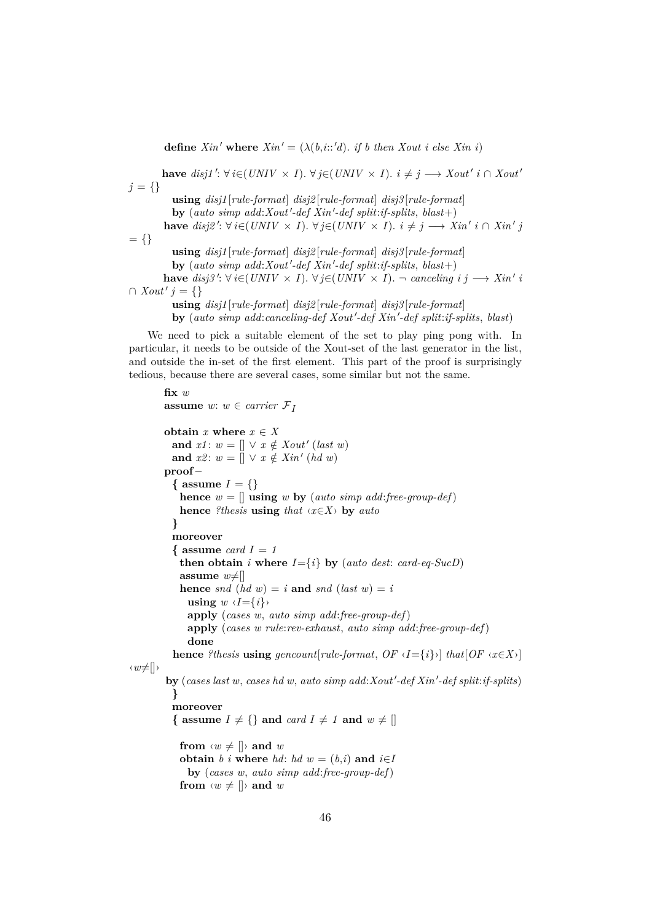**define**  $Xin'$  **where**  $Xin' = (\lambda(b, i::d')$ . *if b then Xout i else Xin i*)

**have** disj1':  $\forall i \in (UNIV \times I)$ .  $\forall j \in (UNIV \times I)$ .  $i \neq j$  →  $Xout'$   $i \cap Xout'$  $j = \{\}$ **using** *disj1* [*rule-format*] *disj2* [*rule-format*] *disj3* [*rule-format*]  $\mathbf{b}$ **y** (*auto simp add:Xout'-def Xin'-def split:if-splits, <i>blast*+) **have**  $disj2'$ :  $\forall i \in (UNIV \times I)$ .  $\forall j \in (UNIV \times I)$ .  $i \neq j \rightarrow Min'$   $i \cap Min'$  $= \{\}$ **using** *disj1* [*rule-format*] *disj2* [*rule-format*] *disj3* [*rule-format*]  $\mathbf{b}$ **y** (*auto simp add:Xout'-def Xin'-def split:if-splits, <i>blast*+) **have** disj3': ∀ *i*∈(*UNIV* × *I*). ∀ *j*∈(*UNIV* × *I*). ¬ *canceling i j* → *Xin' i* ∩  $Xout' j = \{\}$ **using** *disj1* [*rule-format*] *disj2* [*rule-format*] *disj3* [*rule-format*] by (auto simp add:*canceling-def Xout'-def Xin'-def split*:*if-splits*, *blast*)

We need to pick a suitable element of the set to play ping pong with. In particular, it needs to be outside of the Xout-set of the last generator in the list, and outside the in-set of the first element. This part of the proof is surprisingly tedious, because there are several cases, some similar but not the same.

```
fix w
        assume w: w \in carrier \mathcal{F}_Iobtain x where x \in Xand x1: w = \left[ \left( \int \sqrt{x} \notin Xout' \right) \right]and x2: w = [] \lor x \notin \text{Xin} (hd w)
        proof−
          { assume I = \{\}hence w = \iint using w by (auto simp add:free-group-def)
            hence ?thesis using that ‹x∈X› by auto
          }
          moreover
          { assume card I = 1
            then obtain i where I = \{i\} by (auto dest: card-eq-SucD)
            assume w \neq 0hence snd (hd w) = i and snd (last w) = i
             using w \langle I = \{i\} \rangleapply (cases w, auto simp add:free-group-def)
             apply (cases w rule:rev-exhaust, auto simp add:free-group-def)
             done
          hence ?thesis using gencount rule-format, OF \{I=\{i\}\}\ that [OF \{x \in X\}]\langle w \neq | \rangleby (cases last w, cases hd w, auto simp add:Xout'-def Xin'-def split:if-splits)
          }
          moreover
          { assume I \neq \{\} and card I \neq I and w \neq []from \langle w \rangle \neq ||\rangle and w
           obtain b i where hd: hd w = (b,i) and i \in Iby (cases w, auto simp add:free-group-def)
            from \langle w \rangle \neq ||\rangle and w
```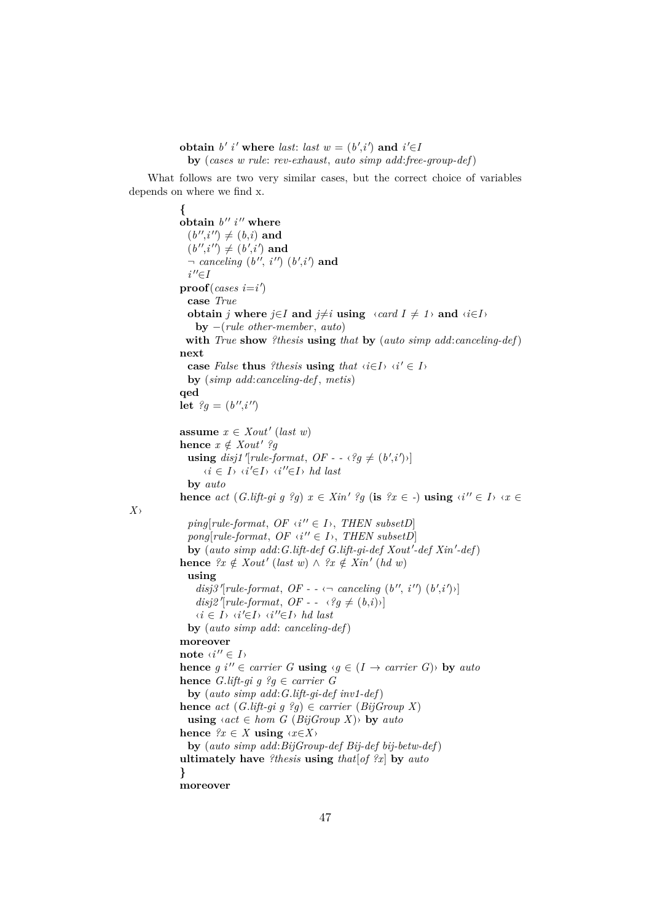**obtain**  $b'$  i' where *last*: *last*  $w = (b', i')$  and  $i' \in I$ **by** (*cases w rule*: *rev-exhaust*, *auto simp add*:*free-group-def*)

What follows are two very similar cases, but the correct choice of variables depends on where we find x.

**{ obtain**  $b''$  *i*<sup>"</sup> where  $(b'', i'') \neq (b, i)$  and  $(b'', i'') \neq (b', i')$  and  $\lnot$  *canceling*  $(b'', i'') (b', i')$  and *i*<sup>"</sup>∈*I*  $\mathbf{proof}(cases i=i')$ **case** *True* **obtain** *j* where  $j \in I$  and  $j \neq i$  using  $\langle \text{card } I \neq 1 \rangle$  and  $\langle i \in I \rangle$ **by** −(*rule other-member*, *auto*) **with** *True* **show** *?thesis* **using** *that* **by** (*auto simp add*:*canceling-def*) **next case** *False* **thus** *?thesis* **using** *that*  $\langle i \in I \rangle$   $\langle i' \in I \rangle$ **by** (*simp add*:*canceling-def* , *metis*) **qed let**  $?g = (b'', i'')$ **assume**  $x \in Xout'$  (*last w*) **hence**  $x \notin Xout'$  ?g **using** *disj1* '[rule-format, *OF* -  $\cdot$   $\cdot$  '*g*  $\neq$   $(b', i')$ '] ‹*i* ∈ *I*› ‹*i* <sup>0</sup>∈*I*› ‹*i* <sup>00</sup>∈*I*› *hd last* **by** *auto* **hence** *act*  $(G$ *.lift-gi g*  $^2g)$   $x \in X$ *in*<sup> $\prime}$ </sup>  $^2g$  (**is**  $^2x \in$  -) **using**  $\langle i'' \in I \rangle$   $\langle x \in$  $\text{ping}[\text{rule-formation}, \text{OF } \langle i'' \in I \rangle, \text{ THEN } \text{subset} D]$  $pong[rule-format, OF \langle i'' \in I \rangle, THEN \; subsetD]$  $\mathbf{b}$ **y** (*auto simp add*:*G.lift-def G.lift-gi-def Xout'-def Xin'-def*) **hence**  $?x \notin Xout'$  (*last w*) ∧  $?x \notin Xin'$  (*hd w*) **using**  $disj3'[rule-format, OF - \leftarrow \neg \text{ canceling } (b'', i'') (b', i')$  $disj2'[rule-format, OF - \langle ?g \neq (b,i) \rangle]$ ‹*i* ∈ *I*› ‹*i* <sup>0</sup>∈*I*› ‹*i* <sup>00</sup>∈*I*› *hd last* **by** (*auto simp add*: *canceling-def*) **moreover note**  $\langle i'' \in I \rangle$ **hence** *g*  $i'' \in carrier \ G$  **using**  $\{q \in (I \rightarrow carrier \ G) \}$  **by** *auto* **hence** *G.lift-gi g*  $?q \in carrier \ G$ **by** (*auto simp add*:*G*.*lift-gi-def inv1-def*) **hence**  $act(G.lift-gi g?g) \in carrier(BijGroup X)$ **using**  $\langle act \in hom \ G \ (BijGroup \ X) \rangle$  **by** *auto* **hence**  $\forall x \in X$  **using**  $\langle x \in X \rangle$ **by** (*auto simp add*:*BijGroup-def Bij-def bij-betw-def*) **ultimately have** *?thesis* **using** *that*[*of ?x*] **by** *auto* **} moreover**

*X*›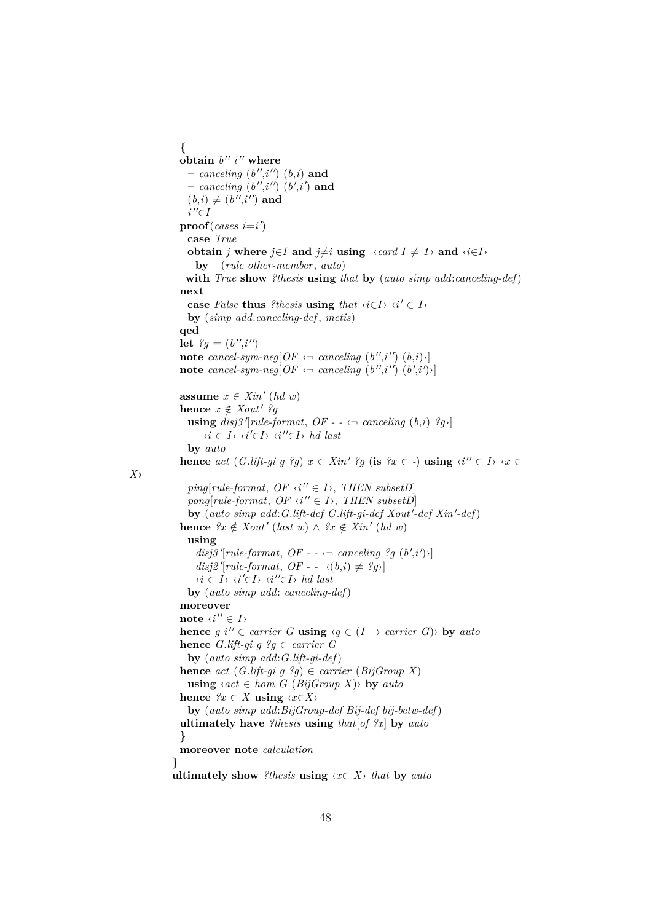**{ obtain**  $b''$  *i*<sup>"</sup> where  $\lnot$  *canceling*  $(b'', i'') (b, i)$  and  $\lnot$  *canceling*  $(b'', i'') (b', i')$  and  $(b,i) \neq (b'',i'')$  and *i*<sup>"</sup>∈*I*  $\mathbf{proof}(cases i=i')$ **case** *True* **obtain** *j* where  $j \in I$  and  $j \neq i$  using  $\langle \text{card } I \neq 1 \rangle$  and  $\langle i \in I \rangle$ **by** −(*rule other-member*, *auto*) **with** *True* **show** *?thesis* **using** *that* **by** (*auto simp add*:*canceling-def*) **next case** False **thus** *?thesis* **using** *that*  $\langle i \in I \rangle$   $\langle i' \in I \rangle$ **by** (*simp add*:*canceling-def* , *metis*) **qed let**  $?g = (b'', i'')$ **note** *cancel-sym-neg*[ $OF \leftarrow canceling (b'', i'') (b, i)$ **note** cancel-sym-neg[OF  $\leftarrow$  canceling  $(b'', i'') (b', i')$ **assume**  $x \in Xin'$  (*hd w*) **hence**  $x \notin Xout'$  ?g  $\textbf{using } \textit{disj3}^{\text{T}} \text{[rule-format, } OF - \leftarrow \textit{canceling } (b,i) \text{ [}^{\text{T}}\textit{g}\text{)} \text{]}$ ‹*i* ∈ *I*› ‹*i* <sup>0</sup>∈*I*› ‹*i* <sup>00</sup>∈*I*› *hd last* **by** *auto* **hence** *act*  $(G$ *.lift-gi g*  $?g)$   $x \in Xin'$   $?g$  (**is**  $?x \in$  -) **using**  $\langle i'' \in I \rangle \langle x \in$  $\text{ping}[\text{rule-formation}, \text{OF } \langle i'' \in I \rangle, \text{ THEN } \text{subset} D]$  $pong[rule-format, OF \langle i'' \in I \rangle, THEN \; subsetD]$  $\mathbf{b}$ **y** (*auto simp add*:*G.lift-def G.lift-gi-def Xout'-def Xin'-def*) **hence**  $?x \notin Xout'$  (*last w*) ∧  $?x \notin Xin'$  (*hd w*) **using**  $disj3'[rule-format, OF - \leftarrow \neg \text{ cancelling } ?g (b', i') \rangle]$  $disj2'[rule-format, OF - \langle (b,i) \neq ?g \rangle]$ ‹*i* ∈ *I*› ‹*i* <sup>0</sup>∈*I*› ‹*i* <sup>00</sup>∈*I*› *hd last* **by** (*auto simp add*: *canceling-def*) **moreover note**  $\langle i'' \in I \rangle$ **hence**  $g \, i'' \in carrier \, G$  **using**  $\{g \in (I \rightarrow carrier \, G)\}$  **by** *auto* **hence** *G.lift-gi g*  $?g \in carrier \ G$ **by** (*auto simp add*:*G*.*lift-gi-def*) **hence**  $act(G.lift-gi g ?g) \in carrier(BijGroup X)$ **using**  $\langle act \in hom \ G \ (BijGroup \ X) \rangle$  **by** *auto* **hence**  $\forall x \in X$  **using**  $\langle x \in X \rangle$ **by** (*auto simp add*:*BijGroup-def Bij-def bij-betw-def*) **ultimately have** *?thesis* **using** *that*[*of ?x*] **by** *auto* **} moreover note** *calculation* **} ultimately show** *?thesis* **using**  $\langle x \in X \rangle$  *that* **by** *auto* 

*X*›

48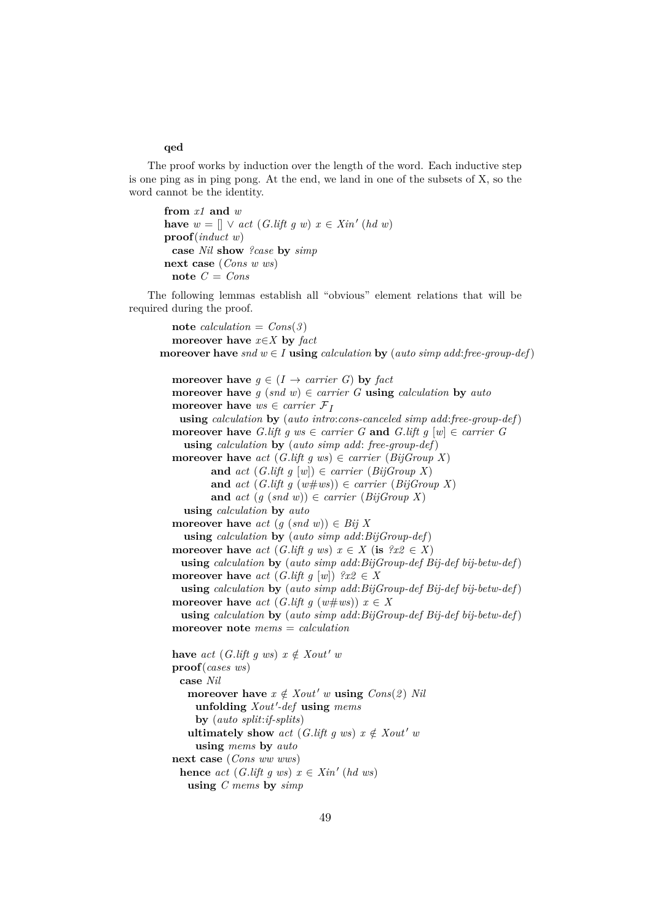#### **qed**

The proof works by induction over the length of the word. Each inductive step is one ping as in ping pong. At the end, we land in one of the subsets of X, so the word cannot be the identity.

**from** *x1* **and** *w* **have**  $w = \lceil \lceil \sqrt{act} \rceil \left( G \cdot \text{lift } g \cdot w \right) \rceil$  *x* ∈ *Xin'* (*hd w*) **proof**(*induct w*) **case** *Nil* **show** *?case* **by** *simp* **next case** (*Cons w ws*)  $\mathbf{note} \quad C = \text{Cons}$ 

The following lemmas establish all "obvious" element relations that will be required during the proof.

**note** *calculation* =  $Cons(3)$ **moreover have** *x*∈*X* **by** *fact* **moreover have**  $\text{and } w \in I$  **using** calculation **by** (auto simp add:*free-group-def*) **moreover have**  $q \in (I \rightarrow carrier \ G)$  **by**  $fact$ **moreover have**  $g$  (*snd w*)  $\in$  *carrier G* **using** *calculation* by *auto* **moreover have**  $ws \in carrier \mathcal{F}_I$ **using** *calculation* **by** (*auto intro*:*cons-canceled simp add*:*free-group-def*) **moreover have** *G.lift g ws*  $\in$  *carrier G* **and** *G.lift g* [*w*]  $\in$  *carrier G* **using** *calculation* **by** (*auto simp add*: *free-group-def*) **moreover have**  $act(G.left g ws) \in carrier(BijGroup X)$ **and**  $act(G.lift(g[w]) \in carrier(BijGroup(X))$ and  $act(G.lift(g(w#ws)) \in carrier(BijGroup(X))$ **and**  $act(g(snd w)) \in carrier(BijGroup X)$ **using** *calculation* **by** *auto* **moreover have**  $act(g(snd w)) \in Bij X$ **using** *calculation* **by** (*auto simp add*:*BijGroup-def*) **moreover have**  $act(G.$ *lift q ws*)  $x \in X$  (**is**  $\{x\} \in X$ ) **using** *calculation* **by** (*auto simp add*:*BijGroup-def Bij-def bij-betw-def*) **moreover have**  $act(G.liff g [w])$   $?x2 \in X$ **using** *calculation* **by** (*auto simp add*:*BijGroup-def Bij-def bij-betw-def*) **moreover have** *act* (*G.lift g* ( $w \neq ws$ ))  $x \in X$ **using** *calculation* **by** (*auto simp add*:*BijGroup-def Bij-def bij-betw-def*) **moreover note** *mems* = *calculation* **have** *act* (*G.lift g ws*)  $x \notin Xout'$  *w* **proof**(*cases ws*) **case** *Nil* **moreover have**  $x \notin Xout'$  w **using**  $Cons(2)$  Nil  $t$ **unfolding**  $Xout'$ -def  $u$ sing  $mems$ **by** (*auto split*:*if-splits*) **ultimately show** *act* (*G.lift g ws*)  $x \notin Xout'$  *w* **using** *mems* **by** *auto* **next case** (*Cons ww wws*) **hence**  $act(Guift(g)ws) x \in Xin' (hd ws)$ **using** *C mems* **by** *simp*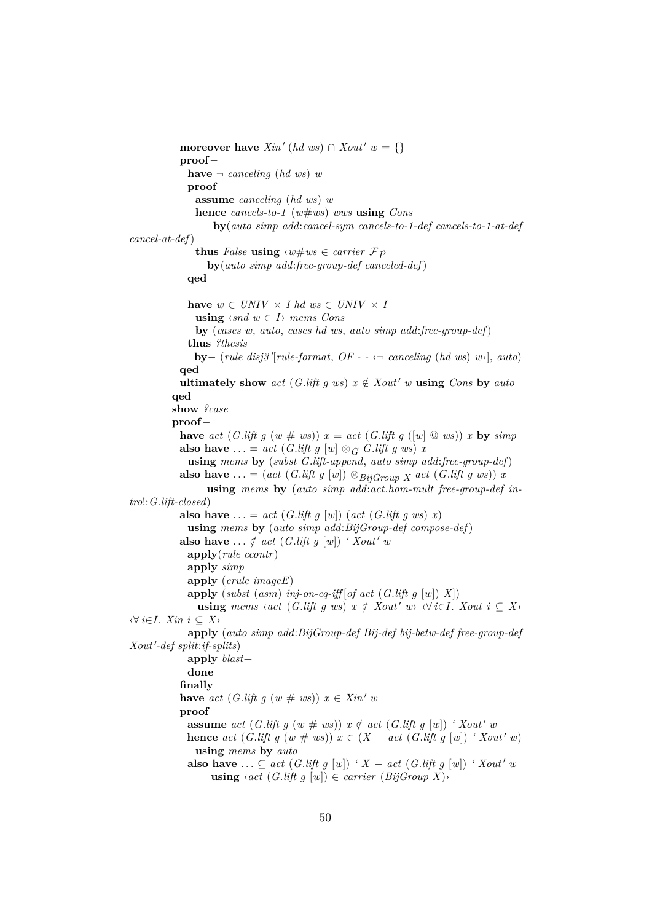**moreover have**  $Xin'$  (*hd ws*)  $\cap$   $Xout'$   $w = \{\}$ **proof**− **have**  $\neg$  *canceling* (*hd ws*) *w* **proof assume** *canceling* (*hd ws*) *w* **hence** *cancels-to-1* (*w*#*ws*) *wws* **using** *Cons* **by**(*auto simp add*:*cancel-sym cancels-to-1-def cancels-to-1-at-def cancel-at-def*) **thus** *False* **using**  $\langle w \# ws \in carrier \mathcal{F}_I \rangle$ **by**(*auto simp add*:*free-group-def canceled-def*) **qed** have  $w \in UNIV \times I$  *hd ws*  $\in UNIV \times I$ **using** ‹*snd w* ∈ *I*› *mems Cons* **by** (*cases w*, *auto*, *cases hd ws*, *auto simp add*:*free-group-def*) **thus** *?thesis* **by**− (*rule disj3*<sup> $\lceil$ </sup>*rule-format, OF - -*  $\lceil \cdot \cdot \cdot \rceil$  *canceling* (*hd ws*) *w*}, *auto*) **qed ultimately show** *act* (*G*.*lift g ws*)  $x \notin Xout'$  *w* **using** *Cons* by *auto* **qed show** *?case* **proof**− **have** *act* (*G*.*lift g* (*w* # *ws*))  $x = act$  (*G*.*lift g* ([*w*]  $\circledcirc$  *ws*)) *x* **by** *simp* **also have** ... =  $act(G.left g [w] \otimes_G Gu{\textit{lift} g w \textit{s}}) x$ **using** *mems* **by** (*subst G*.*lift-append*, *auto simp add*:*free-group-def*) **also have** ... = (*act* (*G.lift g* [*w*]) ⊗*BijGroup x act* (*G.lift g ws*)) *x* **using** *mems* **by** (*auto simp add*:*act*.*hom-mult free-group-def intro*!:*G*.*lift-closed*) **also have** ... =  $act(G.left g [w]) (act(G.left g ws) x)$ **using** *mems* **by** (*auto simp add*:*BijGroup-def compose-def*) **also have**  $\ldots \notin act(G.left g [w]) ' Xout' w$ **apply**(*rule ccontr*) **apply** *simp* **apply** (*erule imageE*) apply (*subst* (*asm*) *inj-on-eq-iff* [*of act* (*G.lift q* [*w*]) *X*]) **using** mems  $\{act(G, lift, g, ws) \mid x \notin Xout' \le w\}$   $\forall i \in I$ . Xout  $i \subseteq X$ ‹∀ *i*∈*I*. *Xin i* ⊆ *X*› **apply** (*auto simp add*:*BijGroup-def Bij-def bij-betw-def free-group-def*  $Xout'$ -def split:*if-splits*) **apply** *blast*+ **done finally have** *act* (*G.lift g* (*w* # *ws*))  $x \in X$ *in' w* **proof**− **assume** *act* (*G.lift g* (*w* # *ws*))  $x \notin act$  (*G.lift g* [*w*]) *'Xout' w* **hence** *act* (*G*.*lift g* (*w* # *ws*))  $x \in (X - act \ (G. \text{lift } g \ [w]) ' Xout' w)$ **using** *mems* **by** *auto* **also have**  $\dots \subseteq act(G.left g [w]) 'X - act(G.left g [w]) 'Xout' w$ **using**  $\langle act (G. \textit{lift } g \in [w]) \in carrier (BijGroup X) \rangle$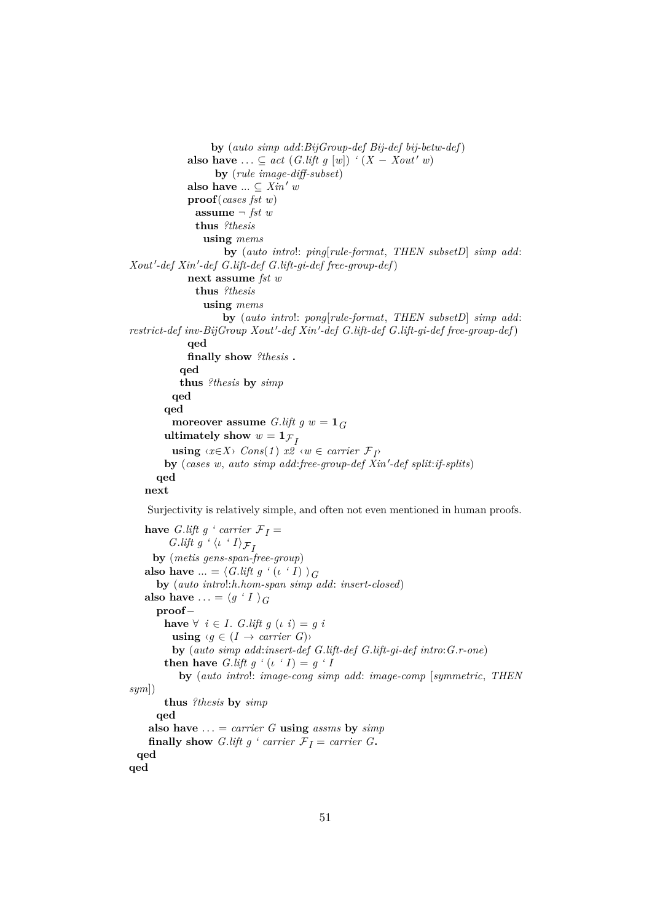```
by (auto simp add:BijGroup-def Bij-def bij-betw-def)
             also have ... ⊆ act (G.lift g [w]) \cdot (X − Xout' w)
                   by (rule image-diff-subset)
             also have \ldots \subset Xin' w
             proof(cases fst w)
               assume ¬ fst w
               thus ?thesis
                 using mems
                      by (auto intro!: ping[rule-format, THEN subsetD] simp add:
Xout 0
-def Xin 0
-def G.lift-def G.lift-gi-def free-group-def)
             next assume fst w
               thus ?thesis
                 using mems
                     by (auto intro!: pong[rule-format, THEN subsetD] simp add:
\textit{restrict-def}\xspace inv-BijGroup Xout'-def Xin'-def G.lift-def G.lift-gi-def free-group-def)
             qed
             finally show ?thesis .
           qed
           thus ?thesis by simp
         qed
       qed
         moreover assume G. lift g w = \mathbf{1}_Gultimately show w = \mathbf{1}_{\mathcal{F}_I}using \langle x \in X \rangle Cons(1) x2 \langle w \in \text{carrier } \mathcal{F}_I \rangle\mathbf{b}y (cases w, auto simp add:free-group-def Xin'-def split:if-splits)
      qed
   next
```
Surjectivity is relatively simple, and often not even mentioned in human proofs.

```
have G.lift g ' carrier \mathcal{F}_I =
          G.lift g \cdot \langle \iota \cdot I \rangle_{\mathcal{F}_I}by (metis gens-span-free-group)
   also have ... = \langle G. \text{lift } g \cdot (i \cdot I) \rangle_Gby (auto intro!:h.hom-span simp add: insert-closed)
    also have \ldots = \langle g \cdot I \rangle_Gproof−
         have \forall i \in I. G. lift g(i) = g(i)using \langle g \in (I \rightarrow carrier \ G) \rangleby (auto simp add:insert-def G.lift-def G.lift-gi-def intro:G.r-one)
         then have G.lift g \cdot (i \cdot I) = g \cdot Iby (auto intro!: image-cong simp add: image-comp [symmetric, THEN
sym])
         thus ?thesis by simp
       qed
     also have \ldots = carrier G using assms by simp
     finally show G.lift g ' carrier \mathcal{F}_I = carrier G.
  qed
qed
```